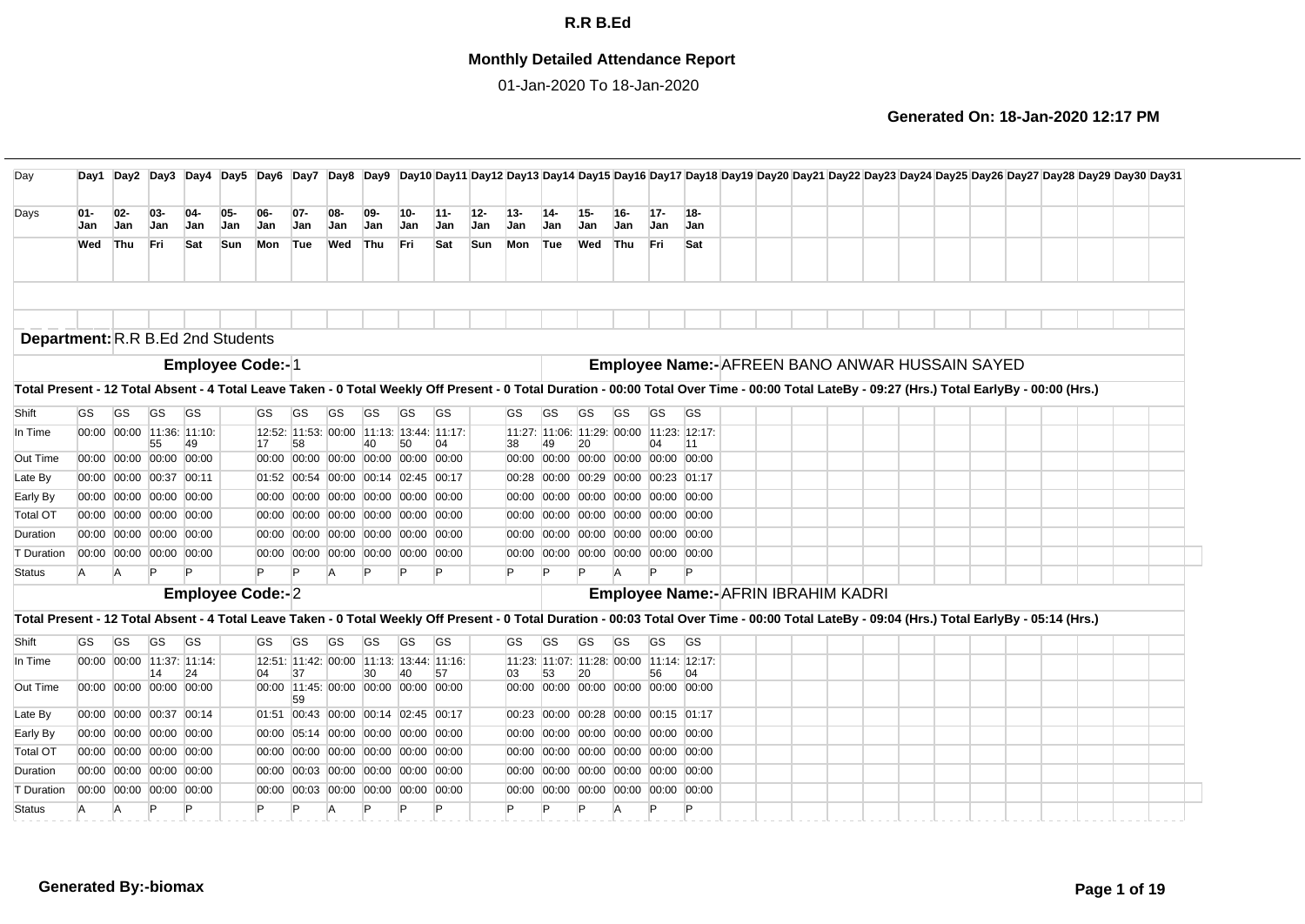## **Monthly Detailed Attendance Report**

01-Jan-2020 To 18-Jan-2020

| Day                                                                                                                                                                                            |               |                           |              |                     |                         |                     |                      |            |                                            |                   |               |               |                      |                                           |                   |                   |               |               |                                                 |  |  |  | Day1 Day2 Day3 Day4 Day5 Day6 Day7 Day8 Day9 Day10 Day11 Day12 Day13 Day14 Day15 Day16 Day17 Day18 Day19 Day20 Day21 Day22 Day22 Day23 Day24 Day25 Day26 Day27 Day28 Day29 Day30 Day31 |  |  |
|------------------------------------------------------------------------------------------------------------------------------------------------------------------------------------------------|---------------|---------------------------|--------------|---------------------|-------------------------|---------------------|----------------------|------------|--------------------------------------------|-------------------|---------------|---------------|----------------------|-------------------------------------------|-------------------|-------------------|---------------|---------------|-------------------------------------------------|--|--|--|----------------------------------------------------------------------------------------------------------------------------------------------------------------------------------------|--|--|
| Days                                                                                                                                                                                           | $01 -$<br>Jan | $02-$<br>Jan              | $03-$<br>Jan | $04-$<br><b>Jan</b> | 05-<br>Jan              | $06-$<br><b>Jan</b> | $07 -$<br><b>Jan</b> | 08-<br>Jan | $09-$<br><b>Jan</b>                        | 10-<br><b>Jan</b> | $11 -$<br>Jan | $12 -$<br>Jan | $13 -$<br><b>Jan</b> | $14-$<br><b>Jan</b>                       | 15-<br><b>Jan</b> | 16-<br><b>Jan</b> | $17 -$<br>Jan | $18 -$<br>Jan |                                                 |  |  |  |                                                                                                                                                                                        |  |  |
|                                                                                                                                                                                                | Wed           | Thu                       | Fri          | Sat                 | <b>Sun</b>              | Mon                 | Tue                  | Wed        | Thu                                        | <b>Fri</b>        | Sat           | Sun           | Mon                  | Tue                                       | Wed               | Thu               | lFri.         | Sat           |                                                 |  |  |  |                                                                                                                                                                                        |  |  |
|                                                                                                                                                                                                |               |                           |              |                     |                         |                     |                      |            |                                            |                   |               |               |                      |                                           |                   |                   |               |               |                                                 |  |  |  |                                                                                                                                                                                        |  |  |
| <b>Department: R.R B.Ed 2nd Students</b>                                                                                                                                                       |               |                           |              |                     |                         |                     |                      |            |                                            |                   |               |               |                      |                                           |                   |                   |               |               |                                                 |  |  |  |                                                                                                                                                                                        |  |  |
|                                                                                                                                                                                                |               |                           |              |                     | <b>Employee Code:-1</b> |                     |                      |            |                                            |                   |               |               |                      |                                           |                   |                   |               |               | Employee Name:- AFREEN BANO ANWAR HUSSAIN SAYED |  |  |  |                                                                                                                                                                                        |  |  |
| Total Present - 12 Total Absent - 4 Total Leave Taken - 0 Total Weekly Off Present - 0 Total Duration - 00:00 Total Over Time - 00:00 Total LateBy - 09:27 (Hrs.) Total EarlyBy - 00:00 (Hrs.) |               |                           |              |                     |                         |                     |                      |            |                                            |                   |               |               |                      |                                           |                   |                   |               |               |                                                 |  |  |  |                                                                                                                                                                                        |  |  |
| Shift                                                                                                                                                                                          | <b>GS</b>     | GS                        | GS           | <b>GS</b>           |                         | <b>GS</b>           | GS                   | <b>GS</b>  | <b>GS</b>                                  | <b>GS</b>         | <b>GS</b>     |               | GS                   | <b>GS</b>                                 | GS                | GS                | <b>GS</b>     | <b>GS</b>     |                                                 |  |  |  |                                                                                                                                                                                        |  |  |
| In Time                                                                                                                                                                                        |               | 00:00 00:00 11:36: 11:10: |              |                     |                         |                     |                      |            | 12:52: 11:53: 00:00 11:13: 13:44: 11:17:   |                   |               |               |                      | 11:27: 11:06: 11:29: 00:00 11:23: 12:17:  |                   |                   |               |               |                                                 |  |  |  |                                                                                                                                                                                        |  |  |
| Out Time                                                                                                                                                                                       |               | 00:00 00:00 00:00 00:00   | 55           | 49                  |                         | 17                  | 58                   |            | 40<br>00:00 00:00 00:00 00:00 00:00 00:00  | 50                | 04            |               | 38                   | 49<br>00:00 00:00 00:00 00:00 00:00 00:00 | 20                |                   | 04            | 11            |                                                 |  |  |  |                                                                                                                                                                                        |  |  |
| Late By                                                                                                                                                                                        |               | 00:00 00:00 00:37 00:11   |              |                     |                         |                     |                      |            | 01:52 00:54 00:00 00:14 02:45 00:17        |                   |               |               |                      | 00:28 00:00 00:29 00:00 00:23 01:17       |                   |                   |               |               |                                                 |  |  |  |                                                                                                                                                                                        |  |  |
| Early By                                                                                                                                                                                       |               | 00:00 00:00 00:00 00:00   |              |                     |                         |                     |                      |            | 00:00 00:00 00:00 00:00 00:00 00:00        |                   |               |               |                      | 00:00 00:00 00:00 00:00 00:00 00:00       |                   |                   |               |               |                                                 |  |  |  |                                                                                                                                                                                        |  |  |
| <b>Total OT</b>                                                                                                                                                                                |               | 00:00 00:00 00:00 00:00   |              |                     |                         |                     |                      |            | 00:00 00:00 00:00 00:00 00:00 00:00        |                   |               |               |                      | 00:00 00:00 00:00 00:00 00:00 00:00       |                   |                   |               |               |                                                 |  |  |  |                                                                                                                                                                                        |  |  |
| Duration                                                                                                                                                                                       |               | 00:00 00:00 00:00 00:00   |              |                     |                         |                     |                      |            | 00:00 00:00 00:00 00:00 00:00 00:00        |                   |               |               |                      | 00:00 00:00 00:00 00:00 00:00 00:00       |                   |                   |               |               |                                                 |  |  |  |                                                                                                                                                                                        |  |  |
| T Duration                                                                                                                                                                                     |               | 00:00 00:00 00:00 00:00   |              |                     |                         |                     |                      |            | 00:00 00:00 00:00 00:00 00:00 00:00        |                   |               |               |                      | 00:00 00:00 00:00 00:00 00:00 00:00       |                   |                   |               |               |                                                 |  |  |  |                                                                                                                                                                                        |  |  |
| <b>Status</b>                                                                                                                                                                                  | A             | A                         |              | P                   |                         |                     |                      |            |                                            |                   |               |               | P                    |                                           |                   | $\overline{A}$    |               |               |                                                 |  |  |  |                                                                                                                                                                                        |  |  |
|                                                                                                                                                                                                |               |                           |              |                     | <b>Employee Code:-2</b> |                     |                      |            |                                            |                   |               |               |                      |                                           |                   |                   |               |               | Employee Name:- AFRIN IBRAHIM KADRI             |  |  |  |                                                                                                                                                                                        |  |  |
| Total Present - 12 Total Absent - 4 Total Leave Taken - 0 Total Weekly Off Present - 0 Total Duration - 00:03 Total Over Time - 00:00 Total LateBy - 09:04 (Hrs.) Total EarlyBy - 05:14 (Hrs.) |               |                           |              |                     |                         |                     |                      |            |                                            |                   |               |               |                      |                                           |                   |                   |               |               |                                                 |  |  |  |                                                                                                                                                                                        |  |  |
| Shift                                                                                                                                                                                          | <b>GS</b>     | GS                        | <b>GS</b>    | <b>GS</b>           |                         | <b>GS</b>           | <b>GS</b>            | <b>GS</b>  | <b>GS</b>                                  | <b>GS</b>         | <b>GS</b>     |               | <b>GS</b>            | <b>GS</b>                                 | <b>GS</b>         | <b>GS</b>         | <b>GS</b>     | <b>GS</b>     |                                                 |  |  |  |                                                                                                                                                                                        |  |  |
| In Time                                                                                                                                                                                        |               | 00:00 00:00 11:37: 11:14: |              |                     |                         |                     |                      |            | 12:51: 11:42: 00:00 11:13: 13:44: 11:16:   |                   |               |               |                      | 11:23: 11:07: 11:28: 00:00 11:14: 12:17:  |                   |                   |               |               |                                                 |  |  |  |                                                                                                                                                                                        |  |  |
| Out Time                                                                                                                                                                                       |               | 00:00 00:00 00:00 00:00   | 14           | 24                  |                         | 04                  | 37<br>59             |            | 30<br>00:00 11:45: 00:00 00:00 00:00 00:00 | 40                | 57            |               | 03                   | 53<br>00:00 00:00 00:00 00:00 00:00 00:00 | 20                |                   | 56            | 04            |                                                 |  |  |  |                                                                                                                                                                                        |  |  |
| Late By                                                                                                                                                                                        |               | 00:00 00:00 00:37 00:14   |              |                     |                         |                     |                      |            | 01:51 00:43 00:00 00:14 02:45 00:17        |                   |               |               |                      | 00:23 00:00 00:28 00:00 00:15 01:17       |                   |                   |               |               |                                                 |  |  |  |                                                                                                                                                                                        |  |  |
| Early By                                                                                                                                                                                       |               | 00:00 00:00 00:00 00:00   |              |                     |                         |                     |                      |            | 00:00 05:14 00:00 00:00 00:00 00:00        |                   |               |               |                      | 00:00 00:00 00:00 00:00 00:00 00:00       |                   |                   |               |               |                                                 |  |  |  |                                                                                                                                                                                        |  |  |
| <b>Total OT</b>                                                                                                                                                                                |               | 00:00 00:00 00:00 00:00   |              |                     |                         |                     |                      |            | 00:00 00:00 00:00 00:00 00:00 00:00        |                   |               |               |                      | 00:00 00:00 00:00 00:00 00:00 00:00       |                   |                   |               |               |                                                 |  |  |  |                                                                                                                                                                                        |  |  |
| Duration                                                                                                                                                                                       |               | 00:00 00:00 00:00 00:00   |              |                     |                         |                     |                      |            | 00:00 00:03 00:00 00:00 00:00 00:00        |                   |               |               |                      | 00:00 00:00 00:00 00:00 00:00 00:00       |                   |                   |               |               |                                                 |  |  |  |                                                                                                                                                                                        |  |  |
| T Duration                                                                                                                                                                                     |               | 00:00 00:00 00:00 00:00   |              |                     |                         |                     |                      |            | 00:00 00:03 00:00 00:00 00:00 00:00        |                   |               |               |                      | 00:00 00:00 00:00 00:00 00:00 00:00       |                   |                   |               |               |                                                 |  |  |  |                                                                                                                                                                                        |  |  |
| <b>Status</b>                                                                                                                                                                                  | A             | A                         | P            | P                   |                         | P                   | Þ                    | A          | P                                          |                   | P             |               | P                    | P                                         | P                 | <b>A</b>          | P             | P             |                                                 |  |  |  |                                                                                                                                                                                        |  |  |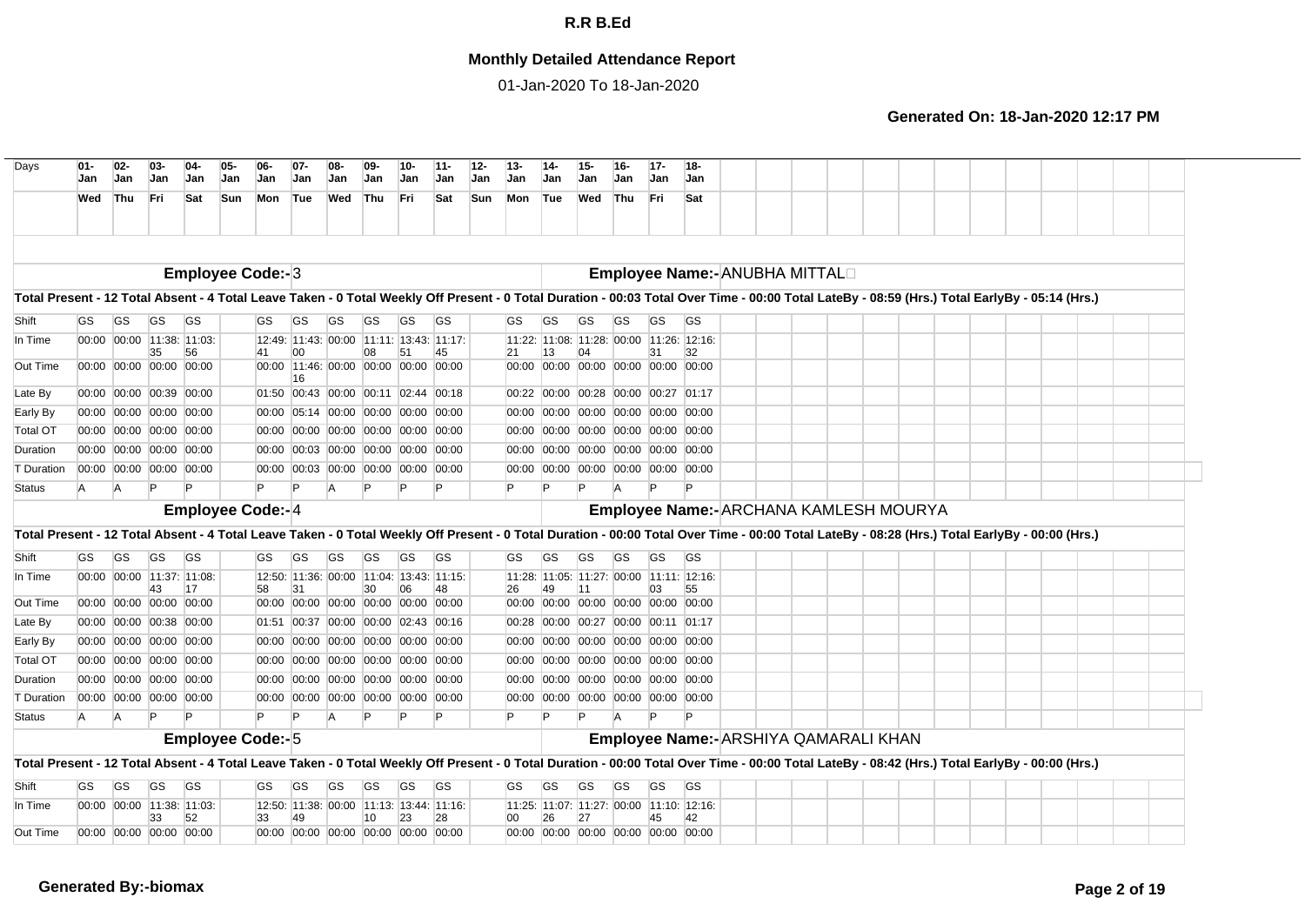## **Monthly Detailed Attendance Report**

01-Jan-2020 To 18-Jan-2020

| Days                                                                                                                                                                                           | $01 -$<br>Jan | $02-$<br><b>Jan</b> | $03-$<br><b>Jan</b>                                | $04-$<br><b>Jan</b> | 05-<br>Jan | 06<br><b>Jan</b>        | $07 -$<br>Jan | 08-<br>Jan                                                                 | 09-<br>Jan | 10-<br>Jan | $11 -$<br>Jan | $12-$<br>$13 -$<br>Jan<br>Jan | $14 -$<br>Jan                                                              | $15 -$<br>Jan | $16 -$<br>Jan                 | $17-$<br>Jan | $18-$<br><b>Jan</b>                    |  |  |  |  |  |  |
|------------------------------------------------------------------------------------------------------------------------------------------------------------------------------------------------|---------------|---------------------|----------------------------------------------------|---------------------|------------|-------------------------|---------------|----------------------------------------------------------------------------|------------|------------|---------------|-------------------------------|----------------------------------------------------------------------------|---------------|-------------------------------|--------------|----------------------------------------|--|--|--|--|--|--|
|                                                                                                                                                                                                | Wed           | lThu                | Fri                                                | Sat                 | Sun        | Mon Tue                 |               | Wed                                                                        | Thu        | Fri        | Sat           | <b>Sun</b><br>Mon             | Tue                                                                        | Wed           | Thu                           | Fri          | Sat                                    |  |  |  |  |  |  |
|                                                                                                                                                                                                |               |                     |                                                    |                     |            |                         |               |                                                                            |            |            |               |                               |                                                                            |               |                               |              |                                        |  |  |  |  |  |  |
|                                                                                                                                                                                                |               |                     |                                                    |                     |            | <b>Employee Code:-3</b> |               |                                                                            |            |            |               |                               |                                                                            |               |                               |              | Employee Name:- ANUBHA MITTALO         |  |  |  |  |  |  |
| Total Present - 12 Total Absent - 4 Total Leave Taken - 0 Total Weekly Off Present - 0 Total Duration - 00:03 Total Over Time - 00:00 Total LateBy - 08:59 (Hrs.) Total EarlyBy - 05:14 (Hrs.) |               |                     |                                                    |                     |            |                         |               |                                                                            |            |            |               |                               |                                                                            |               |                               |              |                                        |  |  |  |  |  |  |
| Shift                                                                                                                                                                                          | GS            | <b>GS</b>           | GS                                                 | <b>GS</b>           |            | GS                      | GS            | <b>GS</b>                                                                  | GS         | GS         | <b>GS</b>     | GS.                           | GS                                                                         | <b>GS</b>     | <b>GS</b>                     | GS           | <b>GS</b>                              |  |  |  |  |  |  |
| In Time                                                                                                                                                                                        |               |                     | 00:00 00:00 11:38: 11:03:                          |                     |            |                         |               | 12:49: 11:43: 00:00 11:11: 13:43: 11:17:                                   |            |            |               |                               | 11:22: 11:08: 11:28: 00:00 11:26: 12:16:                                   |               |                               |              |                                        |  |  |  |  |  |  |
| Out Time                                                                                                                                                                                       |               |                     | 35<br>00:00 00:00 00:00 00:00                      | 56                  |            |                         | 00            | 00:00 11:46: 00:00 00:00 00:00 00:00                                       | 08         | 51         | 45            | 21                            | 13<br>00:00 00:00 00:00 00:00 00:00 00:00                                  | 04            |                               | 31           |                                        |  |  |  |  |  |  |
| Late By                                                                                                                                                                                        |               |                     | 00:00 00:00 00:39 00:00                            |                     |            |                         | 16            | 01:50 00:43 00:00 00:11 02:44 00:18                                        |            |            |               | 00:22                         |                                                                            |               | 00:00 00:28 00:00 00:27 01:17 |              |                                        |  |  |  |  |  |  |
| Early By                                                                                                                                                                                       |               |                     | 00:00 00:00 00:00 00:00                            |                     |            |                         |               | 00:00 05:14 00:00 00:00 00:00 00:00                                        |            |            |               |                               | 00:00 00:00 00:00 00:00 00:00 00:00                                        |               |                               |              |                                        |  |  |  |  |  |  |
| <b>Total OT</b>                                                                                                                                                                                |               |                     | 00:00 00:00 00:00 00:00                            |                     |            |                         |               | 00:00 00:00 00:00 00:00 00:00 00:00                                        |            |            |               |                               | 00:00 00:00 00:00 00:00 00:00 00:00                                        |               |                               |              |                                        |  |  |  |  |  |  |
| Duration                                                                                                                                                                                       |               |                     | 00:00 00:00 00:00 00:00                            |                     |            |                         |               | 00:00 00:03 00:00 00:00 00:00 00:00                                        |            |            |               |                               | 00:00 00:00 00:00 00:00 00:00 00:00                                        |               |                               |              |                                        |  |  |  |  |  |  |
| T Duration                                                                                                                                                                                     |               |                     | 00:00 00:00 00:00 00:00                            |                     |            |                         |               | 00:00 00:03 00:00 00:00 00:00 00:00                                        |            |            |               |                               | 00:00 00:00 00:00 00:00 00:00 00:00                                        |               |                               |              |                                        |  |  |  |  |  |  |
|                                                                                                                                                                                                |               |                     |                                                    |                     |            |                         |               |                                                                            |            |            |               |                               |                                                                            |               |                               |              |                                        |  |  |  |  |  |  |
| <b>Status</b>                                                                                                                                                                                  | A             | IA.                 |                                                    |                     |            |                         | Þ             | A                                                                          |            |            |               |                               |                                                                            |               |                               |              |                                        |  |  |  |  |  |  |
|                                                                                                                                                                                                |               |                     |                                                    |                     |            | <b>Employee Code:-4</b> |               |                                                                            |            |            |               |                               |                                                                            |               |                               |              | Employee Name:- ARCHANA KAMLESH MOURYA |  |  |  |  |  |  |
| Total Present - 12 Total Absent - 4 Total Leave Taken - 0 Total Weekly Off Present - 0 Total Duration - 00:00 Total Over Time - 00:00 Total LateBy - 08:28 (Hrs.) Total EarlyBy - 00:00 (Hrs.) |               |                     |                                                    |                     |            |                         |               |                                                                            |            |            |               |                               |                                                                            |               |                               |              |                                        |  |  |  |  |  |  |
| Shift                                                                                                                                                                                          | GS            | GS                  | <b>GS</b>                                          | <b>GS</b>           |            | GS                      | GS            | GS                                                                         | GS         | GS         | <b>GS</b>     | GS                            | GS                                                                         | GS            | GS                            | GS           | <b>GS</b>                              |  |  |  |  |  |  |
| In Time                                                                                                                                                                                        |               |                     | 00:00 00:00 11:37: 11:08:                          |                     |            |                         |               | 12:50: 11:36: 00:00 11:04: 13:43: 11:15:                                   |            |            |               |                               | 11:28: 11:05: 11:27: 00:00 11:11: 12:16:                                   |               |                               |              |                                        |  |  |  |  |  |  |
|                                                                                                                                                                                                |               |                     | 43                                                 | 17                  |            | 58                      | 31            |                                                                            | 30         | 06         | 48            | 26                            | 49                                                                         | 111           |                               | 03           | 55                                     |  |  |  |  |  |  |
| Out Time<br>Late By                                                                                                                                                                            |               |                     | 00:00 00:00 00:00 00:00<br>00:00 00:00 00:38 00:00 |                     |            |                         |               | 00:00 00:00 00:00 00:00 00:00 00:00<br>01:51 00:37 00:00 00:00 02:43 00:16 |            |            |               |                               | 00:00 00:00 00:00 00:00 00:00 00:00<br>00:28 00:00 00:27 00:00 00:11 01:17 |               |                               |              |                                        |  |  |  |  |  |  |
| Early By                                                                                                                                                                                       |               |                     | 00:00 00:00 00:00 00:00                            |                     |            |                         |               | 00:00 00:00 00:00 00:00 00:00 00:00                                        |            |            |               | 00:00                         |                                                                            |               | 00:00 00:00 00:00 00:00 00:00 |              |                                        |  |  |  |  |  |  |
| <b>Total OT</b>                                                                                                                                                                                |               |                     | 00:00 00:00 00:00 00:00                            |                     |            |                         |               | 00:00 00:00 00:00 00:00 00:00 00:00                                        |            |            |               |                               | 00:00 00:00 00:00 00:00 00:00 00:00                                        |               |                               |              |                                        |  |  |  |  |  |  |
| Duration                                                                                                                                                                                       |               |                     | 00:00 00:00 00:00 00:00                            |                     |            |                         |               | 00:00 00:00 00:00 00:00 00:00 00:00                                        |            |            |               |                               | 00:00 00:00 00:00 00:00 00:00 00:00                                        |               |                               |              |                                        |  |  |  |  |  |  |
| T Duration                                                                                                                                                                                     |               |                     | 00:00 00:00 00:00 00:00                            |                     |            |                         |               | 00:00 00:00 00:00 00:00 00:00 00:00                                        |            |            |               |                               | 00:00 00:00 00:00 00:00 00:00 00:00                                        |               |                               |              |                                        |  |  |  |  |  |  |
| <b>Status</b>                                                                                                                                                                                  | A             | A                   |                                                    |                     |            | P                       | P             | A                                                                          |            |            |               |                               |                                                                            | P             | A                             | P            |                                        |  |  |  |  |  |  |
|                                                                                                                                                                                                |               |                     |                                                    |                     |            | <b>Employee Code:-5</b> |               |                                                                            |            |            |               |                               |                                                                            |               |                               |              | Employee Name:- ARSHIYA QAMARALI KHAN  |  |  |  |  |  |  |
| Total Present - 12 Total Absent - 4 Total Leave Taken - 0 Total Weekly Off Present - 0 Total Duration - 00:00 Total Over Time - 00:00 Total LateBy - 08:42 (Hrs.) Total EarlyBy - 00:00 (Hrs.) |               |                     |                                                    |                     |            |                         |               |                                                                            |            |            |               |                               |                                                                            |               |                               |              |                                        |  |  |  |  |  |  |
| Shift                                                                                                                                                                                          | GS            | GS                  | <b>GS</b>                                          | <b>GS</b>           |            | GS                      | GS            | GS                                                                         | GS         | GS         | <b>GS</b>     | GS                            | GS                                                                         | GS            | GS                            | GS           | <b>GS</b>                              |  |  |  |  |  |  |
| In Time                                                                                                                                                                                        |               |                     | 00:00 00:00 11:38: 11:03:<br>33                    | 52                  |            | 33                      | 49            | 12:50: 11:38: 00:00 11:13: 13:44: 11:16:                                   | 10         | 23         | 28            | 00                            | 11:25: 11:07: 11:27: 00:00 11:10: 12:16:<br>26                             | 27            |                               | 45           | 42                                     |  |  |  |  |  |  |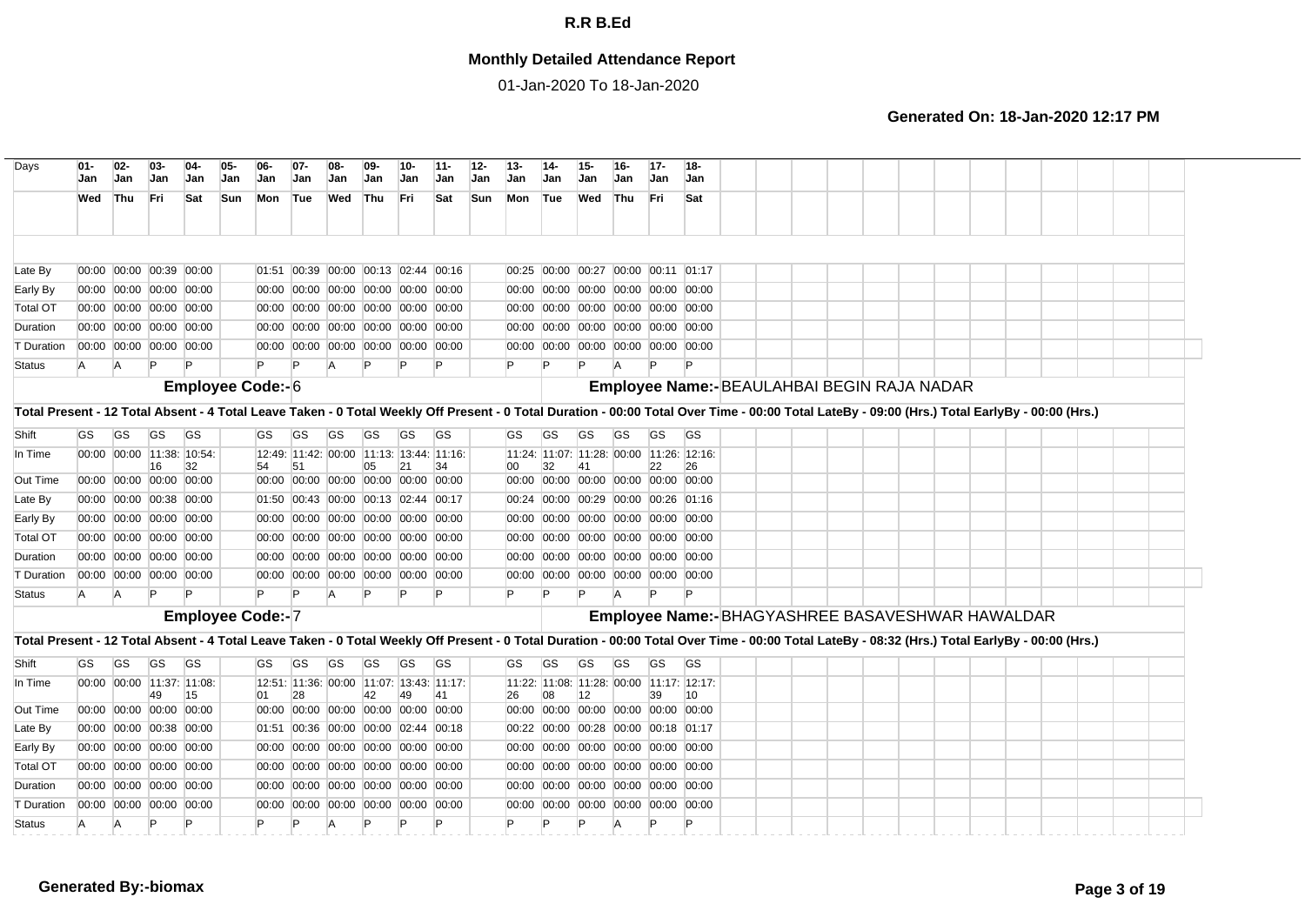## **Monthly Detailed Attendance Report**

01-Jan-2020 To 18-Jan-2020

| Jan       | $02-$<br>Jan | $03 -$<br>Jan                               | 04-<br>Jan                | 05-<br>Jan                                                                                                                                                                                                                                                                                                                                                                                                                                                                                                                                                  | 06-<br>Jan | $07-$<br>Jan | 08-<br>Jan                                               | 09-<br>Jan   | $10-$<br>Jan | $11 -$<br>Jan    | $12 -$<br>Jan                                                                                                                                                                                                                                                                                                                                                                                                                                                                                                                                                                                                                                                                                                                                                                      | $13 -$<br>Jan | Jan | <b>Jan</b> | 16-<br>Jan     | $17-$<br>Jan         | 18-<br>Jan                    |                                                                                                                                                                                                                                                                                                                                                                                                                                                                                                                                                                                                                                                                                                                                                                                   |  |  |  |                                            |                                                 |                                                                                                                                                                                                                                                                                                                                                                                                  |  |
|-----------|--------------|---------------------------------------------|---------------------------|-------------------------------------------------------------------------------------------------------------------------------------------------------------------------------------------------------------------------------------------------------------------------------------------------------------------------------------------------------------------------------------------------------------------------------------------------------------------------------------------------------------------------------------------------------------|------------|--------------|----------------------------------------------------------|--------------|--------------|------------------|------------------------------------------------------------------------------------------------------------------------------------------------------------------------------------------------------------------------------------------------------------------------------------------------------------------------------------------------------------------------------------------------------------------------------------------------------------------------------------------------------------------------------------------------------------------------------------------------------------------------------------------------------------------------------------------------------------------------------------------------------------------------------------|---------------|-----|------------|----------------|----------------------|-------------------------------|-----------------------------------------------------------------------------------------------------------------------------------------------------------------------------------------------------------------------------------------------------------------------------------------------------------------------------------------------------------------------------------------------------------------------------------------------------------------------------------------------------------------------------------------------------------------------------------------------------------------------------------------------------------------------------------------------------------------------------------------------------------------------------------|--|--|--|--------------------------------------------|-------------------------------------------------|--------------------------------------------------------------------------------------------------------------------------------------------------------------------------------------------------------------------------------------------------------------------------------------------------------------------------------------------------------------------------------------------------|--|
| Wed       |              | Fri                                         | Sat                       |                                                                                                                                                                                                                                                                                                                                                                                                                                                                                                                                                             | Mon        |              | Wed                                                      |              |              | Sat              |                                                                                                                                                                                                                                                                                                                                                                                                                                                                                                                                                                                                                                                                                                                                                                                    | Mon           |     |            |                |                      | Sat                           |                                                                                                                                                                                                                                                                                                                                                                                                                                                                                                                                                                                                                                                                                                                                                                                   |  |  |  |                                            |                                                 |                                                                                                                                                                                                                                                                                                                                                                                                  |  |
|           |              |                                             |                           |                                                                                                                                                                                                                                                                                                                                                                                                                                                                                                                                                             |            |              |                                                          |              |              |                  |                                                                                                                                                                                                                                                                                                                                                                                                                                                                                                                                                                                                                                                                                                                                                                                    |               |     |            |                |                      |                               |                                                                                                                                                                                                                                                                                                                                                                                                                                                                                                                                                                                                                                                                                                                                                                                   |  |  |  |                                            |                                                 |                                                                                                                                                                                                                                                                                                                                                                                                  |  |
|           |              |                                             |                           |                                                                                                                                                                                                                                                                                                                                                                                                                                                                                                                                                             |            |              |                                                          |              |              |                  |                                                                                                                                                                                                                                                                                                                                                                                                                                                                                                                                                                                                                                                                                                                                                                                    |               |     |            |                |                      |                               |                                                                                                                                                                                                                                                                                                                                                                                                                                                                                                                                                                                                                                                                                                                                                                                   |  |  |  |                                            |                                                 |                                                                                                                                                                                                                                                                                                                                                                                                  |  |
|           |              |                                             |                           |                                                                                                                                                                                                                                                                                                                                                                                                                                                                                                                                                             |            |              |                                                          |              |              |                  |                                                                                                                                                                                                                                                                                                                                                                                                                                                                                                                                                                                                                                                                                                                                                                                    |               |     |            |                |                      |                               |                                                                                                                                                                                                                                                                                                                                                                                                                                                                                                                                                                                                                                                                                                                                                                                   |  |  |  |                                            |                                                 |                                                                                                                                                                                                                                                                                                                                                                                                  |  |
|           |              |                                             |                           |                                                                                                                                                                                                                                                                                                                                                                                                                                                                                                                                                             |            |              |                                                          |              |              |                  |                                                                                                                                                                                                                                                                                                                                                                                                                                                                                                                                                                                                                                                                                                                                                                                    |               |     |            |                |                      |                               |                                                                                                                                                                                                                                                                                                                                                                                                                                                                                                                                                                                                                                                                                                                                                                                   |  |  |  |                                            |                                                 |                                                                                                                                                                                                                                                                                                                                                                                                  |  |
|           |              |                                             |                           |                                                                                                                                                                                                                                                                                                                                                                                                                                                                                                                                                             |            |              |                                                          |              |              |                  |                                                                                                                                                                                                                                                                                                                                                                                                                                                                                                                                                                                                                                                                                                                                                                                    |               |     |            |                |                      |                               |                                                                                                                                                                                                                                                                                                                                                                                                                                                                                                                                                                                                                                                                                                                                                                                   |  |  |  |                                            |                                                 |                                                                                                                                                                                                                                                                                                                                                                                                  |  |
| A         |              |                                             |                           |                                                                                                                                                                                                                                                                                                                                                                                                                                                                                                                                                             |            |              | A                                                        | $\mathsf{P}$ |              | P                |                                                                                                                                                                                                                                                                                                                                                                                                                                                                                                                                                                                                                                                                                                                                                                                    |               |     |            |                | $\mathsf{P}$         |                               |                                                                                                                                                                                                                                                                                                                                                                                                                                                                                                                                                                                                                                                                                                                                                                                   |  |  |  |                                            |                                                 |                                                                                                                                                                                                                                                                                                                                                                                                  |  |
|           |              |                                             |                           |                                                                                                                                                                                                                                                                                                                                                                                                                                                                                                                                                             |            |              |                                                          |              |              |                  |                                                                                                                                                                                                                                                                                                                                                                                                                                                                                                                                                                                                                                                                                                                                                                                    |               |     |            |                |                      |                               |                                                                                                                                                                                                                                                                                                                                                                                                                                                                                                                                                                                                                                                                                                                                                                                   |  |  |  |                                            |                                                 |                                                                                                                                                                                                                                                                                                                                                                                                  |  |
|           |              |                                             |                           |                                                                                                                                                                                                                                                                                                                                                                                                                                                                                                                                                             |            |              |                                                          |              |              |                  |                                                                                                                                                                                                                                                                                                                                                                                                                                                                                                                                                                                                                                                                                                                                                                                    |               |     |            |                |                      |                               |                                                                                                                                                                                                                                                                                                                                                                                                                                                                                                                                                                                                                                                                                                                                                                                   |  |  |  |                                            |                                                 |                                                                                                                                                                                                                                                                                                                                                                                                  |  |
|           |              |                                             |                           |                                                                                                                                                                                                                                                                                                                                                                                                                                                                                                                                                             |            |              |                                                          |              |              |                  |                                                                                                                                                                                                                                                                                                                                                                                                                                                                                                                                                                                                                                                                                                                                                                                    |               |     |            |                |                      |                               |                                                                                                                                                                                                                                                                                                                                                                                                                                                                                                                                                                                                                                                                                                                                                                                   |  |  |  |                                            |                                                 |                                                                                                                                                                                                                                                                                                                                                                                                  |  |
|           |              |                                             |                           |                                                                                                                                                                                                                                                                                                                                                                                                                                                                                                                                                             |            |              |                                                          |              |              |                  |                                                                                                                                                                                                                                                                                                                                                                                                                                                                                                                                                                                                                                                                                                                                                                                    |               |     |            |                |                      |                               |                                                                                                                                                                                                                                                                                                                                                                                                                                                                                                                                                                                                                                                                                                                                                                                   |  |  |  |                                            |                                                 |                                                                                                                                                                                                                                                                                                                                                                                                  |  |
|           |              | 16                                          | 32                        |                                                                                                                                                                                                                                                                                                                                                                                                                                                                                                                                                             | 54         | 51           |                                                          | 05           | 21           | 34               |                                                                                                                                                                                                                                                                                                                                                                                                                                                                                                                                                                                                                                                                                                                                                                                    | 00            | 32  | 41         |                | 22                   | 26                            |                                                                                                                                                                                                                                                                                                                                                                                                                                                                                                                                                                                                                                                                                                                                                                                   |  |  |  |                                            |                                                 |                                                                                                                                                                                                                                                                                                                                                                                                  |  |
|           |              |                                             |                           |                                                                                                                                                                                                                                                                                                                                                                                                                                                                                                                                                             |            |              |                                                          |              |              |                  |                                                                                                                                                                                                                                                                                                                                                                                                                                                                                                                                                                                                                                                                                                                                                                                    |               |     |            |                |                      |                               |                                                                                                                                                                                                                                                                                                                                                                                                                                                                                                                                                                                                                                                                                                                                                                                   |  |  |  |                                            |                                                 |                                                                                                                                                                                                                                                                                                                                                                                                  |  |
|           |              |                                             |                           |                                                                                                                                                                                                                                                                                                                                                                                                                                                                                                                                                             |            |              |                                                          |              |              |                  |                                                                                                                                                                                                                                                                                                                                                                                                                                                                                                                                                                                                                                                                                                                                                                                    |               |     |            |                |                      |                               |                                                                                                                                                                                                                                                                                                                                                                                                                                                                                                                                                                                                                                                                                                                                                                                   |  |  |  |                                            |                                                 |                                                                                                                                                                                                                                                                                                                                                                                                  |  |
|           |              |                                             |                           |                                                                                                                                                                                                                                                                                                                                                                                                                                                                                                                                                             |            |              |                                                          |              |              |                  |                                                                                                                                                                                                                                                                                                                                                                                                                                                                                                                                                                                                                                                                                                                                                                                    |               |     |            |                |                      |                               |                                                                                                                                                                                                                                                                                                                                                                                                                                                                                                                                                                                                                                                                                                                                                                                   |  |  |  |                                            |                                                 |                                                                                                                                                                                                                                                                                                                                                                                                  |  |
|           |              |                                             |                           |                                                                                                                                                                                                                                                                                                                                                                                                                                                                                                                                                             |            |              |                                                          |              |              |                  |                                                                                                                                                                                                                                                                                                                                                                                                                                                                                                                                                                                                                                                                                                                                                                                    |               |     |            |                |                      |                               |                                                                                                                                                                                                                                                                                                                                                                                                                                                                                                                                                                                                                                                                                                                                                                                   |  |  |  |                                            |                                                 |                                                                                                                                                                                                                                                                                                                                                                                                  |  |
|           |              |                                             |                           |                                                                                                                                                                                                                                                                                                                                                                                                                                                                                                                                                             |            |              |                                                          |              |              |                  |                                                                                                                                                                                                                                                                                                                                                                                                                                                                                                                                                                                                                                                                                                                                                                                    |               |     |            |                |                      |                               |                                                                                                                                                                                                                                                                                                                                                                                                                                                                                                                                                                                                                                                                                                                                                                                   |  |  |  |                                            |                                                 |                                                                                                                                                                                                                                                                                                                                                                                                  |  |
|           |              |                                             |                           |                                                                                                                                                                                                                                                                                                                                                                                                                                                                                                                                                             |            |              |                                                          |              |              |                  |                                                                                                                                                                                                                                                                                                                                                                                                                                                                                                                                                                                                                                                                                                                                                                                    |               |     |            |                |                      |                               |                                                                                                                                                                                                                                                                                                                                                                                                                                                                                                                                                                                                                                                                                                                                                                                   |  |  |  |                                            |                                                 |                                                                                                                                                                                                                                                                                                                                                                                                  |  |
| A         |              | P                                           |                           |                                                                                                                                                                                                                                                                                                                                                                                                                                                                                                                                                             |            |              | A                                                        | P            |              | Þ                |                                                                                                                                                                                                                                                                                                                                                                                                                                                                                                                                                                                                                                                                                                                                                                                    | P             | P   |            | $\overline{A}$ | P                    |                               |                                                                                                                                                                                                                                                                                                                                                                                                                                                                                                                                                                                                                                                                                                                                                                                   |  |  |  |                                            |                                                 |                                                                                                                                                                                                                                                                                                                                                                                                  |  |
|           |              |                                             |                           |                                                                                                                                                                                                                                                                                                                                                                                                                                                                                                                                                             |            |              |                                                          |              |              |                  |                                                                                                                                                                                                                                                                                                                                                                                                                                                                                                                                                                                                                                                                                                                                                                                    |               |     |            |                |                      |                               |                                                                                                                                                                                                                                                                                                                                                                                                                                                                                                                                                                                                                                                                                                                                                                                   |  |  |  |                                            |                                                 |                                                                                                                                                                                                                                                                                                                                                                                                  |  |
|           |              |                                             |                           |                                                                                                                                                                                                                                                                                                                                                                                                                                                                                                                                                             |            |              |                                                          |              |              |                  |                                                                                                                                                                                                                                                                                                                                                                                                                                                                                                                                                                                                                                                                                                                                                                                    |               |     |            |                |                      |                               |                                                                                                                                                                                                                                                                                                                                                                                                                                                                                                                                                                                                                                                                                                                                                                                   |  |  |  |                                            |                                                 |                                                                                                                                                                                                                                                                                                                                                                                                  |  |
| <b>GS</b> |              | <b>GS</b>                                   |                           |                                                                                                                                                                                                                                                                                                                                                                                                                                                                                                                                                             | GS         | GS           | <b>GS</b>                                                | <b>GS</b>    | GS           | <b>GS</b>        |                                                                                                                                                                                                                                                                                                                                                                                                                                                                                                                                                                                                                                                                                                                                                                                    | GS.           | GS  | <b>GS</b>  | <b>GS</b>      | <b>GS</b>            | <b>GS</b>                     |                                                                                                                                                                                                                                                                                                                                                                                                                                                                                                                                                                                                                                                                                                                                                                                   |  |  |  |                                            |                                                 |                                                                                                                                                                                                                                                                                                                                                                                                  |  |
|           |              |                                             |                           |                                                                                                                                                                                                                                                                                                                                                                                                                                                                                                                                                             |            |              |                                                          |              |              |                  |                                                                                                                                                                                                                                                                                                                                                                                                                                                                                                                                                                                                                                                                                                                                                                                    |               |     |            |                |                      |                               |                                                                                                                                                                                                                                                                                                                                                                                                                                                                                                                                                                                                                                                                                                                                                                                   |  |  |  |                                            |                                                 |                                                                                                                                                                                                                                                                                                                                                                                                  |  |
|           |              | 49                                          | 15                        |                                                                                                                                                                                                                                                                                                                                                                                                                                                                                                                                                             | 01         | 28           |                                                          | 42           | 49           | 41               |                                                                                                                                                                                                                                                                                                                                                                                                                                                                                                                                                                                                                                                                                                                                                                                    | 26            | 08  | 12         |                |                      | 10                            |                                                                                                                                                                                                                                                                                                                                                                                                                                                                                                                                                                                                                                                                                                                                                                                   |  |  |  |                                            |                                                 |                                                                                                                                                                                                                                                                                                                                                                                                  |  |
|           |              |                                             |                           |                                                                                                                                                                                                                                                                                                                                                                                                                                                                                                                                                             |            |              |                                                          |              |              |                  |                                                                                                                                                                                                                                                                                                                                                                                                                                                                                                                                                                                                                                                                                                                                                                                    |               |     |            |                |                      |                               |                                                                                                                                                                                                                                                                                                                                                                                                                                                                                                                                                                                                                                                                                                                                                                                   |  |  |  |                                            |                                                 |                                                                                                                                                                                                                                                                                                                                                                                                  |  |
|           |              |                                             |                           |                                                                                                                                                                                                                                                                                                                                                                                                                                                                                                                                                             |            |              |                                                          |              |              |                  |                                                                                                                                                                                                                                                                                                                                                                                                                                                                                                                                                                                                                                                                                                                                                                                    |               |     |            |                |                      |                               |                                                                                                                                                                                                                                                                                                                                                                                                                                                                                                                                                                                                                                                                                                                                                                                   |  |  |  |                                            |                                                 |                                                                                                                                                                                                                                                                                                                                                                                                  |  |
|           |              |                                             |                           |                                                                                                                                                                                                                                                                                                                                                                                                                                                                                                                                                             |            |              |                                                          |              |              |                  |                                                                                                                                                                                                                                                                                                                                                                                                                                                                                                                                                                                                                                                                                                                                                                                    |               |     |            |                |                      |                               |                                                                                                                                                                                                                                                                                                                                                                                                                                                                                                                                                                                                                                                                                                                                                                                   |  |  |  |                                            |                                                 |                                                                                                                                                                                                                                                                                                                                                                                                  |  |
|           |              |                                             |                           |                                                                                                                                                                                                                                                                                                                                                                                                                                                                                                                                                             |            |              |                                                          |              |              |                  |                                                                                                                                                                                                                                                                                                                                                                                                                                                                                                                                                                                                                                                                                                                                                                                    |               |     |            |                |                      |                               |                                                                                                                                                                                                                                                                                                                                                                                                                                                                                                                                                                                                                                                                                                                                                                                   |  |  |  |                                            |                                                 |                                                                                                                                                                                                                                                                                                                                                                                                  |  |
|           |              |                                             |                           |                                                                                                                                                                                                                                                                                                                                                                                                                                                                                                                                                             |            |              |                                                          |              |              |                  |                                                                                                                                                                                                                                                                                                                                                                                                                                                                                                                                                                                                                                                                                                                                                                                    |               |     |            |                |                      |                               |                                                                                                                                                                                                                                                                                                                                                                                                                                                                                                                                                                                                                                                                                                                                                                                   |  |  |  |                                            |                                                 |                                                                                                                                                                                                                                                                                                                                                                                                  |  |
|           | A            | P                                           | P                         |                                                                                                                                                                                                                                                                                                                                                                                                                                                                                                                                                             |            |              |                                                          | P            |              | P                |                                                                                                                                                                                                                                                                                                                                                                                                                                                                                                                                                                                                                                                                                                                                                                                    |               | P   | P          | A              | P                    |                               |                                                                                                                                                                                                                                                                                                                                                                                                                                                                                                                                                                                                                                                                                                                                                                                   |  |  |  |                                            |                                                 |                                                                                                                                                                                                                                                                                                                                                                                                  |  |
|           | <b>GS</b>    | Thu<br>IA.<br><b>GS</b><br>IA.<br><b>GS</b> | $\mathsf{P}$<br><b>GS</b> | 00:00 00:00 00:39 00:00<br>00:00 00:00 00:00 00:00<br>00:00 00:00 00:00 00:00<br>00:00 00:00 00:00 00:00<br>00:00 00:00 00:00 00:00<br><b>GS</b><br>00:00 00:00 11:38: 10:54:<br>00:00 00:00 00:00 00:00<br>00:00 00:00 00:38 00:00<br>00:00 00:00 00:00 00:00<br>00:00 00:00 00:00 00:00<br>00:00 00:00 00:00 00:00<br>00:00 00:00 00:00 00:00<br><b>GS</b><br>00:00 00:00 11:37: 11:08:<br>00:00 00:00 00:00 00:00<br>00:00 00:00 00:38 00:00<br>00:00 00:00 00:00 00:00<br>00:00 00:00 00:00 00:00<br>00:00 00:00 00:00 00:00<br>00:00 00:00 00:00 00:00 | <b>Sun</b> | GS.<br>01:51 | Tue<br>Employee Code:-6<br>GS<br><b>Employee Code:-7</b> | <b>GS</b>    | Thu<br>GS    | Fri<br><b>GS</b> | 01:51 00:39 00:00 00:13 02:44 00:16<br>00:00 00:00 00:00 00:00 00:00 00:00<br>00:00 00:00 00:00 00:00 00:00 00:00<br>00:00 00:00 00:00 00:00 00:00 00:00<br>00:00 00:00 00:00 00:00 00:00 00:00<br><b>GS</b><br>12:49: 11:42: 00:00 11:13: 13:44: 11:16:<br>00:00 00:00 00:00 00:00 00:00 00:00<br>01:50 00:43 00:00 00:13 02:44 00:17<br>00:00 00:00 00:00 00:00 00:00 00:00<br>00:00 00:00 00:00 00:00 00:00 00:00<br>00:00 00:00 00:00 00:00 00:00 00:00<br>00:00 00:00 00:00 00:00 00:00 00:00<br>12:51: 11:36: 00:00 11:07: 13:43: 11:17:<br>00:00 00:00 00:00 00:00 00:00 00:00<br>00:36 00:00 00:00 02:44 00:18<br>00:00 00:00 00:00 00:00 00:00 00:00<br>00:00 00:00 00:00 00:00 00:00 00:00<br>00:00 00:00 00:00 00:00 00:00 00:00<br>00:00 00:00 00:00 00:00 00:00 00:00 | <b>Sun</b>    | GS. | Tue<br>GS  | <b>GS</b>      | Wed Thu<br><b>GS</b> | <b>Fri</b><br><b>GS</b><br>39 | 00:25 00:00 00:27 00:00 00:11 01:17<br>00:00 00:00 00:00 00:00 00:00 00:00<br>00:00 00:00 00:00 00:00 00:00 00:00<br>00:00 00:00 00:00 00:00 00:00 00:00<br>00:00 00:00 00:00 00:00 00:00 00:00<br>GS<br>11:24: 11:07: 11:28: 00:00 11:26: 12:16:<br>00:00 00:00 00:00 00:00 00:00 00:00<br>00:24 00:00 00:29 00:00 00:26 01:16<br>00:00 00:00 00:00 00:00 00:00 00:00<br>00:00 00:00 00:00 00:00 00:00 00:00<br>00:00 00:00 00:00 00:00 00:00 00:00<br>00:00 00:00 00:00 00:00 00:00 00:00<br>11:22: 11:08: 11:28: 00:00 11:17: 12:17:<br>00:00 00:00 00:00 00:00 00:00 00:00<br>00:22 00:00 00:28 00:00 00:18 01:17<br>00:00 00:00 00:00 00:00 00:00 00:00<br>00:00 00:00 00:00 00:00 00:00 00:00<br>00:00 00:00 00:00 00:00 00:00 00:00<br>00:00 00:00 00:00 00:00 00:00 00:00 |  |  |  | Employee Name:-BEAULAHBAI BEGIN RAJA NADAR | Employee Name:-BHAGYASHREE BASAVESHWAR HAWALDAR | Total Present - 12 Total Absent - 4 Total Leave Taken - 0 Total Weekly Off Present - 0 Total Duration - 00:00 Total Over Time - 00:00 Total LateBy - 09:00 (Hrs.) Total EarlyBy - 00:00 (Hrs.)<br>Total Present - 12 Total Absent - 4 Total Leave Taken - 0 Total Weekly Off Present - 0 Total Duration - 00:00 Total Over Time - 00:00 Total LateBy - 08:32 (Hrs.) Total EarlyBy - 00:00 (Hrs.) |  |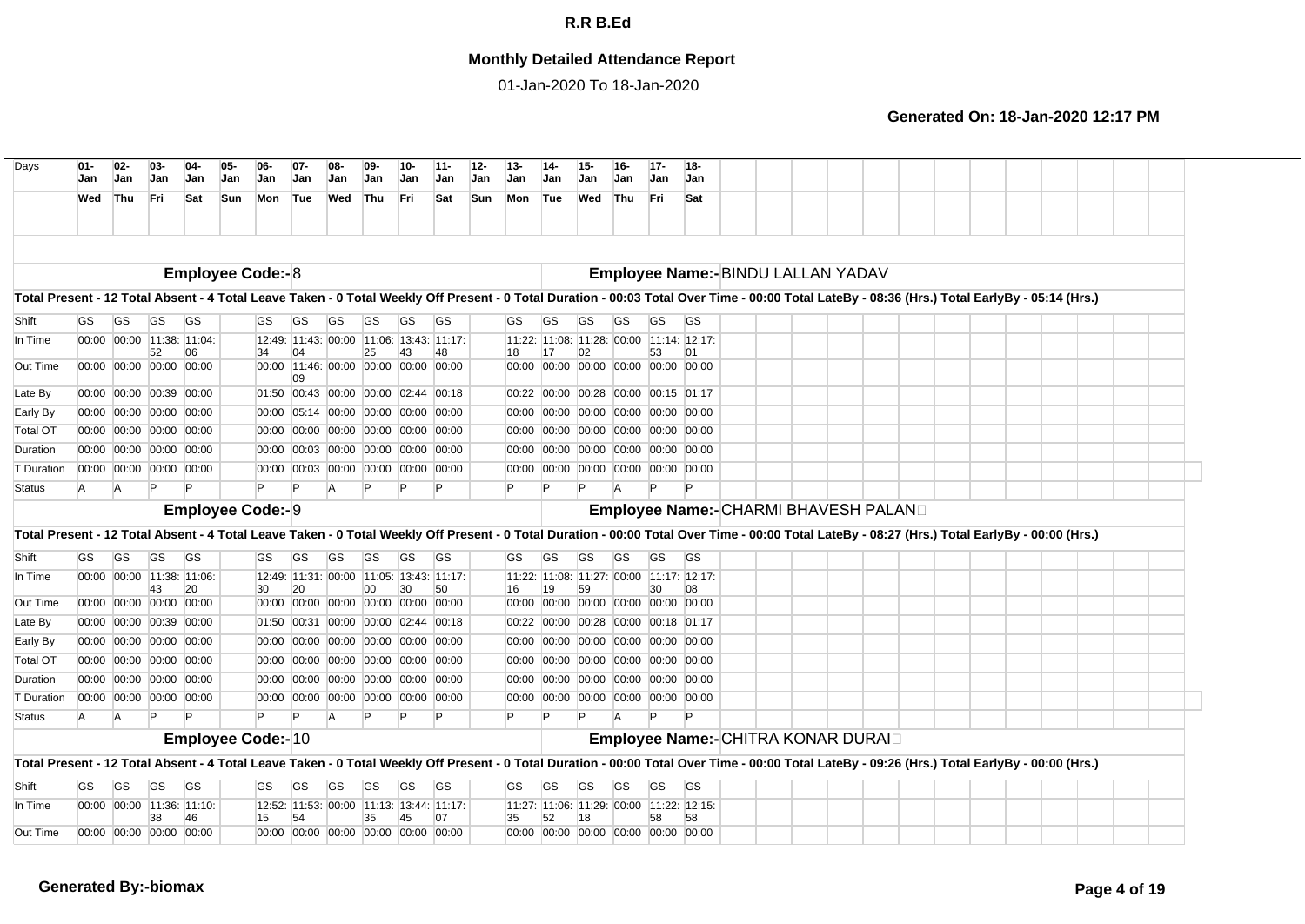## **Monthly Detailed Attendance Report**

01-Jan-2020 To 18-Jan-2020

| Days                                                                                                                                                                                           | $01 -$<br>Jan | $02-$<br><b>Jan</b>     | $03-$<br>Jan | $04-$<br><b>Jan</b>       | $05 -$<br>Jan | 06-<br>Jan               | $07 -$<br>Jan                              | 08-<br>Jan | $09-$<br>Jan | $10-$<br>Jan | $11 -$<br>Jan                            | $12-$<br>Jan | $13 -$<br><b>Jan</b> | $14-$<br>Jan | $15 -$<br>Jan | $16 -$<br><b>Jan</b> | $17 -$<br>Jan | 18-<br><b>Jan</b>                         |  |  |  |  |  |  |  |
|------------------------------------------------------------------------------------------------------------------------------------------------------------------------------------------------|---------------|-------------------------|--------------|---------------------------|---------------|--------------------------|--------------------------------------------|------------|--------------|--------------|------------------------------------------|--------------|----------------------|--------------|---------------|----------------------|---------------|-------------------------------------------|--|--|--|--|--|--|--|
|                                                                                                                                                                                                | Wed Thu       |                         | Fri          | Sat                       | <b>Sun</b>    | Mon                      | Tue                                        | Wed Thu    |              | Fri          | Sat                                      | <b>Sun</b>   | Mon                  | Tue          | Wed           | Thu                  | Fri           | Sat                                       |  |  |  |  |  |  |  |
|                                                                                                                                                                                                |               |                         |              |                           |               |                          |                                            |            |              |              |                                          |              |                      |              |               |                      |               |                                           |  |  |  |  |  |  |  |
|                                                                                                                                                                                                |               |                         |              |                           |               | <b>Employee Code:-8</b>  |                                            |            |              |              |                                          |              |                      |              |               |                      |               | Employee Name:- BINDU LALLAN YADAV        |  |  |  |  |  |  |  |
| Total Present - 12 Total Absent - 4 Total Leave Taken - 0 Total Weekly Off Present - 0 Total Duration - 00:03 Total Over Time - 00:00 Total LateBy - 08:36 (Hrs.) Total EarlyBy - 05:14 (Hrs.) |               |                         |              |                           |               |                          |                                            |            |              |              |                                          |              |                      |              |               |                      |               |                                           |  |  |  |  |  |  |  |
| Shift                                                                                                                                                                                          | GS            | GS                      | GS           | <b>GS</b>                 |               | GS                       | GS                                         | GS         | GS           | GS           | <b>GS</b>                                |              | GS                   | GS           | GS            | GS                   | GS            | GS                                        |  |  |  |  |  |  |  |
| In Time                                                                                                                                                                                        |               |                         |              | 00:00 00:00 11:38: 11:04: |               |                          | 12:49: 11:43: 00:00 11:06: 13:43: 11:17:   |            |              |              |                                          |              |                      |              |               |                      |               | 11:22: 11:08: 11:28: 00:00 11:14: 12:17:  |  |  |  |  |  |  |  |
| Out Time                                                                                                                                                                                       |               | 00:00 00:00 00:00 00:00 | 52           | 06                        |               | 34                       | 04<br>00:00 11:46: 00:00 00:00 00:00 00:00 |            | 25           | 43           |                                          |              | 18                   | 17           | 02            |                      | 53            | 00:00 00:00 00:00 00:00 00:00 00:00       |  |  |  |  |  |  |  |
| Late By                                                                                                                                                                                        |               | 00:00 00:00 00:39 00:00 |              |                           |               |                          | 09<br>01:50 00:43 00:00 00:00 02:44 00:18  |            |              |              |                                          |              |                      |              |               |                      |               | 00:22 00:00 00:28 00:00 00:15 01:17       |  |  |  |  |  |  |  |
| Early By                                                                                                                                                                                       |               | 00:00 00:00 00:00 00:00 |              |                           |               |                          | 00:00 05:14 00:00 00:00 00:00 00:00        |            |              |              |                                          |              |                      |              |               |                      |               | 00:00 00:00 00:00 00:00 00:00 00:00       |  |  |  |  |  |  |  |
| Total OT                                                                                                                                                                                       |               | 00:00 00:00 00:00 00:00 |              |                           |               |                          | 00:00 00:00 00:00 00:00 00:00 00:00        |            |              |              |                                          |              |                      |              |               |                      |               | 00:00 00:00 00:00 00:00 00:00 00:00       |  |  |  |  |  |  |  |
| Duration                                                                                                                                                                                       |               | 00:00 00:00 00:00 00:00 |              |                           |               |                          | 00:00 00:03 00:00 00:00 00:00 00:00        |            |              |              |                                          |              |                      |              |               |                      |               | 00:00 00:00 00:00 00:00 00:00 00:00       |  |  |  |  |  |  |  |
| T Duration                                                                                                                                                                                     |               | 00:00 00:00 00:00 00:00 |              |                           |               |                          | 00:00 00:03 00:00 00:00 00:00 00:00        |            |              |              |                                          |              |                      |              |               |                      |               | 00:00 00:00 00:00 00:00 00:00 00:00       |  |  |  |  |  |  |  |
| Status                                                                                                                                                                                         | A             | A                       |              |                           |               |                          | $\mathsf{P}$                               |            |              |              |                                          | P            |                      |              |               | $\overline{A}$       |               |                                           |  |  |  |  |  |  |  |
|                                                                                                                                                                                                |               |                         |              |                           |               | <b>Employee Code:- 9</b> |                                            |            |              |              |                                          |              |                      |              |               |                      |               | Employee Name:- CHARMI BHAVESH PALAND     |  |  |  |  |  |  |  |
| Total Present - 12 Total Absent - 4 Total Leave Taken - 0 Total Weekly Off Present - 0 Total Duration - 00:00 Total Over Time - 00:00 Total LateBy - 08:27 (Hrs.) Total EarlyBy - 00:00 (Hrs.) |               |                         |              |                           |               |                          |                                            |            |              |              |                                          |              |                      |              |               |                      |               |                                           |  |  |  |  |  |  |  |
| Shift                                                                                                                                                                                          | <b>GS</b>     | GS                      | <b>GS</b>    | <b>GS</b>                 |               | GS                       | GS                                         | <b>GS</b>  | GS           | <b>GS</b>    | <b>GS</b>                                |              | GS                   | GS           | <b>GS</b>     | <b>GS</b>            | <b>GS</b>     | <b>GS</b>                                 |  |  |  |  |  |  |  |
| In Time                                                                                                                                                                                        |               |                         |              | 00:00 00:00 11:38: 11:06: |               |                          |                                            |            |              |              | 12:49: 11:31: 00:00 11:05: 13:43: 11:17: |              |                      |              |               |                      |               | 11:22: 11:08: 11:27: 00:00 11:17: 12:17:  |  |  |  |  |  |  |  |
| Out Time                                                                                                                                                                                       |               | 00:00 00:00 00:00 00:00 | 43           | 20                        |               | 30                       | 20<br>00:00 00:00 00:00 00:00 00:00 00:00  |            | 00           | 30           | 50                                       |              | 16                   | 19           | 59            |                      | 30            | 08<br>00:00 00:00 00:00 00:00 00:00 00:00 |  |  |  |  |  |  |  |
| Late By                                                                                                                                                                                        |               | 00:00 00:00 00:39 00:00 |              |                           |               |                          | 01:50 00:31 00:00 00:00 02:44 00:18        |            |              |              |                                          |              |                      |              |               |                      |               | 00:22 00:00 00:28 00:00 00:18 01:17       |  |  |  |  |  |  |  |
| Early By                                                                                                                                                                                       |               | 00:00 00:00 00:00 00:00 |              |                           |               |                          | 00:00 00:00 00:00 00:00 00:00 00:00        |            |              |              |                                          |              |                      |              |               |                      |               | 00:00 00:00 00:00 00:00 00:00 00:00       |  |  |  |  |  |  |  |
| <b>Total OT</b>                                                                                                                                                                                |               | 00:00 00:00 00:00 00:00 |              |                           |               |                          | 00:00 00:00 00:00 00:00 00:00 00:00        |            |              |              |                                          |              |                      |              |               |                      |               | 00:00 00:00 00:00 00:00 00:00 00:00       |  |  |  |  |  |  |  |
| Duration                                                                                                                                                                                       |               | 00:00 00:00 00:00 00:00 |              |                           |               |                          | 00:00 00:00 00:00 00:00 00:00 00:00        |            |              |              |                                          |              | 00:00                |              |               |                      |               | 00:00 00:00 00:00 00:00 00:00             |  |  |  |  |  |  |  |
| <b>T</b> Duration                                                                                                                                                                              |               | 00:00 00:00 00:00 00:00 |              |                           |               |                          | 00:00 00:00 00:00 00:00 00:00 00:00        |            |              |              |                                          |              |                      |              |               |                      |               | 00:00 00:00 00:00 00:00 00:00 00:00       |  |  |  |  |  |  |  |
| <b>Status</b>                                                                                                                                                                                  | A             | A                       | P            |                           |               | P                        |                                            | A          | P            |              | P                                        | P            |                      |              |               | A                    | P             | P                                         |  |  |  |  |  |  |  |
|                                                                                                                                                                                                |               |                         |              |                           |               | Employee Code:-10        |                                            |            |              |              |                                          |              |                      |              |               |                      |               | Employee Name:- CHITRA KONAR DURAID       |  |  |  |  |  |  |  |
| Total Present - 12 Total Absent - 4 Total Leave Taken - 0 Total Weekly Off Present - 0 Total Duration - 00:00 Total Over Time - 00:00 Total LateBy - 09:26 (Hrs.) Total EarlyBy - 00:00 (Hrs.) |               |                         |              |                           |               |                          |                                            |            |              |              |                                          |              |                      |              |               |                      |               |                                           |  |  |  |  |  |  |  |
| Shift                                                                                                                                                                                          | GS            | GS                      | GS           | <b>GS</b>                 |               | GS                       | GS                                         | GS         | GS           | GS           | GS                                       |              | GS                   | GS           | GS            | GS                   | GS            | <b>GS</b>                                 |  |  |  |  |  |  |  |
| In Time                                                                                                                                                                                        |               |                         |              | 00:00 00:00 11:36: 11:10: |               |                          | 12:52: 11:53: 00:00 11:13: 13:44: 11:17:   |            |              |              |                                          |              |                      |              |               |                      |               | 11:27: 11:06: 11:29: 00:00 11:22: 12:15:  |  |  |  |  |  |  |  |
| Out Time                                                                                                                                                                                       |               | 00:00 00:00 00:00 00:00 | 38           | 46                        |               | 15                       | 54<br>00:00 00:00 00:00 00:00 00:00 00:00  |            | 35           | 45           | 07                                       | 35           |                      | 52           | 18            |                      | 58            | 58<br>00:00 00:00 00:00 00:00 00:00 00:00 |  |  |  |  |  |  |  |
|                                                                                                                                                                                                |               |                         |              |                           |               |                          |                                            |            |              |              |                                          |              |                      |              |               |                      |               |                                           |  |  |  |  |  |  |  |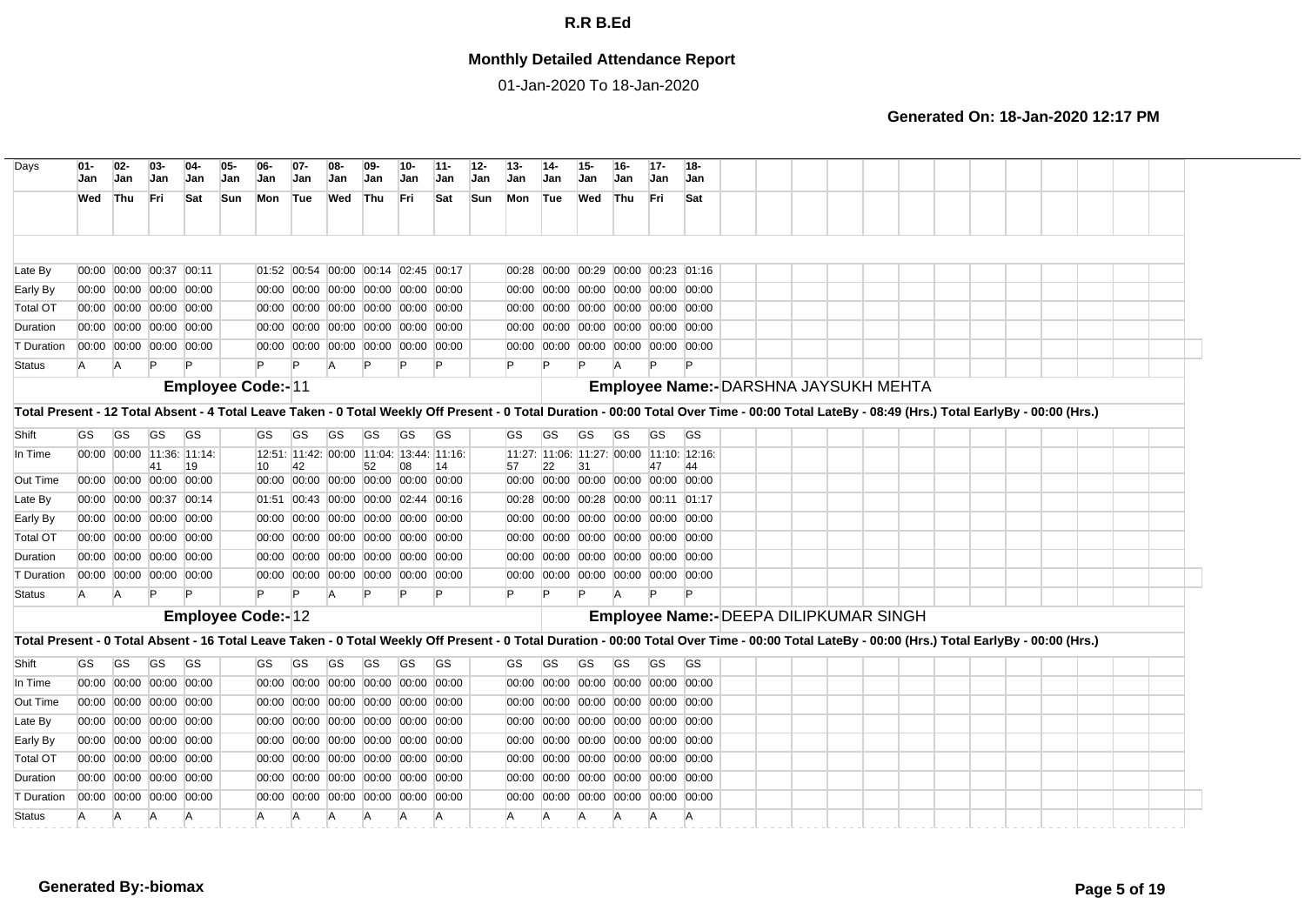## **Monthly Detailed Attendance Report**

01-Jan-2020 To 18-Jan-2020

| Days                                                                                                                                                                                           | Jan       | $02 -$<br>Jan | 03-<br>Jan                      | 04-<br>Jan | 05-<br>Jan | $06-$<br><b>Jan</b>      | $07-$<br>Jan | 08-<br>Jan                               | 09<br>Jan    | 10-<br>Jan | $11 -$<br>Jan | $12-$<br>Jan | 13-<br>Jan                                     | -14<br>Jan | 15-<br>Jan                          | Jan       | $17-$<br><b>Jan</b> | $18 -$<br><b>Jan</b>                   |  |  |  |  |  |  |  |
|------------------------------------------------------------------------------------------------------------------------------------------------------------------------------------------------|-----------|---------------|---------------------------------|------------|------------|--------------------------|--------------|------------------------------------------|--------------|------------|---------------|--------------|------------------------------------------------|------------|-------------------------------------|-----------|---------------------|----------------------------------------|--|--|--|--|--|--|--|
|                                                                                                                                                                                                | Wed       | Thu           | Fri                             | Sat        | Sun        | Mon                      | Tue          | Wed                                      | Thu          | Fri        | Sat           | Sun          | Mon                                            | Tue        | Wed Thu                             |           | Fri                 | Sat                                    |  |  |  |  |  |  |  |
|                                                                                                                                                                                                |           |               |                                 |            |            |                          |              |                                          |              |            |               |              |                                                |            |                                     |           |                     |                                        |  |  |  |  |  |  |  |
| Late By                                                                                                                                                                                        |           |               | 00:00 00:00 00:37 00:11         |            |            |                          |              | 01:52 00:54 00:00 00:14 02:45 00:17      |              |            |               |              | 00:28 00:00 00:29 00:00 00:23 01:16            |            |                                     |           |                     |                                        |  |  |  |  |  |  |  |
| Early By                                                                                                                                                                                       |           |               | 00:00 00:00 00:00 00:00         |            |            |                          |              | 00:00 00:00 00:00 00:00 00:00 00:00      |              |            |               |              |                                                |            | 00:00 00:00 00:00 00:00 00:00 00:00 |           |                     |                                        |  |  |  |  |  |  |  |
| <b>Total OT</b>                                                                                                                                                                                |           |               | 00:00 00:00 00:00 00:00         |            |            |                          |              | 00:00 00:00 00:00 00:00 00:00 00:00      |              |            |               |              |                                                |            | 00:00 00:00 00:00 00:00 00:00 00:00 |           |                     |                                        |  |  |  |  |  |  |  |
| Duration                                                                                                                                                                                       |           |               | 00:00 00:00 00:00 00:00         |            |            |                          |              | 00:00 00:00 00:00 00:00 00:00 00:00      |              |            |               |              |                                                |            | 00:00 00:00 00:00 00:00 00:00 00:00 |           |                     |                                        |  |  |  |  |  |  |  |
| T Duration                                                                                                                                                                                     |           |               | 00:00 00:00 00:00 00:00         |            |            |                          |              | 00:00 00:00 00:00 00:00 00:00 00:00      |              |            |               |              | 00:00 00:00 00:00 00:00 00:00 00:00            |            |                                     |           |                     |                                        |  |  |  |  |  |  |  |
| <b>Status</b>                                                                                                                                                                                  | A         | A             | $\mathsf{P}$                    |            |            | P                        |              | A                                        | $\mathsf{P}$ |            | P             |              |                                                |            |                                     |           |                     |                                        |  |  |  |  |  |  |  |
|                                                                                                                                                                                                |           |               |                                 |            |            | <b>Employee Code:-11</b> |              |                                          |              |            |               |              |                                                |            |                                     |           |                     | Employee Name:- DARSHNA JAYSUKH MEHTA  |  |  |  |  |  |  |  |
| Total Present - 12 Total Absent - 4 Total Leave Taken - 0 Total Weekly Off Present - 0 Total Duration - 00:00 Total Over Time - 00:00 Total LateBy - 08:49 (Hrs.) Total EarlyBy - 00:00 (Hrs.) |           |               |                                 |            |            |                          |              |                                          |              |            |               |              |                                                |            |                                     |           |                     |                                        |  |  |  |  |  |  |  |
| Shift                                                                                                                                                                                          | <b>GS</b> | <b>GS</b>     | <b>GS</b>                       | <b>GS</b>  |            | <b>GS</b>                | <b>GS</b>    | GS                                       | GS           | GS         | <b>GS</b>     |              | GS                                             | GS         | GS                                  | <b>GS</b> | GS                  | <b>GS</b>                              |  |  |  |  |  |  |  |
| In Time                                                                                                                                                                                        |           |               | 00:00 00:00 11:36: 11:14:<br>41 | 19         |            | 10                       | 42           | 12:51: 11:42: 00:00 11:04: 13:44: 11:16: | 52           | 08         | 14            |              | 11:27: 11:06: 11:27: 00:00 11:10: 12:16:<br>57 | 22         | 31                                  |           | 47                  | 44                                     |  |  |  |  |  |  |  |
| Out Time                                                                                                                                                                                       |           |               | 00:00 00:00 00:00 00:00         |            |            |                          |              | 00:00 00:00 00:00 00:00 00:00 00:00      |              |            |               |              | 00:00 00:00 00:00 00:00 00:00 00:00            |            |                                     |           |                     |                                        |  |  |  |  |  |  |  |
| Late By                                                                                                                                                                                        |           |               | 00:00 00:00 00:37 00:14         |            |            |                          |              | 01:51 00:43 00:00 00:00 02:44 00:16      |              |            |               |              | 00:28 00:00 00:28 00:00 00:11 01:17            |            |                                     |           |                     |                                        |  |  |  |  |  |  |  |
| Early By                                                                                                                                                                                       |           |               | 00:00 00:00 00:00 00:00         |            |            |                          |              | 00:00 00:00 00:00 00:00 00:00 00:00      |              |            |               |              | 00:00 00:00 00:00 00:00 00:00 00:00            |            |                                     |           |                     |                                        |  |  |  |  |  |  |  |
| <b>Total OT</b>                                                                                                                                                                                |           |               | 00:00 00:00 00:00 00:00         |            |            |                          |              | 00:00 00:00 00:00 00:00 00:00 00:00      |              |            |               |              | 00:00 00:00 00:00 00:00 00:00 00:00            |            |                                     |           |                     |                                        |  |  |  |  |  |  |  |
| Duration                                                                                                                                                                                       |           |               | 00:00 00:00 00:00 00:00         |            |            |                          |              | 00:00 00:00 00:00 00:00 00:00 00:00      |              |            |               |              | 00:00 00:00 00:00 00:00 00:00 00:00            |            |                                     |           |                     |                                        |  |  |  |  |  |  |  |
| T Duration                                                                                                                                                                                     |           |               | 00:00 00:00 00:00 00:00         |            |            |                          |              | 00:00 00:00 00:00 00:00 00:00 00:00      |              |            |               |              | 00:00 00:00 00:00 00:00 00:00 00:00            |            |                                     |           |                     |                                        |  |  |  |  |  |  |  |
| <b>Status</b>                                                                                                                                                                                  | <b>A</b>  | A             | $\mathsf{P}$                    |            |            |                          |              | A                                        |              |            |               |              |                                                |            |                                     | A         |                     |                                        |  |  |  |  |  |  |  |
|                                                                                                                                                                                                |           |               |                                 |            |            | <b>Employee Code:-12</b> |              |                                          |              |            |               |              |                                                |            |                                     |           |                     | Employee Name:- DEEPA DILIPKUMAR SINGH |  |  |  |  |  |  |  |
| Total Present - 0 Total Absent - 16 Total Leave Taken - 0 Total Weekly Off Present - 0 Total Duration - 00:00 Total Over Time - 00:00 Total LateBy - 00:00 (Hrs.) Total EarlyBy - 00:00 (Hrs.) |           |               |                                 |            |            |                          |              |                                          |              |            |               |              |                                                |            |                                     |           |                     |                                        |  |  |  |  |  |  |  |
| Shift                                                                                                                                                                                          | GS.       | <b>GS</b>     | <b>GS</b>                       | <b>GS</b>  |            | GS                       | <b>GS</b>    | GS                                       | <b>GS</b>    | <b>GS</b>  | <b>GS</b>     |              | GS.                                            | <b>GS</b>  | GS                                  | <b>GS</b> | <b>GS</b>           | <b>GS</b>                              |  |  |  |  |  |  |  |
| In Time                                                                                                                                                                                        |           |               | 00:00 00:00 00:00 00:00         |            |            |                          |              | 00:00 00:00 00:00 00:00 00:00 00:00      |              |            |               |              | 00:00 00:00 00:00 00:00 00:00 00:00            |            |                                     |           |                     |                                        |  |  |  |  |  |  |  |
| Out Time                                                                                                                                                                                       |           |               | 00:00 00:00 00:00 00:00         |            |            |                          |              | 00:00 00:00 00:00 00:00 00:00 00:00      |              |            |               |              | 00:00 00:00 00:00 00:00 00:00 00:00            |            |                                     |           |                     |                                        |  |  |  |  |  |  |  |
| Late By                                                                                                                                                                                        |           |               | 00:00 00:00 00:00 00:00         |            |            |                          |              | 00:00 00:00 00:00 00:00 00:00 00:00      |              |            |               |              |                                                |            | 00:00 00:00 00:00 00:00 00:00 00:00 |           |                     |                                        |  |  |  |  |  |  |  |
| Early By                                                                                                                                                                                       |           |               | 00:00 00:00 00:00 00:00         |            |            |                          |              | 00:00 00:00 00:00 00:00 00:00 00:00      |              |            |               |              |                                                |            | 00:00 00:00 00:00 00:00 00:00 00:00 |           |                     |                                        |  |  |  |  |  |  |  |
| <b>Total OT</b>                                                                                                                                                                                |           |               | 00:00 00:00 00:00 00:00         |            |            |                          |              | 00:00 00:00 00:00 00:00 00:00 00:00      |              |            |               |              |                                                |            | 00:00 00:00 00:00 00:00 00:00 00:00 |           |                     |                                        |  |  |  |  |  |  |  |
| Duration                                                                                                                                                                                       |           |               | 00:00 00:00 00:00 00:00         |            |            |                          |              | 00:00 00:00 00:00 00:00 00:00 00:00      |              |            |               |              |                                                |            | 00:00 00:00 00:00 00:00 00:00 00:00 |           |                     |                                        |  |  |  |  |  |  |  |
| T Duration                                                                                                                                                                                     |           |               | 00:00 00:00 00:00 00:00         |            |            |                          |              | 00:00 00:00 00:00 00:00 00:00 00:00      |              |            |               |              |                                                |            | 00:00 00:00 00:00 00:00 00:00 00:00 |           |                     |                                        |  |  |  |  |  |  |  |
|                                                                                                                                                                                                |           |               |                                 |            |            |                          |              |                                          |              |            |               |              |                                                |            |                                     |           |                     |                                        |  |  |  |  |  |  |  |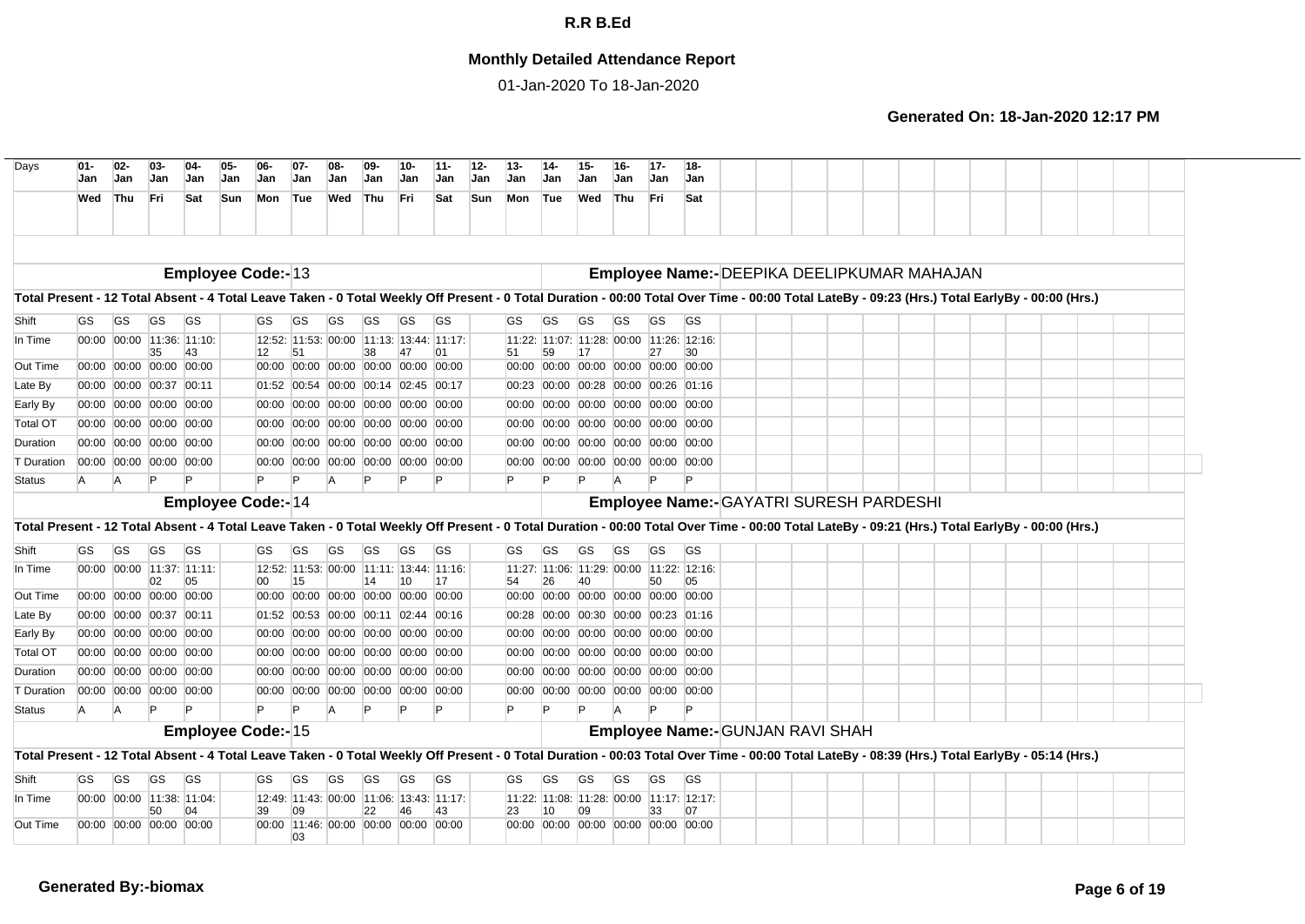## **Monthly Detailed Attendance Report**

01-Jan-2020 To 18-Jan-2020

| Days                                                                                                                                                                                           | $01 -$<br>Jan | $02-$<br>Jan | $03 -$<br>Jan                 | $04-$<br>Jan                    | 05-<br>Jan | 06-<br><b>Jan</b>        | $07 -$<br>Jan | $08-$<br>Jan                             | $09 -$<br>Jan | 10-<br>Jan | $11 -$<br><b>Jan</b>                           | $12 -$<br>$13 -$<br><b>Jan</b><br>Jan | $14-$<br>Jan | $15 -$<br>Jan | $16 -$<br><b>Jan</b>                | $17-$<br>Jan | $18-$<br><b>Jan</b>                            |  |  |  |  |  |  |  |
|------------------------------------------------------------------------------------------------------------------------------------------------------------------------------------------------|---------------|--------------|-------------------------------|---------------------------------|------------|--------------------------|---------------|------------------------------------------|---------------|------------|------------------------------------------------|---------------------------------------|--------------|---------------|-------------------------------------|--------------|------------------------------------------------|--|--|--|--|--|--|--|
|                                                                                                                                                                                                | Wed           | <b>Thu</b>   | Fri.                          | Sat                             | Sun        | Mon                      | Tue           | Wed                                      | Thu           | Fri        | Sat                                            | <b>Sun</b><br>Mon                     | Tue          | Wed           | Thu                                 | Fri          | Sat                                            |  |  |  |  |  |  |  |
|                                                                                                                                                                                                |               |              |                               |                                 |            |                          |               |                                          |               |            |                                                |                                       |              |               |                                     |              |                                                |  |  |  |  |  |  |  |
|                                                                                                                                                                                                |               |              |                               |                                 |            | <b>Employee Code:-13</b> |               |                                          |               |            |                                                |                                       |              |               |                                     |              | Employee Name:- DEEPIKA DEELIPKUMAR MAHAJAN    |  |  |  |  |  |  |  |
| Total Present - 12 Total Absent - 4 Total Leave Taken - 0 Total Weekly Off Present - 0 Total Duration - 00:00 Total Over Time - 00:00 Total LateBy - 09:23 (Hrs.) Total EarlyBy - 00:00 (Hrs.) |               |              |                               |                                 |            |                          |               |                                          |               |            |                                                |                                       |              |               |                                     |              |                                                |  |  |  |  |  |  |  |
| Shift                                                                                                                                                                                          | GS            | GS           | <b>GS</b>                     | <b>GS</b>                       |            | GS                       | GS            | GS                                       | GS            | GS         | <b>GS</b>                                      | GS.                                   | GS           | GS            | GS                                  | GS.          | GS                                             |  |  |  |  |  |  |  |
| In Time                                                                                                                                                                                        |               |              |                               | 00:00 00:00 11:36: 11:10:       |            |                          |               | 12:52: 11:53: 00:00 11:13: 13:44: 11:17: |               |            |                                                |                                       |              |               |                                     |              | 11:22: 11:07: 11:28: 00:00 11:26: 12:16:       |  |  |  |  |  |  |  |
| Out Time                                                                                                                                                                                       |               |              | 35<br>00:00 00:00 00:00 00:00 | 43                              |            | 12                       | 51            | 00:00 00:00 00:00 00:00 00:00 00:00      | 38            |            | 01                                             | 51                                    | 59           |               | 00:00 00:00 00:00 00:00 00:00 00:00 | 27           | 30                                             |  |  |  |  |  |  |  |
| Late By                                                                                                                                                                                        |               |              | 00:00 00:00 00:37 00:11       |                                 |            |                          |               | 01:52 00:54 00:00 00:14 02:45 00:17      |               |            |                                                | 00:23                                 |              |               | 00:00 00:28 00:00 00:26 01:16       |              |                                                |  |  |  |  |  |  |  |
| Early By                                                                                                                                                                                       |               |              | 00:00 00:00 00:00 00:00       |                                 |            |                          |               | 00:00 00:00 00:00 00:00 00:00 00:00      |               |            |                                                | 00:00                                 |              |               | 00:00 00:00 00:00 00:00 00:00       |              |                                                |  |  |  |  |  |  |  |
| <b>Total OT</b>                                                                                                                                                                                |               |              | 00:00 00:00 00:00 00:00       |                                 |            |                          |               | 00:00 00:00 00:00 00:00 00:00 00:00      |               |            |                                                |                                       |              |               | 00:00 00:00 00:00 00:00 00:00 00:00 |              |                                                |  |  |  |  |  |  |  |
| Duration                                                                                                                                                                                       |               |              | 00:00 00:00 00:00 00:00       |                                 |            |                          |               | 00:00 00:00 00:00 00:00 00:00 00:00      |               |            |                                                |                                       |              |               | 00:00 00:00 00:00 00:00 00:00 00:00 |              |                                                |  |  |  |  |  |  |  |
| T Duration                                                                                                                                                                                     |               |              | 00:00 00:00 00:00 00:00       |                                 |            |                          |               | 00:00 00:00 00:00 00:00 00:00 00:00      |               |            |                                                |                                       |              |               | 00:00 00:00 00:00 00:00 00:00 00:00 |              |                                                |  |  |  |  |  |  |  |
| <b>Status</b>                                                                                                                                                                                  | A             | IA.          |                               |                                 |            | P                        | Þ             | $\overline{A}$                           |               |            |                                                |                                       |              |               |                                     |              |                                                |  |  |  |  |  |  |  |
|                                                                                                                                                                                                |               |              |                               |                                 |            | <b>Employee Code:-14</b> |               |                                          |               |            |                                                |                                       |              |               |                                     |              | Employee Name:- GAYATRI SURESH PARDESHI        |  |  |  |  |  |  |  |
| Total Present - 12 Total Absent - 4 Total Leave Taken - 0 Total Weekly Off Present - 0 Total Duration - 00:00 Total Over Time - 00:00 Total LateBy - 09:21 (Hrs.) Total EarlyBy - 00:00 (Hrs.) |               |              |                               |                                 |            |                          |               |                                          |               |            |                                                |                                       |              |               |                                     |              |                                                |  |  |  |  |  |  |  |
| Shift                                                                                                                                                                                          | GS            | <b>GS</b>    | GS                            | <b>GS</b>                       |            | <b>GS</b>                | GS            | GS                                       | GS            | <b>GS</b>  | <b>GS</b>                                      | GS                                    | GS           | <b>GS</b>     | GS                                  | <b>GS</b>    | <b>GS</b>                                      |  |  |  |  |  |  |  |
| In Time                                                                                                                                                                                        |               |              |                               | 00:00 00:00 11:37: 11:11:       |            |                          |               | 12:52: 11:53: 00:00 11:11: 13:44: 11:16: |               |            |                                                |                                       |              |               |                                     |              | 11:27: 11:06: 11:29: 00:00 11:22: 12:16:       |  |  |  |  |  |  |  |
| Out Time                                                                                                                                                                                       |               |              | 02<br>00:00 00:00 00:00 00:00 | 05                              |            | 00                       | 15            | 00:00 00:00 00:00 00:00 00:00 00:00      | 14            | 10         | 17                                             | 54                                    | 26           | 40            | 00:00 00:00 00:00 00:00 00:00 00:00 | 50           | 05                                             |  |  |  |  |  |  |  |
| Late By                                                                                                                                                                                        |               |              | 00:00 00:00 00:37 00:11       |                                 |            |                          |               | 01:52 00:53 00:00 00:11 02:44 00:16      |               |            |                                                |                                       |              |               | 00:28 00:00 00:30 00:00 00:23 01:16 |              |                                                |  |  |  |  |  |  |  |
| Early By                                                                                                                                                                                       |               |              | 00:00 00:00 00:00 00:00       |                                 |            |                          |               | 00:00 00:00 00:00 00:00 00:00 00:00      |               |            |                                                |                                       |              |               | 00:00 00:00 00:00 00:00 00:00 00:00 |              |                                                |  |  |  |  |  |  |  |
| <b>Total OT</b>                                                                                                                                                                                |               |              | 00:00 00:00 00:00 00:00       |                                 |            |                          |               | 00:00 00:00 00:00 00:00 00:00 00:00      |               |            |                                                |                                       |              |               | 00:00 00:00 00:00 00:00 00:00 00:00 |              |                                                |  |  |  |  |  |  |  |
| Duration                                                                                                                                                                                       |               |              | 00:00 00:00 00:00 00:00       |                                 |            |                          |               | 00:00 00:00 00:00 00:00 00:00 00:00      |               |            |                                                |                                       |              |               | 00:00 00:00 00:00 00:00 00:00 00:00 |              |                                                |  |  |  |  |  |  |  |
| <b>T</b> Duration                                                                                                                                                                              |               |              | 00:00 00:00 00:00 00:00       |                                 |            |                          |               | 00:00 00:00 00:00 00:00 00:00 00:00      |               |            |                                                |                                       |              |               | 00:00 00:00 00:00 00:00 00:00 00:00 |              |                                                |  |  |  |  |  |  |  |
| <b>Status</b>                                                                                                                                                                                  | A             | A            |                               |                                 |            | Þ                        | D             | A                                        |               |            |                                                |                                       |              |               |                                     |              |                                                |  |  |  |  |  |  |  |
|                                                                                                                                                                                                |               |              |                               |                                 |            | <b>Employee Code:-15</b> |               |                                          |               |            |                                                |                                       |              |               |                                     |              | Employee Name:- GUNJAN RAVI SHAH               |  |  |  |  |  |  |  |
| Total Present - 12 Total Absent - 4 Total Leave Taken - 0 Total Weekly Off Present - 0 Total Duration - 00:03 Total Over Time - 00:00 Total LateBy - 08:39 (Hrs.) Total EarlyBy - 05:14 (Hrs.) |               |              |                               |                                 |            |                          |               |                                          |               |            |                                                |                                       |              |               |                                     |              |                                                |  |  |  |  |  |  |  |
| Shift                                                                                                                                                                                          | GS            | <b>GS</b>    | GS                            | <b>GS</b>                       |            | <b>GS</b>                | <b>GS</b>     | GS                                       | GS            | <b>GS</b>  | <b>GS</b>                                      | GS                                    | GS           | <b>GS</b>     | GS                                  | GS           | <b>GS</b>                                      |  |  |  |  |  |  |  |
| In Time                                                                                                                                                                                        |               |              | 50                            | 00:00 00:00 11:38: 11:04:<br>04 |            | 39                       | 09            |                                          | 22            | 46         | 12:49: 11:43: 00:00 11:06: 13:43: 11:17:<br>43 | 23                                    | 10           | 09            |                                     | 33           | 11:22: 11:08: 11:28: 00:00 11:17: 12:17:<br>07 |  |  |  |  |  |  |  |
| Out Time                                                                                                                                                                                       |               |              | 00:00 00:00 00:00 00:00       |                                 |            |                          |               | 00:00 11:46: 00:00 00:00 00:00 00:00     |               |            |                                                |                                       |              |               | 00:00 00:00 00:00 00:00 00:00 00:00 |              |                                                |  |  |  |  |  |  |  |
|                                                                                                                                                                                                |               |              |                               |                                 |            |                          | 03            |                                          |               |            |                                                |                                       |              |               |                                     |              |                                                |  |  |  |  |  |  |  |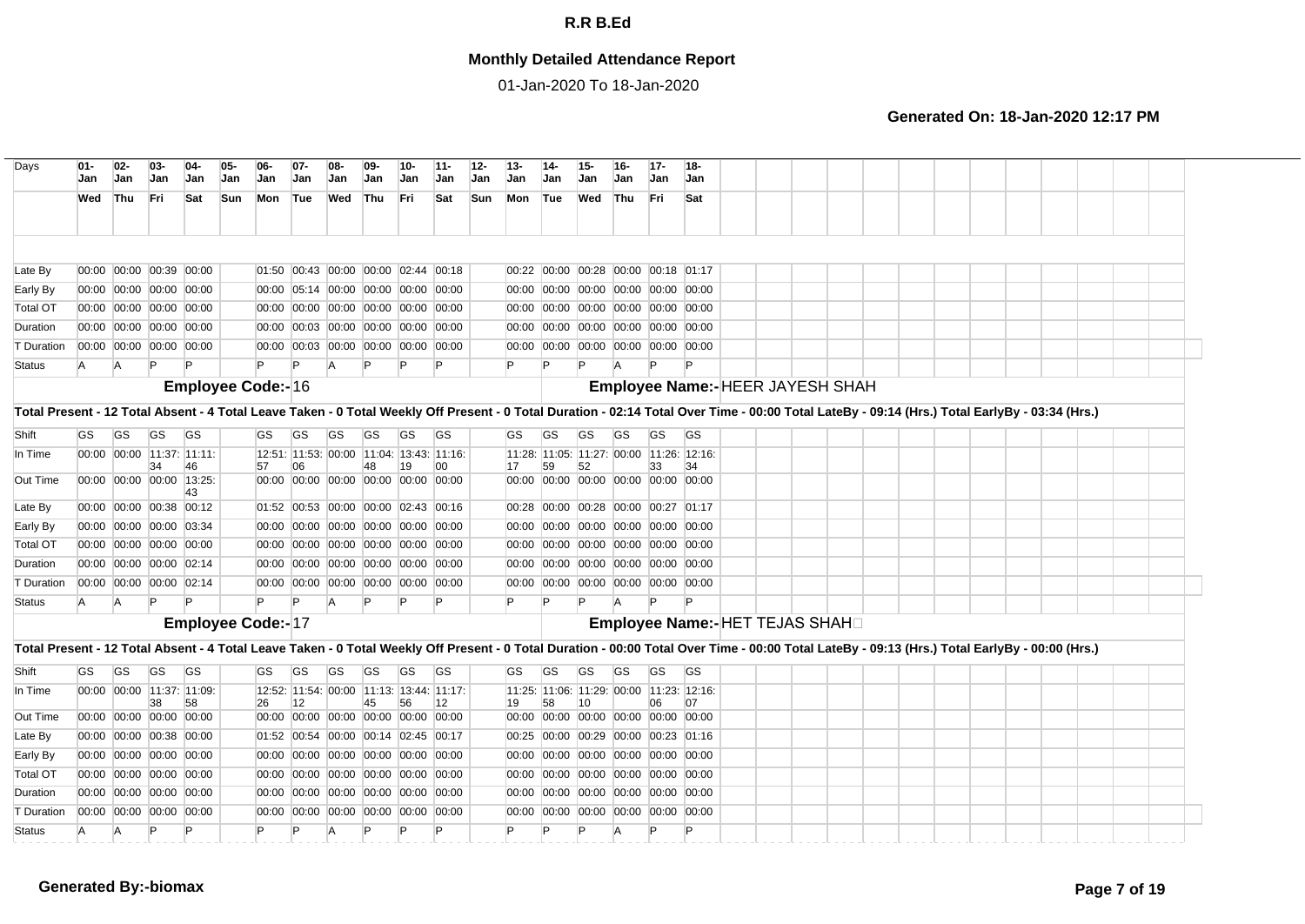## **Monthly Detailed Attendance Report**

01-Jan-2020 To 18-Jan-2020

| Days                                                                                                                                                                                           | $01 -$<br>Jan | $02 -$<br>Jan | $03-$<br>Jan                  | $04-$<br><b>Jan</b>            | 05.<br>Jan | 06<br><b>Jan</b>         | Jan                                       | Jan     | Jan       | 10-<br>Jan | 12-<br>11-<br>Jan<br>Jan |            | $13 -$<br>Jan | Jan | Jan       | 16-<br>Jan | $17 -$<br><b>Jan</b>                          | $18 -$<br><b>Jan</b>             |  |  |  |  |  |  |  |
|------------------------------------------------------------------------------------------------------------------------------------------------------------------------------------------------|---------------|---------------|-------------------------------|--------------------------------|------------|--------------------------|-------------------------------------------|---------|-----------|------------|--------------------------|------------|---------------|-----|-----------|------------|-----------------------------------------------|----------------------------------|--|--|--|--|--|--|--|
|                                                                                                                                                                                                | Wed           | <b>Thu</b>    | Fri                           | Sat                            | Sun        | Mon                      | Tue                                       | Wed Thu |           | <b>Fri</b> | Sat                      | <b>Sun</b> | Mon Tue       |     | Wed       | Thu        | Fri                                           | Sat                              |  |  |  |  |  |  |  |
|                                                                                                                                                                                                |               |               |                               |                                |            |                          |                                           |         |           |            |                          |            |               |     |           |            |                                               |                                  |  |  |  |  |  |  |  |
| Late By                                                                                                                                                                                        |               |               | 00:00 00:00 00:39 00:00       |                                |            |                          | 01:50 00:43 00:00 00:00 02:44 00:18       |         |           |            |                          |            |               |     |           |            | 00:22 00:00 00:28 00:00 00:18 01:17           |                                  |  |  |  |  |  |  |  |
| Early By                                                                                                                                                                                       |               |               | 00:00 00:00 00:00 00:00       |                                |            |                          | 00:00 05:14 00:00 00:00 00:00 00:00       |         |           |            |                          |            |               |     |           |            | 00:00 00:00 00:00 00:00 00:00 00:00           |                                  |  |  |  |  |  |  |  |
| <b>Total OT</b>                                                                                                                                                                                |               |               | 00:00 00:00 00:00 00:00       |                                |            |                          | 00:00 00:00 00:00 00:00 00:00 00:00       |         |           |            |                          |            |               |     |           |            | 00:00 00:00 00:00 00:00 00:00 00:00           |                                  |  |  |  |  |  |  |  |
| Duration                                                                                                                                                                                       |               |               | 00:00 00:00 00:00 00:00       |                                |            |                          | 00:00 00:03 00:00 00:00 00:00 00:00       |         |           |            |                          |            |               |     |           |            | 00:00 00:00 00:00 00:00 00:00 00:00           |                                  |  |  |  |  |  |  |  |
| T Duration                                                                                                                                                                                     |               |               | 00:00 00:00 00:00 00:00       |                                |            |                          | 00:00 00:03 00:00 00:00 00:00 00:00       |         |           |            |                          |            |               |     |           |            | 00:00 00:00 00:00 00:00 00:00 00:00           |                                  |  |  |  |  |  |  |  |
| Status                                                                                                                                                                                         | <b>A</b>      | <b>A</b>      |                               |                                |            |                          | P                                         | A       |           |            |                          |            |               |     |           |            | $\mathsf{P}$                                  |                                  |  |  |  |  |  |  |  |
|                                                                                                                                                                                                |               |               |                               |                                |            | <b>Employee Code:-16</b> |                                           |         |           |            |                          |            |               |     |           |            |                                               | Employee Name:- HEER JAYESH SHAH |  |  |  |  |  |  |  |
| Total Present - 12 Total Absent - 4 Total Leave Taken - 0 Total Weekly Off Present - 0 Total Duration - 02:14 Total Over Time - 00:00 Total LateBy - 09:14 (Hrs.) Total EarlyBy - 03:34 (Hrs.) |               |               |                               |                                |            |                          |                                           |         |           |            |                          |            |               |     |           |            |                                               |                                  |  |  |  |  |  |  |  |
| Shift                                                                                                                                                                                          | GS.           | <b>GS</b>     | <b>GS</b>                     | <b>GS</b>                      |            | GS                       | GS                                        | GS      | <b>GS</b> | <b>GS</b>  | <b>GS</b>                |            | GS            | GS  | <b>GS</b> | GS         | <b>GS</b>                                     | <b>GS</b>                        |  |  |  |  |  |  |  |
| In Time                                                                                                                                                                                        |               |               |                               | 00:00 00:00 11:37: 11:11:      |            |                          | 12:51: 11:53: 00:00 11:04: 13:43: 11:16:  |         |           |            |                          |            |               |     |           |            | 11:28:  11:05:  11:27:  00:00  11:26:  12:16: |                                  |  |  |  |  |  |  |  |
|                                                                                                                                                                                                |               |               | 34                            | 46                             |            | 57                       | 06                                        |         | 48        | 19         | 00                       |            | 17            | 59  | 52        |            | 33                                            | 34                               |  |  |  |  |  |  |  |
| Out Time                                                                                                                                                                                       |               |               |                               | 00:00 00:00 00:00 13:25:<br>43 |            |                          | 00:00 00:00 00:00 00:00 00:00 00:00       |         |           |            |                          |            |               |     |           |            | 00:00 00:00 00:00 00:00 00:00 00:00           |                                  |  |  |  |  |  |  |  |
| Late By                                                                                                                                                                                        |               |               | 00:00 00:00 00:38 00:12       |                                |            |                          | 01:52 00:53 00:00 00:00 02:43 00:16       |         |           |            |                          |            |               |     |           |            | 00:28 00:00 00:28 00:00 00:27 01:17           |                                  |  |  |  |  |  |  |  |
| Early By                                                                                                                                                                                       |               |               | 00:00 00:00 00:00 03:34       |                                |            |                          | 00:00 00:00 00:00 00:00 00:00 00:00       |         |           |            |                          |            |               |     |           |            | 00:00 00:00 00:00 00:00 00:00 00:00           |                                  |  |  |  |  |  |  |  |
| <b>Total OT</b>                                                                                                                                                                                |               |               | 00:00 00:00 00:00 00:00       |                                |            |                          | 00:00 00:00 00:00 00:00 00:00 00:00       |         |           |            |                          |            |               |     |           |            | 00:00 00:00 00:00 00:00 00:00 00:00           |                                  |  |  |  |  |  |  |  |
| Duration                                                                                                                                                                                       |               |               | 00:00 00:00 00:00 02:14       |                                |            | 00:00                    | 00:00 00:00 00:00 00:00 00:00             |         |           |            |                          |            |               |     |           |            | 00:00 00:00 00:00 00:00 00:00 00:00           |                                  |  |  |  |  |  |  |  |
| <b>T</b> Duration                                                                                                                                                                              |               |               | 00:00 00:00 00:00 02:14       |                                |            |                          | 00:00 00:00 00:00 00:00 00:00 00:00       |         |           |            |                          |            |               |     |           |            | 00:00 00:00 00:00 00:00 00:00 00:00           |                                  |  |  |  |  |  |  |  |
| <b>Status</b>                                                                                                                                                                                  | IA.           | <b>A</b>      |                               |                                |            | P                        | P                                         | A       | P         |            | P                        | P          |               |     |           |            | $\mathsf{P}$                                  |                                  |  |  |  |  |  |  |  |
|                                                                                                                                                                                                |               |               |                               |                                |            | <b>Employee Code:-17</b> |                                           |         |           |            |                          |            |               |     |           |            |                                               | Employee Name:- HET TEJAS SHAHD  |  |  |  |  |  |  |  |
| Total Present - 12 Total Absent - 4 Total Leave Taken - 0 Total Weekly Off Present - 0 Total Duration - 00:00 Total Over Time - 00:00 Total LateBy - 09:13 (Hrs.) Total EarlyBy - 00:00 (Hrs.) |               |               |                               |                                |            |                          |                                           |         |           |            |                          |            |               |     |           |            |                                               |                                  |  |  |  |  |  |  |  |
| Shift                                                                                                                                                                                          | GS            | <b>GS</b>     | <b>GS</b>                     | <b>GS</b>                      |            | GS                       | GS                                        | GS      | GS        | GS         | GS                       |            | GS            | GS  | GS        | GS         | GS                                            | <b>GS</b>                        |  |  |  |  |  |  |  |
| In Time                                                                                                                                                                                        |               |               |                               | 00:00 00:00 11:37: 11:09:      |            |                          | 12:52: 11:54: 00:00 11:13: 13:44: 11:17:  |         |           |            |                          |            |               |     |           |            | 11:25: 11:06: 11:29: 00:00 11:23: 12:16:      |                                  |  |  |  |  |  |  |  |
| Out Time                                                                                                                                                                                       |               |               | 38<br>00:00 00:00 00:00 00:00 | 58                             |            | 26                       | 12<br>00:00 00:00 00:00 00:00 00:00 00:00 |         | 45        | 56         | 12                       |            | 19            | 58  | 10        |            | 06<br>00:00 00:00 00:00 00:00 00:00 00:00     | 07                               |  |  |  |  |  |  |  |
| Late By                                                                                                                                                                                        |               |               | 00:00 00:00 00:38 00:00       |                                |            |                          | 01:52 00:54 00:00 00:14 02:45 00:17       |         |           |            |                          |            |               |     |           |            | 00:25 00:00 00:29 00:00 00:23 01:16           |                                  |  |  |  |  |  |  |  |
| Early By                                                                                                                                                                                       |               |               | 00:00 00:00 00:00 00:00       |                                |            |                          | 00:00 00:00 00:00 00:00 00:00 00:00       |         |           |            |                          |            |               |     |           |            | 00:00 00:00 00:00 00:00 00:00 00:00           |                                  |  |  |  |  |  |  |  |
| <b>Total OT</b>                                                                                                                                                                                |               |               | 00:00 00:00 00:00 00:00       |                                |            |                          | 00:00 00:00 00:00 00:00 00:00 00:00       |         |           |            |                          |            |               |     |           |            | 00:00 00:00 00:00 00:00 00:00 00:00           |                                  |  |  |  |  |  |  |  |
| Duration                                                                                                                                                                                       |               |               | 00:00 00:00 00:00 00:00       |                                |            | 00:00                    | 00:00 00:00 00:00 00:00 00:00             |         |           |            |                          |            |               |     |           |            | 00:00 00:00 00:00 00:00 00:00 00:00           |                                  |  |  |  |  |  |  |  |
| T Duration                                                                                                                                                                                     |               |               | 00:00 00:00 00:00 00:00       |                                |            |                          | 00:00 00:00 00:00 00:00 00:00 00:00       |         |           |            |                          |            |               |     |           |            | 00:00 00:00 00:00 00:00 00:00 00:00           |                                  |  |  |  |  |  |  |  |
| <b>Status</b>                                                                                                                                                                                  | A             | A             |                               |                                |            |                          |                                           |         |           |            |                          |            |               |     |           |            |                                               |                                  |  |  |  |  |  |  |  |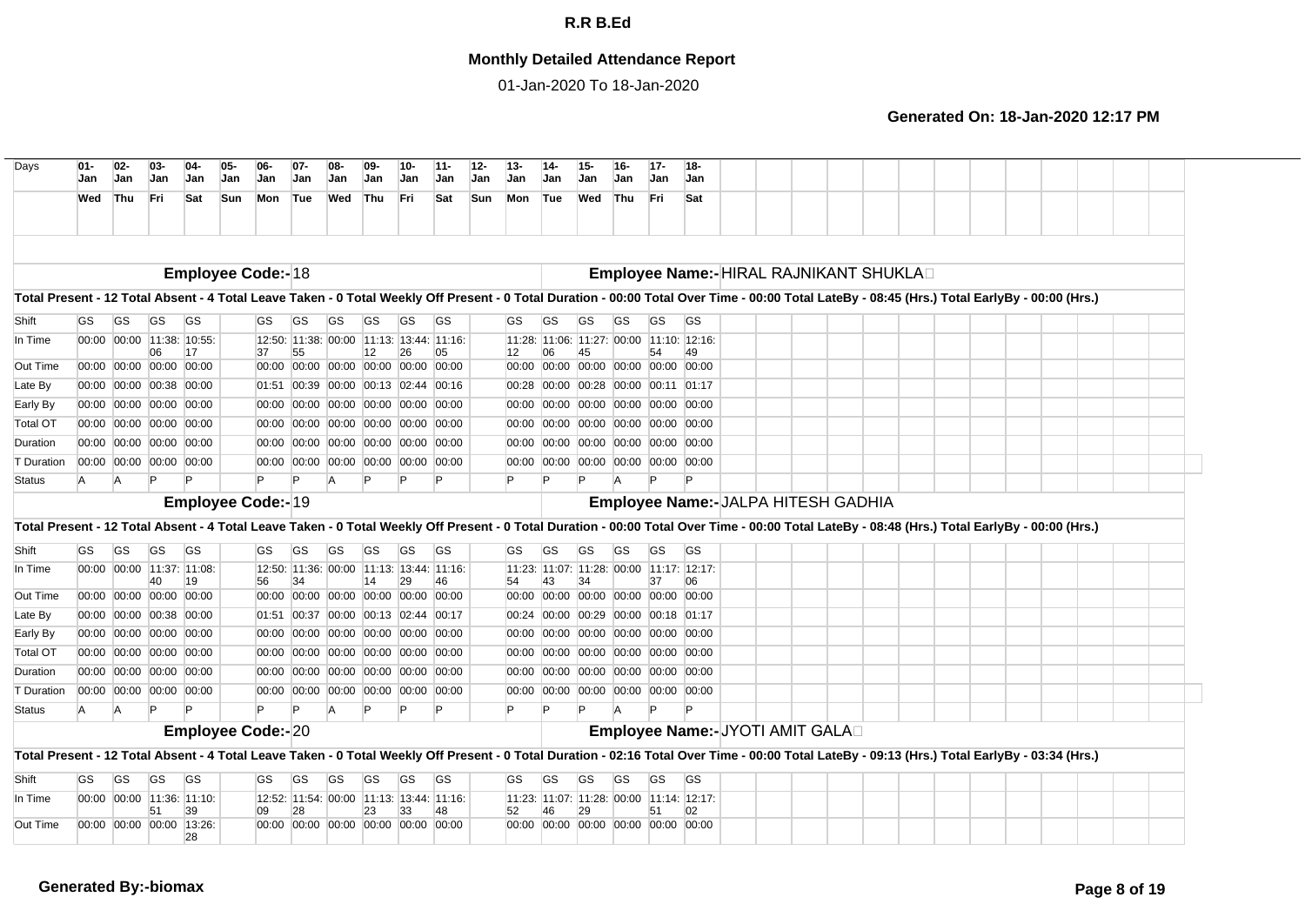## **Monthly Detailed Attendance Report**

01-Jan-2020 To 18-Jan-2020

| Days                                                                                                                                                                                           | $01 -$<br>Jan | $02-$<br>Jan | $03 -$<br><b>Jan</b>          | $04-$<br><b>Jan</b>            | 05-<br>Jan | 06-<br><b>Jan</b>        | $07 -$<br>Jan | $08-$<br><b>Jan</b>                      | 09-<br>Jan | 10-<br>Jan | $11 -$<br>Jan                            | $12 -$<br>$13 -$<br>Jan<br>Jan | $14-$     | <b>Jan</b> | $15 -$<br>Jan | $16 -$<br>Jan                       | $17-$<br>Jan | 18-<br><b>Jan</b>                        |  |  |  |  |  |  |  |
|------------------------------------------------------------------------------------------------------------------------------------------------------------------------------------------------|---------------|--------------|-------------------------------|--------------------------------|------------|--------------------------|---------------|------------------------------------------|------------|------------|------------------------------------------|--------------------------------|-----------|------------|---------------|-------------------------------------|--------------|------------------------------------------|--|--|--|--|--|--|--|
|                                                                                                                                                                                                | Wed           | Thu          | Fri                           | Sat                            | Sun        | Mon                      | Tue           | Wed                                      | Thu        | Fri        | Sat                                      | <b>Sun</b><br>Mon              |           | Tue        | Wed           | Thu                                 | Fri.         | Sat                                      |  |  |  |  |  |  |  |
|                                                                                                                                                                                                |               |              |                               |                                |            |                          |               |                                          |            |            |                                          |                                |           |            |               |                                     |              |                                          |  |  |  |  |  |  |  |
|                                                                                                                                                                                                |               |              |                               |                                |            | Employee Code:- 18       |               |                                          |            |            |                                          |                                |           |            |               |                                     |              | Employee Name:-HIRAL RAJNIKANT SHUKLAD   |  |  |  |  |  |  |  |
| Total Present - 12 Total Absent - 4 Total Leave Taken - 0 Total Weekly Off Present - 0 Total Duration - 00:00 Total Over Time - 00:00 Total LateBy - 08:45 (Hrs.) Total EarlyBy - 00:00 (Hrs.) |               |              |                               |                                |            |                          |               |                                          |            |            |                                          |                                |           |            |               |                                     |              |                                          |  |  |  |  |  |  |  |
| Shift                                                                                                                                                                                          | GS            | GS           | GS                            | <b>GS</b>                      |            | GS                       | GS            | GS                                       | GS         | GS         | <b>GS</b>                                | GS                             | GS        |            | GS            | GS                                  | GS           | <b>GS</b>                                |  |  |  |  |  |  |  |
| In Time                                                                                                                                                                                        |               |              |                               | 00:00 00:00 11:38: 10:55:      |            |                          |               | 12:50: 11:38: 00:00 11:13: 13:44: 11:16: |            |            |                                          |                                |           |            |               |                                     |              | 11:28: 11:06: 11:27: 00:00 11:10: 12:16: |  |  |  |  |  |  |  |
| Out Time                                                                                                                                                                                       |               |              | 06<br>00:00 00:00 00:00 00:00 | 17                             |            | 37                       | 55            | 00:00 00:00 00:00 00:00 00:00 00:00      | 12         | 26         | 05                                       | 12<br>00:00                    | 06        |            |               | 00:00 00:00 00:00 00:00 00:00       | 54           |                                          |  |  |  |  |  |  |  |
| Late By                                                                                                                                                                                        |               |              | 00:00 00:00 00:38 00:00       |                                |            |                          |               | 01:51 00:39 00:00 00:13 02:44 00:16      |            |            |                                          | 00:28                          |           |            |               | 00:00 00:28 00:00 00:11 01:17       |              |                                          |  |  |  |  |  |  |  |
| Early By                                                                                                                                                                                       |               |              | 00:00 00:00 00:00 00:00       |                                |            |                          |               | 00:00 00:00 00:00 00:00 00:00 00:00      |            |            |                                          | 00:00                          |           |            |               | 00:00 00:00 00:00 00:00 00:00       |              |                                          |  |  |  |  |  |  |  |
| <b>Total OT</b>                                                                                                                                                                                |               |              | 00:00 00:00 00:00 00:00       |                                |            |                          |               | 00:00 00:00 00:00 00:00 00:00 00:00      |            |            |                                          |                                |           |            |               | 00:00 00:00 00:00 00:00 00:00 00:00 |              |                                          |  |  |  |  |  |  |  |
| Duration                                                                                                                                                                                       |               |              | 00:00 00:00 00:00 00:00       |                                |            |                          |               | 00:00 00:00 00:00 00:00 00:00 00:00      |            |            |                                          |                                |           |            |               | 00:00 00:00 00:00 00:00 00:00 00:00 |              |                                          |  |  |  |  |  |  |  |
| T Duration                                                                                                                                                                                     |               |              | 00:00 00:00 00:00 00:00       |                                |            |                          |               | 00:00 00:00 00:00 00:00 00:00 00:00      |            |            |                                          |                                |           |            |               | 00:00 00:00 00:00 00:00 00:00 00:00 |              |                                          |  |  |  |  |  |  |  |
| <b>Status</b>                                                                                                                                                                                  | A             | A            |                               |                                |            | $\mathsf{P}$             | Þ             | A                                        |            |            |                                          |                                |           |            |               |                                     |              |                                          |  |  |  |  |  |  |  |
|                                                                                                                                                                                                |               |              |                               |                                |            | Employee Code:-19        |               |                                          |            |            |                                          |                                |           |            |               |                                     |              | Employee Name:- JALPA HITESH GADHIA      |  |  |  |  |  |  |  |
| Total Present - 12 Total Absent - 4 Total Leave Taken - 0 Total Weekly Off Present - 0 Total Duration - 00:00 Total Over Time - 00:00 Total LateBy - 08:48 (Hrs.) Total EarlyBy - 00:00 (Hrs.) |               |              |                               |                                |            |                          |               |                                          |            |            |                                          |                                |           |            |               |                                     |              |                                          |  |  |  |  |  |  |  |
| Shift                                                                                                                                                                                          | <b>GS</b>     | <b>GS</b>    | GS                            | <b>GS</b>                      |            | GS                       | GS            | GS                                       | GS         | GS         | <b>GS</b>                                | GS                             | GS        |            | GS            | GS                                  | <b>GS</b>    | GS                                       |  |  |  |  |  |  |  |
| In Time                                                                                                                                                                                        |               |              |                               | 00:00 00:00 11:37: 11:08:      |            |                          |               | 12:50: 11:36: 00:00 11:13: 13:44: 11:16: |            |            |                                          |                                |           |            |               |                                     |              | 11:23: 11:07: 11:28: 00:00 11:17: 12:17: |  |  |  |  |  |  |  |
| Out Time                                                                                                                                                                                       |               |              | 40<br>00:00 00:00 00:00 00:00 | 19                             |            | 56                       | 34            | 00:00 00:00 00:00 00:00 00:00 00:00      | 14         | 29         | 46                                       | 54                             | 43        |            | 34            | 00:00 00:00 00:00 00:00 00:00 00:00 | 37           | 06                                       |  |  |  |  |  |  |  |
| Late By                                                                                                                                                                                        |               |              | 00:00 00:00 00:38 00:00       |                                |            |                          |               | 01:51 00:37 00:00 00:13 02:44 00:17      |            |            |                                          |                                |           |            |               | 00:24 00:00 00:29 00:00 00:18 01:17 |              |                                          |  |  |  |  |  |  |  |
| Early By                                                                                                                                                                                       |               |              | 00:00 00:00 00:00 00:00       |                                |            |                          |               | 00:00 00:00 00:00 00:00 00:00 00:00      |            |            |                                          | 00:00                          |           |            |               | 00:00 00:00 00:00 00:00 00:00       |              |                                          |  |  |  |  |  |  |  |
| <b>Total OT</b>                                                                                                                                                                                |               |              | 00:00 00:00 00:00 00:00       |                                |            |                          |               | 00:00 00:00 00:00 00:00 00:00 00:00      |            |            |                                          | 00:00                          |           |            | 00:00 00:00   | 00:00 00:00 00:00                   |              |                                          |  |  |  |  |  |  |  |
| Duration                                                                                                                                                                                       |               |              | 00:00 00:00 00:00 00:00       |                                |            |                          |               | 00:00 00:00 00:00 00:00 00:00 00:00      |            |            |                                          | 00:00                          |           |            |               | 00:00 00:00 00:00 00:00 00:00       |              |                                          |  |  |  |  |  |  |  |
| T Duration                                                                                                                                                                                     |               |              | 00:00 00:00 00:00 00:00       |                                |            |                          |               | 00:00 00:00 00:00 00:00 00:00 00:00      |            |            |                                          |                                |           |            |               | 00:00 00:00 00:00 00:00 00:00 00:00 |              |                                          |  |  |  |  |  |  |  |
| <b>Status</b>                                                                                                                                                                                  | A             | A            |                               |                                |            | P                        | Þ             |                                          |            |            |                                          | Þ                              |           |            |               |                                     |              |                                          |  |  |  |  |  |  |  |
|                                                                                                                                                                                                |               |              |                               |                                |            | <b>Employee Code:-20</b> |               |                                          |            |            |                                          |                                |           |            |               |                                     |              | Employee Name:- JYOTI AMIT GALAD         |  |  |  |  |  |  |  |
| Total Present - 12 Total Absent - 4 Total Leave Taken - 0 Total Weekly Off Present - 0 Total Duration - 02:16 Total Over Time - 00:00 Total LateBy - 09:13 (Hrs.) Total EarlyBy - 03:34 (Hrs.) |               |              |                               |                                |            |                          |               |                                          |            |            |                                          |                                |           |            |               |                                     |              |                                          |  |  |  |  |  |  |  |
| Shift                                                                                                                                                                                          | <b>GS</b>     | <b>GS</b>    | GS                            | <b>GS</b>                      |            | GS                       | <b>GS</b>     | GS                                       | GS         | GS         | <b>GS</b>                                | GS                             | <b>GS</b> |            | GS            | GS                                  | GS           | <b>GS</b>                                |  |  |  |  |  |  |  |
| In Time                                                                                                                                                                                        |               |              |                               | 00:00 00:00 11:36: 11:10:      |            |                          |               |                                          |            |            | 12:52: 11:54: 00:00 11:13: 13:44: 11:16: |                                |           |            |               |                                     |              | 11:23: 11:07: 11:28: 00:00 11:14: 12:17: |  |  |  |  |  |  |  |
| Out Time                                                                                                                                                                                       |               |              | 51                            | 39<br>00:00 00:00 00:00 13:26: |            | 09                       | 28            | 00:00 00:00 00:00 00:00 00:00 00:00      | 23         | 33         | 48                                       | 52                             | 46        |            | 29            | 00:00 00:00 00:00 00:00 00:00 00:00 | 51           | 02                                       |  |  |  |  |  |  |  |
|                                                                                                                                                                                                |               |              |                               | 28                             |            |                          |               |                                          |            |            |                                          |                                |           |            |               |                                     |              |                                          |  |  |  |  |  |  |  |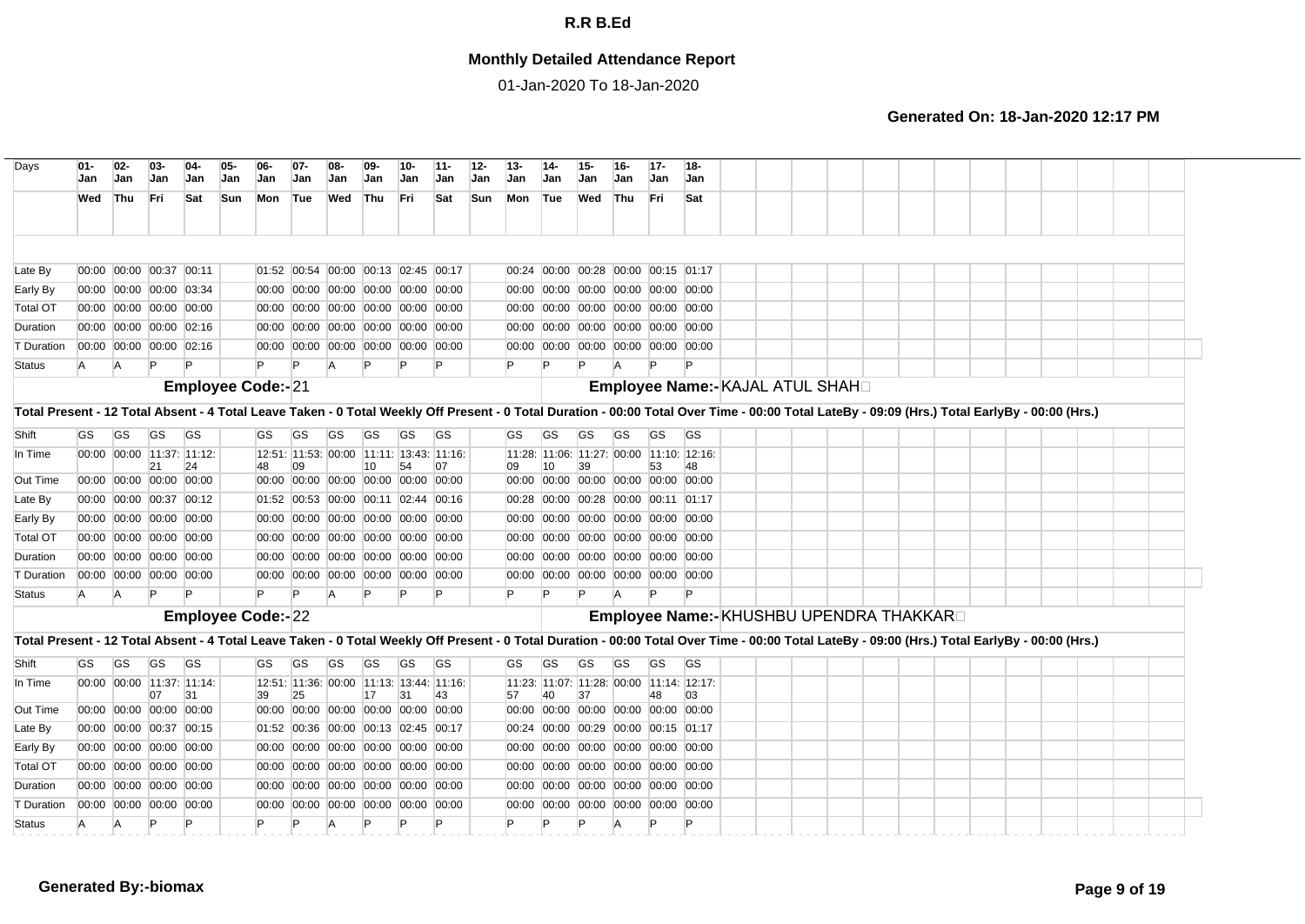## **Monthly Detailed Attendance Report**

01-Jan-2020 To 18-Jan-2020

| Days                                                                                                                                                                                           | 01-<br>Jan | $02 -$<br>Jan | $03-$<br>Jan                  | 04-<br>Jan | 05-<br>Jan | 06-<br>Jan               | $07-$<br>Jan | 08-<br>Jan                               | 09-<br>Jan   | $10-$<br>Jan | $11 -$<br>Jan                            | $12 -$<br>Jan | $13 -$<br>Jan | Jan       | Jan | Jan            | $17 -$<br>Jan                             | $18 -$<br>Jan                            |  |  |  |  |  |  |  |
|------------------------------------------------------------------------------------------------------------------------------------------------------------------------------------------------|------------|---------------|-------------------------------|------------|------------|--------------------------|--------------|------------------------------------------|--------------|--------------|------------------------------------------|---------------|---------------|-----------|-----|----------------|-------------------------------------------|------------------------------------------|--|--|--|--|--|--|--|
|                                                                                                                                                                                                | Wed        | Thu           | Fri                           | Sat        | Sun        | Mon                      | Tue          | Wed                                      | Thu          | Fri          | Sat                                      | <b>Sun</b>    | Mon           | Tue       | Wed | Thu            | Fri                                       | Sat                                      |  |  |  |  |  |  |  |
|                                                                                                                                                                                                |            |               |                               |            |            |                          |              |                                          |              |              |                                          |               |               |           |     |                |                                           |                                          |  |  |  |  |  |  |  |
| Late By                                                                                                                                                                                        |            |               | 00:00 00:00 00:37 00:11       |            |            |                          |              | 01:52 00:54 00:00 00:13 02:45 00:17      |              |              |                                          |               |               |           |     |                | 00:24 00:00 00:28 00:00 00:15 01:17       |                                          |  |  |  |  |  |  |  |
| Early By                                                                                                                                                                                       |            |               | 00:00 00:00 00:00 03:34       |            |            |                          |              | 00:00 00:00 00:00 00:00 00:00 00:00      |              |              |                                          |               |               |           |     |                | 00:00 00:00 00:00 00:00 00:00 00:00       |                                          |  |  |  |  |  |  |  |
| <b>Total OT</b>                                                                                                                                                                                |            |               | 00:00 00:00 00:00 00:00       |            |            |                          |              | 00:00 00:00 00:00 00:00 00:00 00:00      |              |              |                                          |               |               |           |     |                | 00:00 00:00 00:00 00:00 00:00 00:00       |                                          |  |  |  |  |  |  |  |
| Duration                                                                                                                                                                                       |            |               | 00:00 00:00 00:00 02:16       |            |            |                          |              | 00:00 00:00 00:00 00:00 00:00 00:00      |              |              |                                          |               |               |           |     |                | 00:00 00:00 00:00 00:00 00:00 00:00       |                                          |  |  |  |  |  |  |  |
| T Duration                                                                                                                                                                                     |            |               | 00:00 00:00 00:00 02:16       |            |            |                          |              | 00:00 00:00 00:00 00:00 00:00 00:00      |              |              |                                          |               |               |           |     |                | 00:00 00:00 00:00 00:00 00:00 00:00       |                                          |  |  |  |  |  |  |  |
| <b>Status</b>                                                                                                                                                                                  | A          | IA.           | -lP                           |            |            |                          |              | A                                        | P            |              | P                                        |               |               | P         |     |                |                                           |                                          |  |  |  |  |  |  |  |
|                                                                                                                                                                                                |            |               |                               |            |            | Employee Code:-21        |              |                                          |              |              |                                          |               |               |           |     |                |                                           | Employee Name:- KAJAL ATUL SHAH          |  |  |  |  |  |  |  |
| Total Present - 12 Total Absent - 4 Total Leave Taken - 0 Total Weekly Off Present - 0 Total Duration - 00:00 Total Over Time - 00:00 Total LateBy - 09:09 (Hrs.) Total EarlyBy - 00:00 (Hrs.) |            |               |                               |            |            |                          |              |                                          |              |              |                                          |               |               |           |     |                |                                           |                                          |  |  |  |  |  |  |  |
| Shift                                                                                                                                                                                          | <b>GS</b>  | <b>GS</b>     | <b>GS</b>                     | <b>GS</b>  |            | GS.                      | GS           | <b>GS</b>                                | GS           | <b>GS</b>    | <b>GS</b>                                |               | <b>GS</b>     | GS        | GS  | GS             | <b>GS</b>                                 | GS                                       |  |  |  |  |  |  |  |
| In Time                                                                                                                                                                                        |            |               | 00:00 00:00 11:37: 11:12:     |            |            |                          |              | 12:51: 11:53: 00:00 11:11: 13:43: 11:16: |              |              |                                          |               |               |           |     |                | 11:28: 11:06: 11:27: 00:00 11:10: 12:16:  |                                          |  |  |  |  |  |  |  |
| Out Time                                                                                                                                                                                       |            |               | 21<br>00:00 00:00 00:00 00:00 | 24         |            | 48                       | 09           | 00:00 00:00 00:00 00:00 00:00 00:00      | 10           | 54           | 07                                       |               | 09            | 10        | 39  |                | 53<br>00:00 00:00 00:00 00:00 00:00 00:00 | 48                                       |  |  |  |  |  |  |  |
| Late By                                                                                                                                                                                        |            |               | 00:00 00:00 00:37 00:12       |            |            |                          |              | 01:52 00:53 00:00 00:11 02:44 00:16      |              |              |                                          |               |               |           |     |                | 00:28 00:00 00:28 00:00 00:11 01:17       |                                          |  |  |  |  |  |  |  |
| Early By                                                                                                                                                                                       |            |               | 00:00 00:00 00:00 00:00       |            |            |                          |              | 00:00 00:00 00:00 00:00 00:00 00:00      |              |              |                                          |               | 00:00 00:00   |           |     |                | 00:00 00:00 00:00 00:00                   |                                          |  |  |  |  |  |  |  |
| <b>Total OT</b>                                                                                                                                                                                |            |               | 00:00 00:00 00:00 00:00       |            |            |                          |              | 00:00 00:00 00:00 00:00 00:00 00:00      |              |              |                                          |               | 00:00 00:00   |           |     |                | 00:00 00:00 00:00 00:00                   |                                          |  |  |  |  |  |  |  |
| Duration                                                                                                                                                                                       |            |               | 00:00 00:00 00:00 00:00       |            |            |                          |              | 00:00 00:00 00:00 00:00 00:00 00:00      |              |              |                                          |               | 00:00 00:00   |           |     |                | 00:00 00:00 00:00 00:00                   |                                          |  |  |  |  |  |  |  |
| <b>T</b> Duration                                                                                                                                                                              |            |               | 00:00 00:00 00:00 00:00       |            |            |                          |              | 00:00 00:00 00:00 00:00 00:00 00:00      |              |              |                                          |               |               |           |     |                | 00:00 00:00 00:00 00:00 00:00 00:00       |                                          |  |  |  |  |  |  |  |
| <b>Status</b>                                                                                                                                                                                  | A          | IA.           | P                             |            |            |                          |              | A                                        | $\mathsf{P}$ |              | P                                        |               | P             | P         |     | $\overline{A}$ |                                           |                                          |  |  |  |  |  |  |  |
|                                                                                                                                                                                                |            |               |                               |            |            | <b>Employee Code:-22</b> |              |                                          |              |              |                                          |               |               |           |     |                |                                           | Employee Name:- KHUSHBU UPENDRA THAKKARD |  |  |  |  |  |  |  |
| Total Present - 12 Total Absent - 4 Total Leave Taken - 0 Total Weekly Off Present - 0 Total Duration - 00:00 Total Over Time - 00:00 Total LateBy - 09:00 (Hrs.) Total EarlyBy - 00:00 (Hrs.) |            |               |                               |            |            |                          |              |                                          |              |              |                                          |               |               |           |     |                |                                           |                                          |  |  |  |  |  |  |  |
| Shift                                                                                                                                                                                          | <b>GS</b>  | <b>GS</b>     | <b>GS</b>                     | <b>GS</b>  |            | GS                       | GS           | <b>GS</b>                                | GS           | <b>GS</b>    | <b>GS</b>                                |               | <b>GS</b>     | <b>GS</b> | GS  | <b>GS</b>      | <b>GS</b>                                 | <b>GS</b>                                |  |  |  |  |  |  |  |
| In Time                                                                                                                                                                                        |            |               | 00:00 00:00 11:37: 11:14:     |            |            |                          |              |                                          |              |              | 12:51: 11:36: 00:00 11:13: 13:44: 11:16: |               |               |           |     |                |                                           | 11:23: 11:07: 11:28: 00:00 11:14: 12:17: |  |  |  |  |  |  |  |
|                                                                                                                                                                                                |            |               | 07                            | 31         |            | 39                       | 25           |                                          | 17           | 31           | 43                                       |               | 57            | 40        | 37  |                | 48                                        | 03                                       |  |  |  |  |  |  |  |
| Out Time                                                                                                                                                                                       |            |               | 00:00 00:00 00:00 00:00       |            |            |                          |              | 00:00 00:00 00:00 00:00 00:00 00:00      |              |              |                                          |               |               |           |     |                | 00:00 00:00 00:00 00:00 00:00 00:00       |                                          |  |  |  |  |  |  |  |
| Late By                                                                                                                                                                                        |            |               | 00:00 00:00 00:37 00:15       |            |            |                          |              | 01:52 00:36 00:00 00:13 02:45 00:17      |              |              |                                          |               |               |           |     |                | 00:24 00:00 00:29 00:00 00:15 01:17       |                                          |  |  |  |  |  |  |  |
| Early By                                                                                                                                                                                       |            |               | 00:00 00:00 00:00 00:00       |            |            |                          |              | 00:00 00:00 00:00 00:00 00:00 00:00      |              |              |                                          |               |               |           |     |                | 00:00 00:00 00:00 00:00 00:00 00:00       |                                          |  |  |  |  |  |  |  |
| <b>Total OT</b>                                                                                                                                                                                |            |               | 00:00 00:00 00:00 00:00       |            |            |                          |              | 00:00 00:00 00:00 00:00 00:00 00:00      |              |              |                                          |               |               |           |     |                | 00:00 00:00 00:00 00:00 00:00 00:00       |                                          |  |  |  |  |  |  |  |
| Duration                                                                                                                                                                                       |            |               | 00:00 00:00 00:00 00:00       |            |            |                          |              | 00:00 00:00 00:00 00:00 00:00 00:00      |              |              |                                          |               |               |           |     |                | 00:00 00:00 00:00 00:00 00:00 00:00       |                                          |  |  |  |  |  |  |  |
| T Duration                                                                                                                                                                                     |            |               | 00:00 00:00 00:00 00:00       |            |            |                          |              | 00:00 00:00 00:00 00:00 00:00 00:00      |              |              |                                          |               |               |           |     |                | 00:00 00:00 00:00 00:00 00:00 00:00       |                                          |  |  |  |  |  |  |  |
| <b>Status</b>                                                                                                                                                                                  |            | A             | P                             | P          |            |                          |              |                                          | Þ            |              | Þ                                        |               |               | P         | P   | A              |                                           |                                          |  |  |  |  |  |  |  |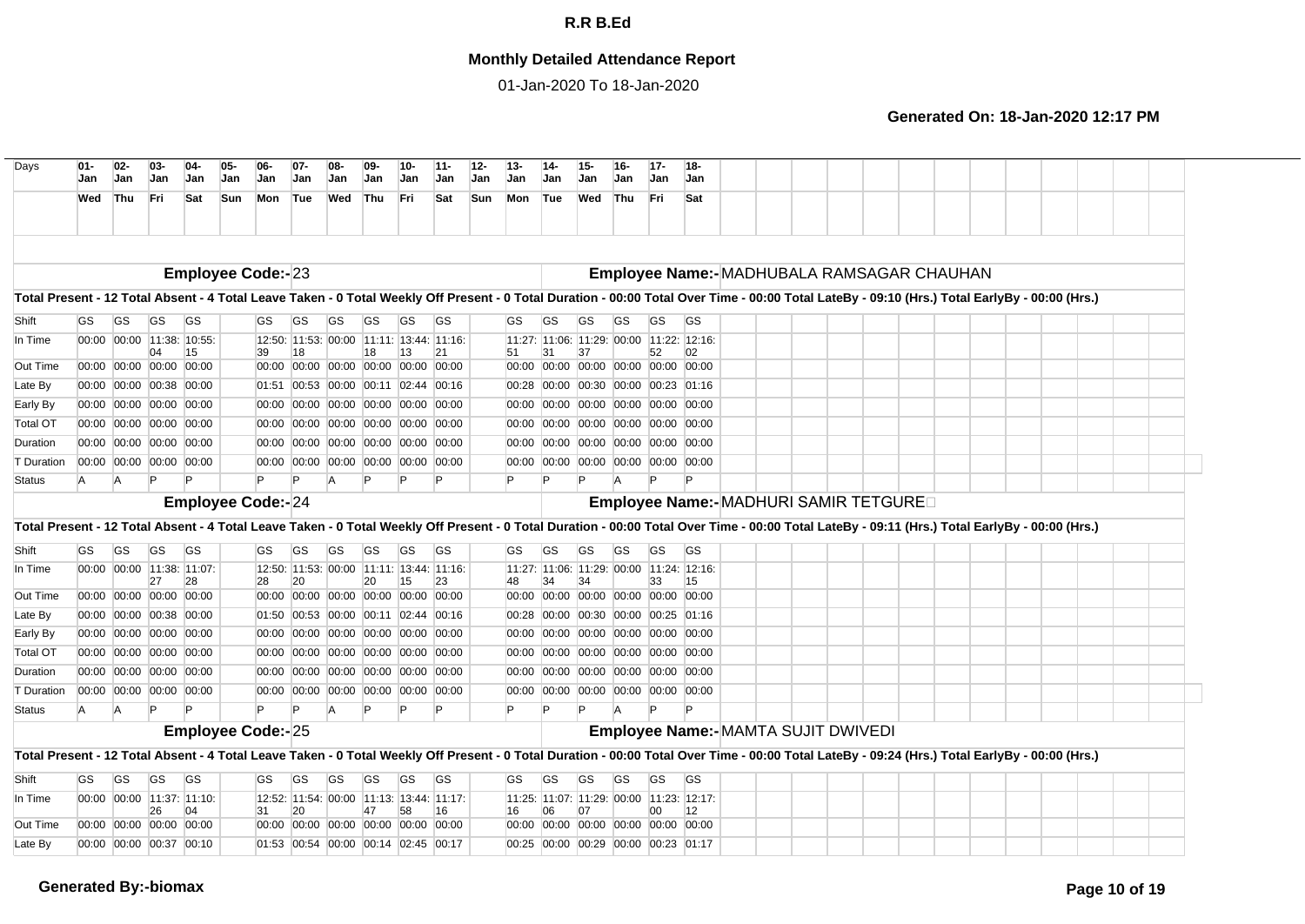## **Monthly Detailed Attendance Report**

01-Jan-2020 To 18-Jan-2020

| Wed<br>Total Present - 12 Total Absent - 4 Total Leave Taken - 0 Total Weekly Off Present - 0 Total Duration - 00:00 Total Over Time - 00:00 Total LateBy - 09:10 (Hrs.) Total EarlyBy - 00:00 (Hrs.)<br>Shift<br>GS | Thu       | Fri                             | Sat       | Sun<br>Mon               | Tue                                            | Wed | Thu                     | Fri | Sat       | <b>Sun</b><br>Mon | Tue                                            | Wed | Thu                           | <b>Fri</b>   |                                     |  |  |                                           |  |  |  |
|----------------------------------------------------------------------------------------------------------------------------------------------------------------------------------------------------------------------|-----------|---------------------------------|-----------|--------------------------|------------------------------------------------|-----|-------------------------|-----|-----------|-------------------|------------------------------------------------|-----|-------------------------------|--------------|-------------------------------------|--|--|-------------------------------------------|--|--|--|
|                                                                                                                                                                                                                      |           |                                 |           |                          |                                                |     |                         |     |           |                   |                                                |     |                               |              | Sat                                 |  |  |                                           |  |  |  |
|                                                                                                                                                                                                                      |           |                                 |           |                          |                                                |     |                         |     |           |                   |                                                |     |                               |              |                                     |  |  |                                           |  |  |  |
|                                                                                                                                                                                                                      |           |                                 |           | <b>Employee Code:-23</b> |                                                |     |                         |     |           |                   |                                                |     |                               |              |                                     |  |  | Employee Name:-MADHUBALA RAMSAGAR CHAUHAN |  |  |  |
|                                                                                                                                                                                                                      |           |                                 |           |                          |                                                |     |                         |     |           |                   |                                                |     |                               |              |                                     |  |  |                                           |  |  |  |
|                                                                                                                                                                                                                      | <b>GS</b> | <b>GS</b>                       | <b>GS</b> | GS                       | GS                                             | GS  | GS                      | GS  | <b>GS</b> | <b>GS</b>         | <b>GS</b>                                      | GS  | GS                            | <b>GS</b>    | <b>GS</b>                           |  |  |                                           |  |  |  |
| In Time                                                                                                                                                                                                              |           | 00:00 00:00 11:38: 10:55:<br>04 | 15        | 39                       | 12:50: 11:53: 00:00 11:11: 13:44: 11:16:<br>18 |     | 18                      | 13  | 21        | 51                | 11:27: 11:06: 11:29: 00:00 11:22: 12:16:<br>31 | 37  |                               | 52           | 02                                  |  |  |                                           |  |  |  |
| Out Time                                                                                                                                                                                                             |           | 00:00 00:00 00:00 00:00         |           |                          | 00:00 00:00 00:00 00:00 00:00 00:00            |     |                         |     |           |                   | 00:00 00:00 00:00 00:00 00:00 00:00            |     |                               |              |                                     |  |  |                                           |  |  |  |
| Late By                                                                                                                                                                                                              |           | 00:00 00:00 00:38 00:00         |           |                          | 01:51 00:53 00:00 00:11 02:44 00:16            |     |                         |     |           |                   | 00:28 00:00 00:30 00:00 00:23 01:16            |     |                               |              |                                     |  |  |                                           |  |  |  |
| Early By                                                                                                                                                                                                             |           | 00:00 00:00 00:00 00:00         |           |                          | 00:00 00:00 00:00 00:00 00:00 00:00            |     |                         |     |           |                   | 00:00 00:00 00:00 00:00 00:00 00:00            |     |                               |              |                                     |  |  |                                           |  |  |  |
| <b>Total OT</b>                                                                                                                                                                                                      |           | 00:00 00:00 00:00 00:00         |           |                          | 00:00 00:00                                    |     | 00:00 00:00 00:00 00:00 |     |           | 00:00             |                                                |     | 00:00 00:00 00:00 00:00       |              | 00:00                               |  |  |                                           |  |  |  |
| Duration                                                                                                                                                                                                             |           | 00:00 00:00 00:00 00:00         |           |                          | 00:00 00:00 00:00 00:00 00:00 00:00            |     |                         |     |           |                   | 00:00 00:00 00:00 00:00 00:00                  |     |                               |              | 00:00                               |  |  |                                           |  |  |  |
| <b>T</b> Duration                                                                                                                                                                                                    |           | 00:00 00:00 00:00 00:00         |           |                          | 00:00 00:00 00:00 00:00 00:00 00:00            |     |                         |     |           |                   | 00:00 00:00 00:00 00:00 00:00 00:00            |     |                               |              |                                     |  |  |                                           |  |  |  |
| <b>Status</b><br>A                                                                                                                                                                                                   | A         |                                 |           |                          | P                                              |     |                         |     |           |                   |                                                |     | A                             | $\mathsf{P}$ | Þ                                   |  |  |                                           |  |  |  |
|                                                                                                                                                                                                                      |           |                                 |           | <b>Employee Code:-24</b> |                                                |     |                         |     |           |                   |                                                |     |                               |              |                                     |  |  | Employee Name:- MADHURI SAMIR TETGURED    |  |  |  |
| Total Present - 12 Total Absent - 4 Total Leave Taken - 0 Total Weekly Off Present - 0 Total Duration - 00:00 Total Over Time - 00:00 Total LateBy - 09:11 (Hrs.) Total EarlyBy - 00:00 (Hrs.)                       |           |                                 |           |                          |                                                |     |                         |     |           |                   |                                                |     |                               |              |                                     |  |  |                                           |  |  |  |
| Shift<br>GS                                                                                                                                                                                                          | GS.       | <b>GS</b>                       | <b>GS</b> | GS                       | GS                                             | GS  | GS                      | GS  | GS        | GS                | GS                                             | GS  | GS                            | GS           | <b>GS</b>                           |  |  |                                           |  |  |  |
| In Time                                                                                                                                                                                                              |           | 00:00 00:00 11:38: 11:07:       |           |                          | 12:50: 11:53: 00:00 11:11: 13:44: 11:16:       |     |                         |     |           |                   | 11:27: 11:06: 11:29: 00:00 11:24: 12:16:       |     |                               |              |                                     |  |  |                                           |  |  |  |
| Out Time                                                                                                                                                                                                             |           | 27<br>00:00 00:00 00:00 00:00   | 28        | 28                       | 20<br>00:00 00:00 00:00 00:00 00:00 00:00      |     | 20                      |     | 23        | 48                | 34<br>00:00 00:00 00:00 00:00 00:00 00:00      | 34  |                               | 33           | 15                                  |  |  |                                           |  |  |  |
| Late By                                                                                                                                                                                                              |           | 00:00 00:00 00:38 00:00         |           |                          | 01:50 00:53 00:00 00:11 02:44 00:16            |     |                         |     |           | 00:28             |                                                |     | 00:00 00:30 00:00 00:25 01:16 |              |                                     |  |  |                                           |  |  |  |
| Early By                                                                                                                                                                                                             |           | 00:00 00:00 00:00 00:00         |           |                          | 00:00 00:00 00:00 00:00 00:00 00:00            |     |                         |     |           |                   | 00:00 00:00 00:00 00:00 00:00 00:00            |     |                               |              |                                     |  |  |                                           |  |  |  |
| <b>Total OT</b>                                                                                                                                                                                                      |           | 00:00 00:00 00:00 00:00         |           |                          | 00:00 00:00 00:00 00:00 00:00 00:00            |     |                         |     |           |                   | 00:00 00:00 00:00 00:00 00:00 00:00            |     |                               |              |                                     |  |  |                                           |  |  |  |
| Duration                                                                                                                                                                                                             |           | 00:00 00:00 00:00 00:00         |           |                          | 00:00 00:00 00:00 00:00 00:00 00:00            |     |                         |     |           |                   | 00:00 00:00 00:00 00:00 00:00 00:00            |     |                               |              |                                     |  |  |                                           |  |  |  |
| <b>T</b> Duration                                                                                                                                                                                                    |           | 00:00 00:00 00:00 00:00         |           |                          | 00:00 00:00 00:00 00:00 00:00 00:00            |     |                         |     |           |                   | 00:00 00:00 00:00 00:00 00:00 00:00            |     |                               |              |                                     |  |  |                                           |  |  |  |
| <b>Status</b><br>A                                                                                                                                                                                                   | A         |                                 |           | Þ                        | Þ                                              |     |                         |     |           |                   |                                                |     |                               | Þ            |                                     |  |  |                                           |  |  |  |
|                                                                                                                                                                                                                      |           |                                 |           | <b>Employee Code:-25</b> |                                                |     |                         |     |           |                   |                                                |     |                               |              | Employee Name:- MAMTA SUJIT DWIVEDI |  |  |                                           |  |  |  |
|                                                                                                                                                                                                                      |           |                                 |           |                          |                                                |     |                         |     |           |                   |                                                |     |                               |              |                                     |  |  |                                           |  |  |  |
|                                                                                                                                                                                                                      |           |                                 |           |                          |                                                |     |                         |     |           |                   |                                                |     |                               |              |                                     |  |  |                                           |  |  |  |
|                                                                                                                                                                                                                      |           |                                 |           | GS                       | GS                                             | GS  | GS                      | GS  | <b>GS</b> | GS.               | GS                                             | GS  | GS                            | <b>GS</b>    | <b>GS</b>                           |  |  |                                           |  |  |  |
| GS<br>Shift                                                                                                                                                                                                          | <b>GS</b> | GS                              | <b>GS</b> |                          |                                                |     |                         |     |           |                   |                                                |     |                               |              |                                     |  |  |                                           |  |  |  |
| Total Present - 12 Total Absent - 4 Total Leave Taken - 0 Total Weekly Off Present - 0 Total Duration - 00:00 Total Over Time - 00:00 Total LateBy - 09:24 (Hrs.) Total EarlyBy - 00:00 (Hrs.)<br>In Time            |           | 00:00 00:00 11:37: 11:10:       |           |                          | 12:52: 11:54: 00:00 11:13: 13:44: 11:17:       |     | 47                      |     |           |                   | 11:25: 11:07: 11:29: 00:00 11:23: 12:17:       |     |                               |              |                                     |  |  |                                           |  |  |  |
| Out Time                                                                                                                                                                                                             |           | 26<br>00:00 00:00 00:00 00:00   | 04        | 31                       | 20<br>00:00 00:00 00:00 00:00 00:00 00:00      |     |                         | 58  | 16        | 16                | 06<br>00:00 00:00 00:00 00:00 00:00 00:00      | 07  |                               | 00           | 12                                  |  |  |                                           |  |  |  |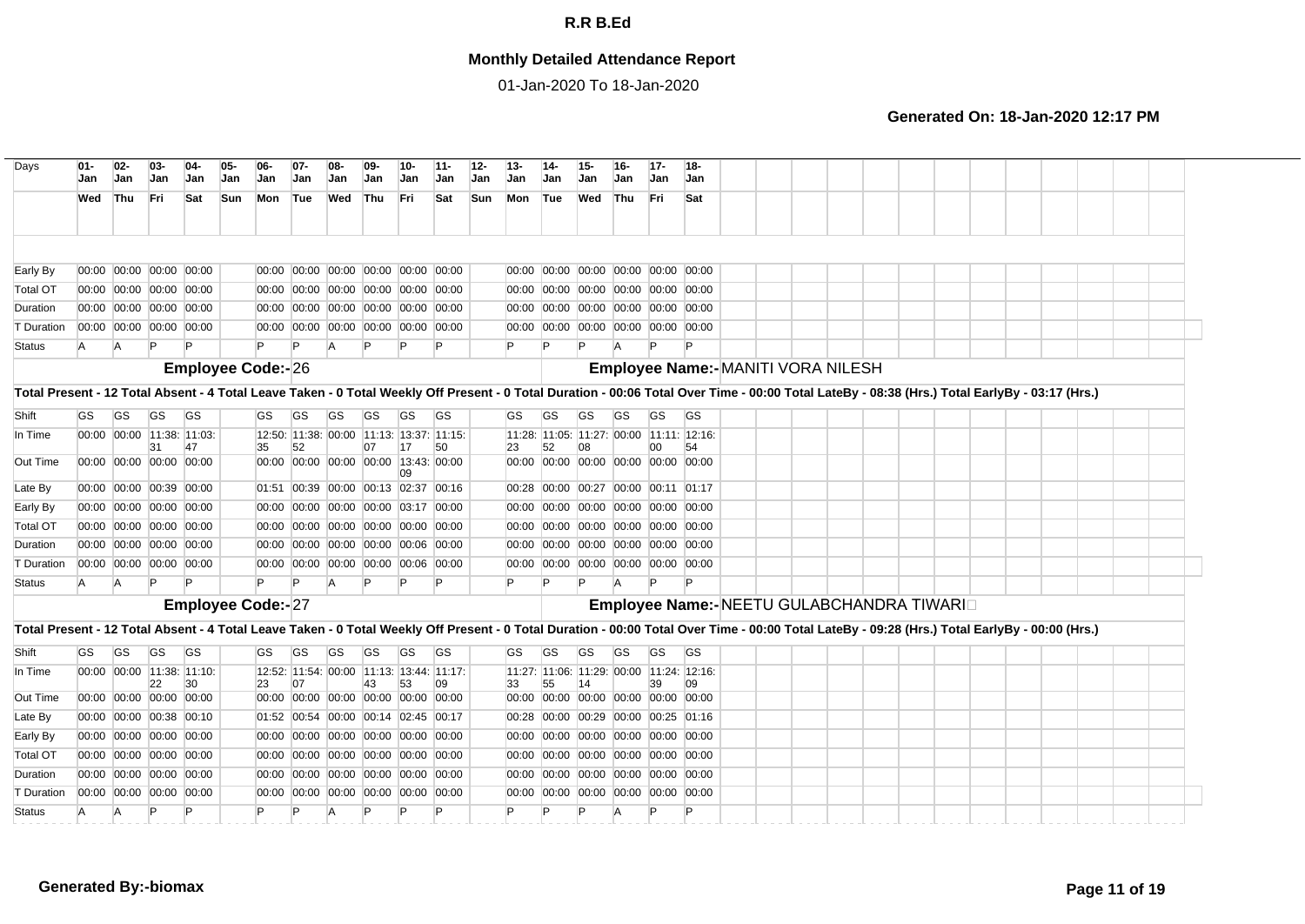## **Monthly Detailed Attendance Report**

01-Jan-2020 To 18-Jan-2020

| $01 -$<br>Jan | $02-$<br>Jan | $03-$<br>Jan  | $04-$<br>Jan                | $05 -$<br>Jan                                                                                                                                                                                                                                                                                                                                                                                                                                            | 06-<br>Jan                                             | $07-$<br>Jan  | 08-<br>Jan                                                                        | $09-$<br>Jan | 10-<br>Jan                    | $11 -$<br>Jan |                                                                                                                                                                                                                                                                                                                                                                                                                                                                                                                                                                                                                                                                                                                                             | $13 -$               | $14 -$<br>Jan             | 15-<br>Jan               | $16 -$<br>Jan   | $17 -$<br>Jan | 18-<br>Jan             |                                                                                                                                                                                                                                                                                                                                                                                                                                                                                                                                                                                                                                                                                                                                                  |  |  |                                    |  |                                            |  |                                                                                                                                                                                                                                                                                                                                                                                                  |  |
|---------------|--------------|---------------|-----------------------------|----------------------------------------------------------------------------------------------------------------------------------------------------------------------------------------------------------------------------------------------------------------------------------------------------------------------------------------------------------------------------------------------------------------------------------------------------------|--------------------------------------------------------|---------------|-----------------------------------------------------------------------------------|--------------|-------------------------------|---------------|---------------------------------------------------------------------------------------------------------------------------------------------------------------------------------------------------------------------------------------------------------------------------------------------------------------------------------------------------------------------------------------------------------------------------------------------------------------------------------------------------------------------------------------------------------------------------------------------------------------------------------------------------------------------------------------------------------------------------------------------|----------------------|---------------------------|--------------------------|-----------------|---------------|------------------------|--------------------------------------------------------------------------------------------------------------------------------------------------------------------------------------------------------------------------------------------------------------------------------------------------------------------------------------------------------------------------------------------------------------------------------------------------------------------------------------------------------------------------------------------------------------------------------------------------------------------------------------------------------------------------------------------------------------------------------------------------|--|--|------------------------------------|--|--------------------------------------------|--|--------------------------------------------------------------------------------------------------------------------------------------------------------------------------------------------------------------------------------------------------------------------------------------------------------------------------------------------------------------------------------------------------|--|
| Wed           |              |               | Sat                         | Sun                                                                                                                                                                                                                                                                                                                                                                                                                                                      | Mon                                                    |               |                                                                                   |              |                               | Sat           |                                                                                                                                                                                                                                                                                                                                                                                                                                                                                                                                                                                                                                                                                                                                             |                      |                           |                          |                 |               | Sat                    |                                                                                                                                                                                                                                                                                                                                                                                                                                                                                                                                                                                                                                                                                                                                                  |  |  |                                    |  |                                            |  |                                                                                                                                                                                                                                                                                                                                                                                                  |  |
|               |              |               |                             |                                                                                                                                                                                                                                                                                                                                                                                                                                                          |                                                        |               |                                                                                   |              |                               |               |                                                                                                                                                                                                                                                                                                                                                                                                                                                                                                                                                                                                                                                                                                                                             |                      |                           |                          |                 |               |                        |                                                                                                                                                                                                                                                                                                                                                                                                                                                                                                                                                                                                                                                                                                                                                  |  |  |                                    |  |                                            |  |                                                                                                                                                                                                                                                                                                                                                                                                  |  |
|               |              |               |                             |                                                                                                                                                                                                                                                                                                                                                                                                                                                          |                                                        |               |                                                                                   |              |                               |               |                                                                                                                                                                                                                                                                                                                                                                                                                                                                                                                                                                                                                                                                                                                                             |                      |                           |                          |                 |               |                        |                                                                                                                                                                                                                                                                                                                                                                                                                                                                                                                                                                                                                                                                                                                                                  |  |  |                                    |  |                                            |  |                                                                                                                                                                                                                                                                                                                                                                                                  |  |
|               |              |               |                             |                                                                                                                                                                                                                                                                                                                                                                                                                                                          |                                                        |               |                                                                                   |              |                               |               |                                                                                                                                                                                                                                                                                                                                                                                                                                                                                                                                                                                                                                                                                                                                             |                      |                           |                          |                 |               |                        |                                                                                                                                                                                                                                                                                                                                                                                                                                                                                                                                                                                                                                                                                                                                                  |  |  |                                    |  |                                            |  |                                                                                                                                                                                                                                                                                                                                                                                                  |  |
|               |              |               |                             |                                                                                                                                                                                                                                                                                                                                                                                                                                                          |                                                        |               |                                                                                   |              |                               |               |                                                                                                                                                                                                                                                                                                                                                                                                                                                                                                                                                                                                                                                                                                                                             |                      |                           |                          |                 |               |                        |                                                                                                                                                                                                                                                                                                                                                                                                                                                                                                                                                                                                                                                                                                                                                  |  |  |                                    |  |                                            |  |                                                                                                                                                                                                                                                                                                                                                                                                  |  |
|               |              |               |                             |                                                                                                                                                                                                                                                                                                                                                                                                                                                          |                                                        |               |                                                                                   |              |                               |               |                                                                                                                                                                                                                                                                                                                                                                                                                                                                                                                                                                                                                                                                                                                                             |                      |                           |                          |                 |               |                        |                                                                                                                                                                                                                                                                                                                                                                                                                                                                                                                                                                                                                                                                                                                                                  |  |  |                                    |  |                                            |  |                                                                                                                                                                                                                                                                                                                                                                                                  |  |
|               |              |               |                             |                                                                                                                                                                                                                                                                                                                                                                                                                                                          |                                                        |               |                                                                                   |              |                               |               |                                                                                                                                                                                                                                                                                                                                                                                                                                                                                                                                                                                                                                                                                                                                             |                      |                           |                          |                 |               |                        |                                                                                                                                                                                                                                                                                                                                                                                                                                                                                                                                                                                                                                                                                                                                                  |  |  |                                    |  |                                            |  |                                                                                                                                                                                                                                                                                                                                                                                                  |  |
|               |              |               |                             |                                                                                                                                                                                                                                                                                                                                                                                                                                                          |                                                        |               |                                                                                   |              |                               |               |                                                                                                                                                                                                                                                                                                                                                                                                                                                                                                                                                                                                                                                                                                                                             |                      |                           |                          |                 |               |                        |                                                                                                                                                                                                                                                                                                                                                                                                                                                                                                                                                                                                                                                                                                                                                  |  |  |                                    |  |                                            |  |                                                                                                                                                                                                                                                                                                                                                                                                  |  |
|               |              |               |                             |                                                                                                                                                                                                                                                                                                                                                                                                                                                          |                                                        |               |                                                                                   |              |                               |               |                                                                                                                                                                                                                                                                                                                                                                                                                                                                                                                                                                                                                                                                                                                                             |                      |                           |                          |                 |               |                        |                                                                                                                                                                                                                                                                                                                                                                                                                                                                                                                                                                                                                                                                                                                                                  |  |  |                                    |  |                                            |  |                                                                                                                                                                                                                                                                                                                                                                                                  |  |
|               |              |               |                             |                                                                                                                                                                                                                                                                                                                                                                                                                                                          |                                                        |               |                                                                                   |              |                               |               |                                                                                                                                                                                                                                                                                                                                                                                                                                                                                                                                                                                                                                                                                                                                             |                      |                           |                          |                 |               |                        |                                                                                                                                                                                                                                                                                                                                                                                                                                                                                                                                                                                                                                                                                                                                                  |  |  |                                    |  |                                            |  |                                                                                                                                                                                                                                                                                                                                                                                                  |  |
|               |              |               |                             |                                                                                                                                                                                                                                                                                                                                                                                                                                                          |                                                        |               |                                                                                   |              |                               |               |                                                                                                                                                                                                                                                                                                                                                                                                                                                                                                                                                                                                                                                                                                                                             |                      |                           |                          |                 |               |                        |                                                                                                                                                                                                                                                                                                                                                                                                                                                                                                                                                                                                                                                                                                                                                  |  |  |                                    |  |                                            |  |                                                                                                                                                                                                                                                                                                                                                                                                  |  |
| <b>GS</b>     | <b>GS</b>    | GS.           | GS                          |                                                                                                                                                                                                                                                                                                                                                                                                                                                          | GS.                                                    | GS            | GS                                                                                | GS           | GS                            | <b>GS</b>     |                                                                                                                                                                                                                                                                                                                                                                                                                                                                                                                                                                                                                                                                                                                                             | GS                   | GS                        | GS                       | <b>GS</b>       | <b>GS</b>     | GS                     |                                                                                                                                                                                                                                                                                                                                                                                                                                                                                                                                                                                                                                                                                                                                                  |  |  |                                    |  |                                            |  |                                                                                                                                                                                                                                                                                                                                                                                                  |  |
|               |              |               |                             |                                                                                                                                                                                                                                                                                                                                                                                                                                                          |                                                        |               |                                                                                   |              |                               |               |                                                                                                                                                                                                                                                                                                                                                                                                                                                                                                                                                                                                                                                                                                                                             |                      |                           |                          |                 |               |                        |                                                                                                                                                                                                                                                                                                                                                                                                                                                                                                                                                                                                                                                                                                                                                  |  |  |                                    |  |                                            |  |                                                                                                                                                                                                                                                                                                                                                                                                  |  |
|               |              |               |                             |                                                                                                                                                                                                                                                                                                                                                                                                                                                          |                                                        |               |                                                                                   |              |                               |               |                                                                                                                                                                                                                                                                                                                                                                                                                                                                                                                                                                                                                                                                                                                                             |                      |                           |                          |                 |               |                        |                                                                                                                                                                                                                                                                                                                                                                                                                                                                                                                                                                                                                                                                                                                                                  |  |  |                                    |  |                                            |  |                                                                                                                                                                                                                                                                                                                                                                                                  |  |
|               |              |               |                             |                                                                                                                                                                                                                                                                                                                                                                                                                                                          |                                                        |               |                                                                                   |              | 09                            |               |                                                                                                                                                                                                                                                                                                                                                                                                                                                                                                                                                                                                                                                                                                                                             |                      |                           |                          |                 |               |                        |                                                                                                                                                                                                                                                                                                                                                                                                                                                                                                                                                                                                                                                                                                                                                  |  |  |                                    |  |                                            |  |                                                                                                                                                                                                                                                                                                                                                                                                  |  |
|               |              |               |                             |                                                                                                                                                                                                                                                                                                                                                                                                                                                          |                                                        |               |                                                                                   |              |                               |               |                                                                                                                                                                                                                                                                                                                                                                                                                                                                                                                                                                                                                                                                                                                                             |                      |                           |                          |                 |               |                        |                                                                                                                                                                                                                                                                                                                                                                                                                                                                                                                                                                                                                                                                                                                                                  |  |  |                                    |  |                                            |  |                                                                                                                                                                                                                                                                                                                                                                                                  |  |
|               |              |               |                             |                                                                                                                                                                                                                                                                                                                                                                                                                                                          |                                                        |               |                                                                                   |              |                               |               |                                                                                                                                                                                                                                                                                                                                                                                                                                                                                                                                                                                                                                                                                                                                             |                      |                           |                          |                 |               |                        |                                                                                                                                                                                                                                                                                                                                                                                                                                                                                                                                                                                                                                                                                                                                                  |  |  |                                    |  |                                            |  |                                                                                                                                                                                                                                                                                                                                                                                                  |  |
|               |              |               |                             |                                                                                                                                                                                                                                                                                                                                                                                                                                                          |                                                        |               |                                                                                   |              |                               |               |                                                                                                                                                                                                                                                                                                                                                                                                                                                                                                                                                                                                                                                                                                                                             |                      |                           |                          |                 |               |                        |                                                                                                                                                                                                                                                                                                                                                                                                                                                                                                                                                                                                                                                                                                                                                  |  |  |                                    |  |                                            |  |                                                                                                                                                                                                                                                                                                                                                                                                  |  |
|               |              |               |                             |                                                                                                                                                                                                                                                                                                                                                                                                                                                          |                                                        |               |                                                                                   |              |                               |               |                                                                                                                                                                                                                                                                                                                                                                                                                                                                                                                                                                                                                                                                                                                                             |                      |                           |                          |                 |               |                        |                                                                                                                                                                                                                                                                                                                                                                                                                                                                                                                                                                                                                                                                                                                                                  |  |  |                                    |  |                                            |  |                                                                                                                                                                                                                                                                                                                                                                                                  |  |
|               |              |               |                             |                                                                                                                                                                                                                                                                                                                                                                                                                                                          |                                                        |               |                                                                                   |              |                               |               |                                                                                                                                                                                                                                                                                                                                                                                                                                                                                                                                                                                                                                                                                                                                             |                      |                           |                          |                 |               |                        |                                                                                                                                                                                                                                                                                                                                                                                                                                                                                                                                                                                                                                                                                                                                                  |  |  |                                    |  |                                            |  |                                                                                                                                                                                                                                                                                                                                                                                                  |  |
|               |              |               |                             |                                                                                                                                                                                                                                                                                                                                                                                                                                                          |                                                        |               |                                                                                   |              |                               |               |                                                                                                                                                                                                                                                                                                                                                                                                                                                                                                                                                                                                                                                                                                                                             |                      |                           |                          |                 |               |                        |                                                                                                                                                                                                                                                                                                                                                                                                                                                                                                                                                                                                                                                                                                                                                  |  |  |                                    |  |                                            |  |                                                                                                                                                                                                                                                                                                                                                                                                  |  |
|               |              |               |                             |                                                                                                                                                                                                                                                                                                                                                                                                                                                          |                                                        |               |                                                                                   |              |                               |               |                                                                                                                                                                                                                                                                                                                                                                                                                                                                                                                                                                                                                                                                                                                                             |                      |                           |                          |                 |               |                        |                                                                                                                                                                                                                                                                                                                                                                                                                                                                                                                                                                                                                                                                                                                                                  |  |  |                                    |  |                                            |  |                                                                                                                                                                                                                                                                                                                                                                                                  |  |
|               |              |               |                             |                                                                                                                                                                                                                                                                                                                                                                                                                                                          |                                                        |               |                                                                                   |              |                               |               |                                                                                                                                                                                                                                                                                                                                                                                                                                                                                                                                                                                                                                                                                                                                             |                      |                           |                          |                 |               |                        |                                                                                                                                                                                                                                                                                                                                                                                                                                                                                                                                                                                                                                                                                                                                                  |  |  |                                    |  |                                            |  |                                                                                                                                                                                                                                                                                                                                                                                                  |  |
| GS            | GS           | GS            | <b>GS</b>                   |                                                                                                                                                                                                                                                                                                                                                                                                                                                          | GS                                                     | GS            | GS                                                                                | GS           | GS                            | <b>GS</b>     |                                                                                                                                                                                                                                                                                                                                                                                                                                                                                                                                                                                                                                                                                                                                             | GS                   | GS                        | GS                       | <b>GS</b>       | <b>GS</b>     | GS                     |                                                                                                                                                                                                                                                                                                                                                                                                                                                                                                                                                                                                                                                                                                                                                  |  |  |                                    |  |                                            |  |                                                                                                                                                                                                                                                                                                                                                                                                  |  |
|               |              |               |                             |                                                                                                                                                                                                                                                                                                                                                                                                                                                          |                                                        |               |                                                                                   |              |                               |               |                                                                                                                                                                                                                                                                                                                                                                                                                                                                                                                                                                                                                                                                                                                                             |                      |                           |                          |                 |               |                        |                                                                                                                                                                                                                                                                                                                                                                                                                                                                                                                                                                                                                                                                                                                                                  |  |  |                                    |  |                                            |  |                                                                                                                                                                                                                                                                                                                                                                                                  |  |
|               |              |               |                             |                                                                                                                                                                                                                                                                                                                                                                                                                                                          |                                                        |               |                                                                                   |              |                               |               |                                                                                                                                                                                                                                                                                                                                                                                                                                                                                                                                                                                                                                                                                                                                             |                      |                           |                          |                 |               |                        |                                                                                                                                                                                                                                                                                                                                                                                                                                                                                                                                                                                                                                                                                                                                                  |  |  |                                    |  |                                            |  |                                                                                                                                                                                                                                                                                                                                                                                                  |  |
|               |              |               |                             |                                                                                                                                                                                                                                                                                                                                                                                                                                                          |                                                        |               |                                                                                   |              |                               |               |                                                                                                                                                                                                                                                                                                                                                                                                                                                                                                                                                                                                                                                                                                                                             |                      |                           |                          |                 |               |                        |                                                                                                                                                                                                                                                                                                                                                                                                                                                                                                                                                                                                                                                                                                                                                  |  |  |                                    |  |                                            |  |                                                                                                                                                                                                                                                                                                                                                                                                  |  |
|               |              |               |                             |                                                                                                                                                                                                                                                                                                                                                                                                                                                          |                                                        |               |                                                                                   |              |                               |               |                                                                                                                                                                                                                                                                                                                                                                                                                                                                                                                                                                                                                                                                                                                                             |                      |                           |                          |                 |               |                        |                                                                                                                                                                                                                                                                                                                                                                                                                                                                                                                                                                                                                                                                                                                                                  |  |  |                                    |  |                                            |  |                                                                                                                                                                                                                                                                                                                                                                                                  |  |
|               |              |               |                             |                                                                                                                                                                                                                                                                                                                                                                                                                                                          |                                                        |               |                                                                                   |              |                               |               |                                                                                                                                                                                                                                                                                                                                                                                                                                                                                                                                                                                                                                                                                                                                             |                      |                           |                          |                 |               |                        |                                                                                                                                                                                                                                                                                                                                                                                                                                                                                                                                                                                                                                                                                                                                                  |  |  |                                    |  |                                            |  |                                                                                                                                                                                                                                                                                                                                                                                                  |  |
|               |              |               |                             |                                                                                                                                                                                                                                                                                                                                                                                                                                                          |                                                        |               |                                                                                   |              |                               |               |                                                                                                                                                                                                                                                                                                                                                                                                                                                                                                                                                                                                                                                                                                                                             |                      |                           |                          |                 |               |                        |                                                                                                                                                                                                                                                                                                                                                                                                                                                                                                                                                                                                                                                                                                                                                  |  |  |                                    |  |                                            |  |                                                                                                                                                                                                                                                                                                                                                                                                  |  |
|               |              |               |                             |                                                                                                                                                                                                                                                                                                                                                                                                                                                          | 00:00                                                  |               |                                                                                   |              |                               |               |                                                                                                                                                                                                                                                                                                                                                                                                                                                                                                                                                                                                                                                                                                                                             |                      |                           |                          |                 |               |                        |                                                                                                                                                                                                                                                                                                                                                                                                                                                                                                                                                                                                                                                                                                                                                  |  |  |                                    |  |                                            |  |                                                                                                                                                                                                                                                                                                                                                                                                  |  |
|               |              |               |                             |                                                                                                                                                                                                                                                                                                                                                                                                                                                          |                                                        |               |                                                                                   |              |                               |               |                                                                                                                                                                                                                                                                                                                                                                                                                                                                                                                                                                                                                                                                                                                                             |                      |                           |                          |                 |               |                        |                                                                                                                                                                                                                                                                                                                                                                                                                                                                                                                                                                                                                                                                                                                                                  |  |  |                                    |  |                                            |  |                                                                                                                                                                                                                                                                                                                                                                                                  |  |
|               | A<br>A       | Thu<br>A<br>A | <b>Fri</b><br>P<br>31<br>22 | 00:00 00:00 00:00 00:00<br>00:00 00:00 00:00 00:00<br>00:00 00:00 00:00 00:00<br>00:00 00:00 00:00 00:00<br>47<br>00:00 00:00 00:00 00:00<br>00:00 00:00 00:39 00:00<br>00:00 00:00 00:00 00:00<br>00:00 00:00 00:00 00:00<br>00:00 00:00 00:00 00:00<br>00:00 00:00 00:00 00:00<br>30<br>00:00 00:00 00:00 00:00<br>00:00 00:00 00:38 00:10<br>00:00 00:00 00:00 00:00<br>00:00 00:00 00:00 00:00<br>00:00 00:00 00:00 00:00<br>00:00 00:00 00:00 00:00 | 00:00 00:00 11:38: 11:03:<br>00:00 00:00 11:38: 11:10: | 35<br>P<br>23 | Tue<br>Þ<br><b>Employee Code:-26</b><br>52<br>P<br><b>Employee Code:-27</b><br>07 | A<br>A       | Wed Thu<br>P<br>07<br>P<br>43 | Fri<br>53     | 00:00 00:00 00:00 00:00 00:00 00:00<br>00:00 00:00 00:00 00:00 00:00 00:00<br>00:00 00:00 00:00 00:00 00:00 00:00<br>00:00 00:00 00:00 00:00 00:00 00:00<br>12:50: 11:38: 00:00 11:13: 13:37: 11:15:<br>50<br>00:00 00:00 00:00 00:00 13:43: 00:00<br>01:51 00:39 00:00 00:13 02:37 00:16<br>00:00 00:00 00:00 00:00 03:17 00:00<br>00:00 00:00 00:00 00:00 00:00 00:00<br>00:00 00:00 00:00 00:00 00:06 00:00<br>00:00 00:00 00:00 00:00 00:06 00:00<br>12:52: 11:54: 00:00 11:13: 13:44: 11:17:<br>09<br>00:00 00:00 00:00 00:00 00:00 00:00<br>01:52 00:54 00:00 00:14 02:45 00:17<br>00:00 00:00 00:00 00:00 00:00 00:00<br>00:00 00:00 00:00 00:00 00:00 00:00<br>00:00 00:00 00:00 00:00 00:00 00:00<br>00:00 00:00 00:00 00:00 00:00 | $12 -$<br>Jan<br>Sun | Jan<br>P<br>23<br>P<br>33 | Mon Tue<br>D<br>52<br>55 | Wed<br>08<br>14 | Thu           | <b>Fri</b><br>00<br>39 | 00:00 00:00 00:00 00:00 00:00 00:00<br>00:00 00:00 00:00 00:00 00:00 00:00<br>00:00 00:00 00:00 00:00 00:00 00:00<br>00:00 00:00 00:00 00:00 00:00 00:00<br>11:28: 11:05: 11:27: 00:00 11:11: 12:16:<br>54<br>00:00 00:00 00:00 00:00 00:00 00:00<br>00:28 00:00 00:27 00:00 00:11 01:17<br>00:00 00:00 00:00 00:00 00:00 00:00<br>00:00 00:00 00:00 00:00 00:00 00:00<br>00:00 00:00 00:00 00:00 00:00 00:00<br>00:00 00:00 00:00 00:00 00:00 00:00<br>11:27: 11:06: 11:29: 00:00 11:24: 12:16:<br>09<br>00:00 00:00 00:00 00:00 00:00 00:00<br>00:28 00:00 00:29 00:00 00:25 01:16<br>00:00 00:00 00:00 00:00 00:00 00:00<br>00:00 00:00 00:00 00:00 00:00 00:00<br>00:00 00:00 00:00 00:00 00:00 00:00<br>00:00 00:00 00:00 00:00 00:00 00:00 |  |  | Employee Name:- MANITI VORA NILESH |  | Employee Name:- NEETU GULABCHANDRA TIWARID |  | Total Present - 12 Total Absent - 4 Total Leave Taken - 0 Total Weekly Off Present - 0 Total Duration - 00:06 Total Over Time - 00:00 Total LateBy - 08:38 (Hrs.) Total EarlyBy - 03:17 (Hrs.)<br>Total Present - 12 Total Absent - 4 Total Leave Taken - 0 Total Weekly Off Present - 0 Total Duration - 00:00 Total Over Time - 00:00 Total LateBy - 09:28 (Hrs.) Total EarlyBy - 00:00 (Hrs.) |  |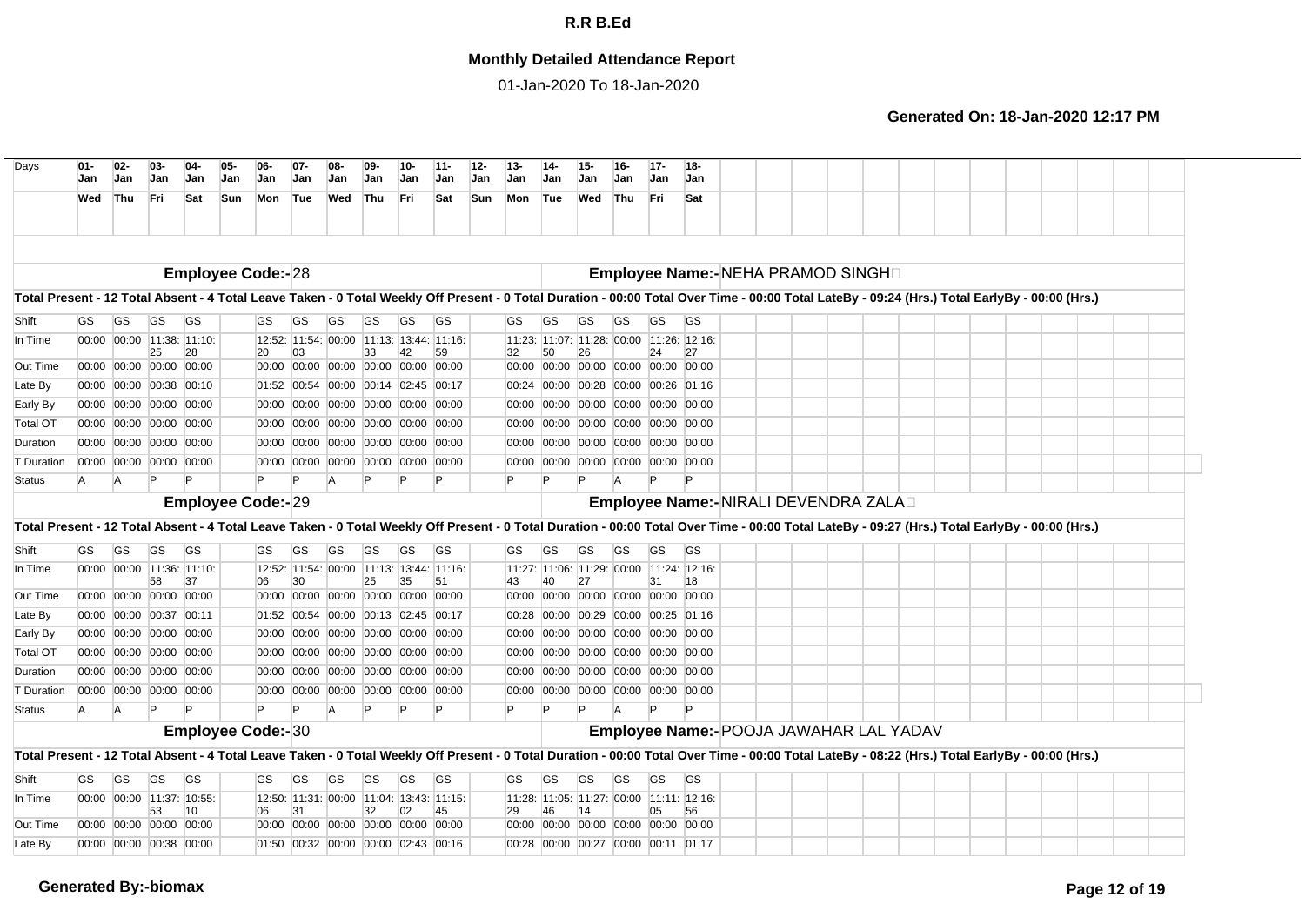## **Monthly Detailed Attendance Report**

01-Jan-2020 To 18-Jan-2020

| Days                                                                                                                                                                                           | $01 -$<br>Jan             | $02-$<br>Jan | $03 -$<br>Jan                                      | $04-$<br>Jan | 05-<br>$06-$<br>Jan<br><b>Jan</b> | $07 -$<br>Jan | $08-$<br><b>Jan</b>                                                        | $09-$<br>Jan | 10-<br>Jan | 11-<br>Jan | $12 -$<br>Jan. | $13 -$<br><b>Jan</b> | 14-<br>Jan | 15-<br>Jan | $16-$<br><b>Jan</b>                                            | $17 -$<br><b>Jan</b> | $18 -$<br><b>Jan</b>                                |  |  |  |  |  |  |
|------------------------------------------------------------------------------------------------------------------------------------------------------------------------------------------------|---------------------------|--------------|----------------------------------------------------|--------------|-----------------------------------|---------------|----------------------------------------------------------------------------|--------------|------------|------------|----------------|----------------------|------------|------------|----------------------------------------------------------------|----------------------|-----------------------------------------------------|--|--|--|--|--|--|
|                                                                                                                                                                                                | Wed                       | Thu          | Fri                                                | Sat          | <b>Sun</b><br>Mon                 | Tue           | Wed                                                                        | Thu          | <b>Fri</b> | Sat        | Sun            | Mon                  | Tue        | Wed        | Thu                                                            | Fri                  | Sat                                                 |  |  |  |  |  |  |
|                                                                                                                                                                                                |                           |              |                                                    |              |                                   |               |                                                                            |              |            |            |                |                      |            |            |                                                                |                      |                                                     |  |  |  |  |  |  |
|                                                                                                                                                                                                |                           |              |                                                    |              | <b>Employee Code:-28</b>          |               |                                                                            |              |            |            |                |                      |            |            |                                                                |                      | Employee Name:-NEHA PRAMOD SINGHI                   |  |  |  |  |  |  |
| Total Present - 12 Total Absent - 4 Total Leave Taken - 0 Total Weekly Off Present - 0 Total Duration - 00:00 Total Over Time - 00:00 Total LateBy - 09:24 (Hrs.) Total EarlyBy - 00:00 (Hrs.) |                           |              |                                                    |              |                                   |               |                                                                            |              |            |            |                |                      |            |            |                                                                |                      |                                                     |  |  |  |  |  |  |
| Shift                                                                                                                                                                                          | <b>GS</b>                 | GS.          | GS                                                 | <b>GS</b>    | GS                                | <b>GS</b>     | GS                                                                         | GS           | <b>GS</b>  | <b>GS</b>  |                | GS                   | GS         | <b>GS</b>  | <b>GS</b>                                                      | <b>GS</b>            | <b>GS</b>                                           |  |  |  |  |  |  |
| In Time                                                                                                                                                                                        |                           |              | 00:00 00:00 11:38: 11:10:<br>25                    | 28           | <b>20</b>                         | 03            | 12:52: 11:54: 00:00 11:13: 13:44: 11:16:<br>33                             |              | 42         | 59         | 32             |                      | 50         | 26         |                                                                | 24                   | 11:23: 11:07: 11:28: 00:00 11:26: 12:16:<br>27      |  |  |  |  |  |  |
| Out Time                                                                                                                                                                                       |                           |              | 00:00 00:00 00:00 00:00                            |              |                                   |               | 00:00 00:00 00:00 00:00 00:00 00:00                                        |              |            |            |                | 00:00                |            |            | 00:00 00:00 00:00 00:00 00:00                                  |                      |                                                     |  |  |  |  |  |  |
| Late By                                                                                                                                                                                        |                           |              | 00:00 00:00 00:38 00:10                            |              |                                   |               | 01:52 00:54 00:00 00:14 02:45 00:17                                        |              |            |            |                | 00:24                | 00:00      |            | 00:28 00:00 00:26 01:16                                        |                      |                                                     |  |  |  |  |  |  |
| Early By                                                                                                                                                                                       |                           |              | 00:00 00:00 00:00 00:00                            |              |                                   |               | 00:00 00:00 00:00 00:00 00:00 00:00                                        |              |            |            |                | 00:00                | 00:00      |            | 00:00 00:00 00:00 00:00                                        |                      |                                                     |  |  |  |  |  |  |
| <b>Total OT</b>                                                                                                                                                                                |                           |              | 00:00 00:00 00:00 00:00                            |              |                                   |               | 00:00 00:00 00:00 00:00 00:00 00:00                                        |              |            |            |                | 00:00                | 00:00      |            | 00:00 00:00 00:00 00:00                                        |                      |                                                     |  |  |  |  |  |  |
| Duration                                                                                                                                                                                       |                           |              | 00:00 00:00 00:00 00:00                            |              |                                   |               | 00:00 00:00 00:00 00:00 00:00 00:00                                        |              |            |            |                | 00:00                | 00:00      |            | 00:00 00:00 00:00 00:00                                        |                      |                                                     |  |  |  |  |  |  |
| <b>T</b> Duration                                                                                                                                                                              |                           |              | 00:00 00:00 00:00 00:00                            |              |                                   |               | 00:00 00:00 00:00 00:00 00:00 00:00                                        |              |            |            |                | 00:00                |            |            | 00:00 00:00 00:00 00:00 00:00                                  |                      |                                                     |  |  |  |  |  |  |
| <b>Status</b>                                                                                                                                                                                  | A                         | A            |                                                    |              | $\mathsf{P}$                      | Þ             | $\overline{A}$                                                             |              |            |            | P              |                      |            |            | A                                                              |                      | P                                                   |  |  |  |  |  |  |
|                                                                                                                                                                                                |                           |              |                                                    |              | <b>Employee Code:-29</b>          |               |                                                                            |              |            |            |                |                      |            |            |                                                                |                      | Employee Name:- NIRALI DEVENDRA ZALAD               |  |  |  |  |  |  |
| Total Present - 12 Total Absent - 4 Total Leave Taken - 0 Total Weekly Off Present - 0 Total Duration - 00:00 Total Over Time - 00:00 Total LateBy - 09:27 (Hrs.) Total EarlyBy - 00:00 (Hrs.) |                           |              |                                                    |              |                                   |               |                                                                            |              |            |            |                |                      |            |            |                                                                |                      |                                                     |  |  |  |  |  |  |
| Shift                                                                                                                                                                                          | GS                        | GS.          | GS                                                 | <b>GS</b>    | GS                                | GS            | GS                                                                         | GS           | GS         | <b>GS</b>  |                | GS                   | GS         | GS         | GS                                                             | GS                   | <b>GS</b>                                           |  |  |  |  |  |  |
| In Time                                                                                                                                                                                        | 00:00 00:00 11:36: 11:10: |              |                                                    |              |                                   |               |                                                                            |              |            |            |                |                      |            |            |                                                                |                      |                                                     |  |  |  |  |  |  |
| Out Time                                                                                                                                                                                       |                           |              |                                                    |              |                                   |               | 12:52: 11:54: 00:00 11:13: 13:44: 11:16:                                   |              |            |            |                |                      |            |            |                                                                |                      | 11:27: 11:06: 11:29: 00:00 11:24: 12:16:            |  |  |  |  |  |  |
|                                                                                                                                                                                                |                           |              | 58                                                 | 37           | 06                                | 30            | 25                                                                         |              | 35         | 51         |                | 43                   |            | 27         |                                                                | 31                   | 18                                                  |  |  |  |  |  |  |
|                                                                                                                                                                                                |                           |              | 00:00 00:00 00:00 00:00                            |              |                                   |               | 00:00 00:00 00:00 00:00 00:00 00:00                                        |              |            |            |                | 00:00                |            |            | 00:00 00:00 00:00 00:00 00:00                                  |                      |                                                     |  |  |  |  |  |  |
|                                                                                                                                                                                                |                           |              | 00:00 00:00 00:37 00:11                            |              |                                   |               | 01:52 00:54 00:00 00:13 02:45 00:17                                        |              |            |            |                | 00:28                |            |            | 00:00 00:29 00:00 00:25 01:16                                  |                      |                                                     |  |  |  |  |  |  |
| Late By<br>Early By                                                                                                                                                                            |                           |              | 00:00 00:00 00:00 00:00                            |              |                                   |               | 00:00 00:00 00:00 00:00 00:00 00:00                                        |              |            |            |                | 00:00<br>00:00       |            |            | 00:00 00:00 00:00 00:00 00:00                                  |                      |                                                     |  |  |  |  |  |  |
| <b>Total OT</b><br>Duration                                                                                                                                                                    |                           |              | 00:00 00:00 00:00 00:00<br>00:00 00:00 00:00 00:00 |              |                                   |               | 00:00 00:00 00:00 00:00 00:00 00:00<br>00:00 00:00 00:00 00:00 00:00 00:00 |              |            |            |                | 00:00                |            |            | 00:00 00:00 00:00 00:00 00:00<br>00:00 00:00 00:00 00:00 00:00 |                      |                                                     |  |  |  |  |  |  |
| T Duration                                                                                                                                                                                     |                           |              | 00:00 00:00 00:00 00:00                            |              |                                   |               | 00:00 00:00 00:00 00:00 00:00 00:00                                        |              |            |            |                |                      |            |            | 00:00 00:00 00:00 00:00 00:00 00:00                            |                      |                                                     |  |  |  |  |  |  |
| <b>Status</b>                                                                                                                                                                                  | A                         |              |                                                    |              | IP.                               | Þ             | A                                                                          |              |            | Þ          | Þ              |                      |            |            |                                                                |                      |                                                     |  |  |  |  |  |  |
|                                                                                                                                                                                                |                           |              |                                                    |              |                                   |               |                                                                            |              |            |            |                |                      |            |            |                                                                |                      |                                                     |  |  |  |  |  |  |
|                                                                                                                                                                                                |                           |              |                                                    |              | <b>Employee Code:-30</b>          |               |                                                                            |              |            |            |                |                      |            |            |                                                                |                      | Employee Name:- POOJA JAWAHAR LAL YADAV             |  |  |  |  |  |  |
| Total Present - 12 Total Absent - 4 Total Leave Taken - 0 Total Weekly Off Present - 0 Total Duration - 00:00 Total Over Time - 00:00 Total LateBy - 08:22 (Hrs.) Total EarlyBy - 00:00 (Hrs.) |                           |              |                                                    |              |                                   |               |                                                                            |              |            |            |                |                      |            |            |                                                                |                      |                                                     |  |  |  |  |  |  |
| Shift                                                                                                                                                                                          | GS                        | GS           | GS                                                 | <b>GS</b>    | GS                                | GS            | GS                                                                         | GS           | GS         | GS         |                | GS                   | GS         | GS         | GS                                                             | GS                   | <b>GS</b>                                           |  |  |  |  |  |  |
| In Time                                                                                                                                                                                        |                           |              | 00:00 00:00 11:37: 10:55:<br>53                    | 10           | 06                                | 31            | 12:50: 11:31: 00:00 11:04: 13:43: 11:15:<br>32                             |              | 02         | 45         | 29             |                      | 46         | 14         |                                                                | 05                   | 11:28:  11:05:  11:27:  00:00  11:11:  12:16:<br>56 |  |  |  |  |  |  |
| Out Time                                                                                                                                                                                       |                           |              | 00:00 00:00 00:00 00:00                            |              |                                   |               | 00:00 00:00 00:00 00:00 00:00 00:00                                        |              |            |            |                |                      |            |            | 00:00 00:00 00:00 00:00 00:00 00:00                            |                      |                                                     |  |  |  |  |  |  |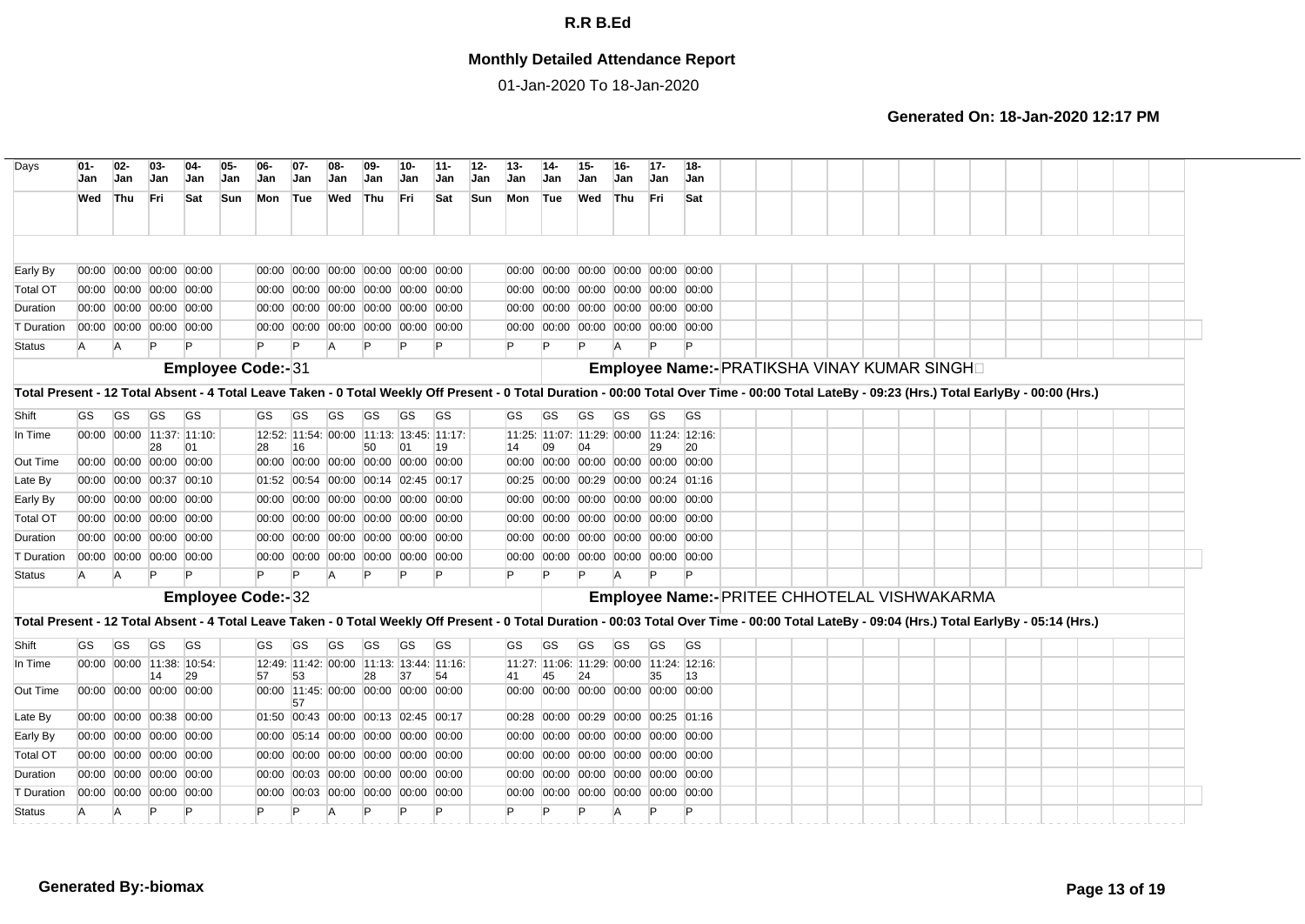## **Monthly Detailed Attendance Report**

01-Jan-2020 To 18-Jan-2020

| Days                                                                                                                                                                                           | $01 -$<br>Jan | $02 -$<br><b>Jan</b> | $03 -$<br><b>Jan</b>          | $04-$<br>Jan                    | $05 -$<br>Jan | 06-<br>Jan               | $07 -$<br>Jan                                  | 08<br>Jan      | $09-$<br>Jan | 10-<br>Jan | $11 -$<br>Jan | $12 -$<br>Jan. | $13 -$<br>Jan                             | $14-$<br>Jan | $15 -$<br>Jan | $16 -$<br><b>Jan</b> | $17 -$<br>Jan | 18-<br><b>Jan</b>                              |  |  |  |  |  |  |  |
|------------------------------------------------------------------------------------------------------------------------------------------------------------------------------------------------|---------------|----------------------|-------------------------------|---------------------------------|---------------|--------------------------|------------------------------------------------|----------------|--------------|------------|---------------|----------------|-------------------------------------------|--------------|---------------|----------------------|---------------|------------------------------------------------|--|--|--|--|--|--|--|
|                                                                                                                                                                                                | Wed           | Thu                  | Fri                           | Sat                             | <b>Sun</b>    | Mon                      | Tue                                            | Wed Thu        |              | Fri        | Sat           | Sun            | Mon Tue                                   |              | Wed           | Thu                  | Fri.          | Sat                                            |  |  |  |  |  |  |  |
|                                                                                                                                                                                                |               |                      |                               |                                 |               |                          |                                                |                |              |            |               |                |                                           |              |               |                      |               |                                                |  |  |  |  |  |  |  |
| Early By                                                                                                                                                                                       |               |                      | 00:00 00:00 00:00 00:00       |                                 |               |                          | 00:00 00:00 00:00 00:00 00:00 00:00            |                |              |            |               |                | 00:00 00:00 00:00 00:00 00:00 00:00       |              |               |                      |               |                                                |  |  |  |  |  |  |  |
| <b>Total OT</b>                                                                                                                                                                                |               |                      | 00:00 00:00 00:00 00:00       |                                 |               |                          | 00:00 00:00 00:00 00:00 00:00 00:00            |                |              |            |               |                | 00:00 00:00 00:00 00:00 00:00 00:00       |              |               |                      |               |                                                |  |  |  |  |  |  |  |
| Duration                                                                                                                                                                                       |               |                      | 00:00 00:00 00:00 00:00       |                                 |               |                          | 00:00 00:00 00:00 00:00 00:00 00:00            |                |              |            |               |                | 00:00 00:00 00:00 00:00 00:00 00:00       |              |               |                      |               |                                                |  |  |  |  |  |  |  |
| T Duration                                                                                                                                                                                     |               |                      | 00:00 00:00 00:00 00:00       |                                 |               |                          | 00:00 00:00 00:00 00:00 00:00 00:00            |                |              |            |               |                | 00:00 00:00 00:00 00:00 00:00 00:00       |              |               |                      |               |                                                |  |  |  |  |  |  |  |
| <b>Status</b>                                                                                                                                                                                  | <b>A</b>      | <b>A</b>             |                               |                                 |               |                          |                                                | A              |              |            |               |                |                                           |              |               |                      |               |                                                |  |  |  |  |  |  |  |
|                                                                                                                                                                                                |               |                      |                               |                                 |               | Employee Code:-31        |                                                |                |              |            |               |                |                                           |              |               |                      |               | Employee Name:- PRATIKSHA VINAY KUMAR SINGH    |  |  |  |  |  |  |  |
| Total Present - 12 Total Absent - 4 Total Leave Taken - 0 Total Weekly Off Present - 0 Total Duration - 00:00 Total Over Time - 00:00 Total LateBy - 09:23 (Hrs.) Total EarlyBy - 00:00 (Hrs.) |               |                      |                               |                                 |               |                          |                                                |                |              |            |               |                |                                           |              |               |                      |               |                                                |  |  |  |  |  |  |  |
| Shift                                                                                                                                                                                          | <b>GS</b>     | <b>GS</b>            | <b>GS</b>                     | <b>GS</b>                       |               | <b>GS</b>                | GS                                             | GS             | GS           | GS         | <b>GS</b>     |                | GS                                        | GS           | GS            | <b>GS</b>            | GS            | <b>GS</b>                                      |  |  |  |  |  |  |  |
| In Time                                                                                                                                                                                        |               |                      |                               | 00:00 00:00 11:37: 11:10:       |               |                          | 12:52: 11:54: 00:00 11:13: 13:45: 11:17:       |                |              |            |               |                |                                           |              |               |                      |               | 11:25: 11:07: 11:29: 00:00 11:24: 12:16:       |  |  |  |  |  |  |  |
| Out Time                                                                                                                                                                                       |               |                      | 28<br>00:00 00:00 00:00 00:00 | 01                              |               | 28<br>00:00              | 16<br>00:00 00:00 00:00 00:00 00:00            |                | 50           | 01         | 19            |                | 14<br>00:00 00:00 00:00 00:00 00:00 00:00 | 09           | 04            |                      | 29            | 20                                             |  |  |  |  |  |  |  |
| Late By                                                                                                                                                                                        |               |                      | 00:00 00:00 00:37 00:10       |                                 |               |                          | 01:52 00:54 00:00 00:14 02:45 00:17            |                |              |            |               |                | 00:25 00:00 00:29 00:00 00:24 01:16       |              |               |                      |               |                                                |  |  |  |  |  |  |  |
| Early By                                                                                                                                                                                       |               |                      | 00:00 00:00 00:00 00:00       |                                 |               |                          | 00:00 00:00 00:00 00:00 00:00 00:00            |                |              |            |               |                | 00:00 00:00 00:00 00:00 00:00 00:00       |              |               |                      |               |                                                |  |  |  |  |  |  |  |
| <b>Total OT</b>                                                                                                                                                                                |               |                      | 00:00 00:00 00:00 00:00       |                                 |               |                          | 00:00 00:00 00:00 00:00 00:00 00:00            |                |              |            |               |                | 00:00 00:00 00:00 00:00 00:00 00:00       |              |               |                      |               |                                                |  |  |  |  |  |  |  |
| Duration                                                                                                                                                                                       |               |                      | 00:00 00:00 00:00 00:00       |                                 |               |                          | 00:00 00:00 00:00 00:00 00:00 00:00            |                |              |            |               |                | 00:00 00:00 00:00 00:00 00:00 00:00       |              |               |                      |               |                                                |  |  |  |  |  |  |  |
| <b>T</b> Duration                                                                                                                                                                              |               |                      | 00:00 00:00 00:00 00:00       |                                 |               |                          | 00:00 00:00 00:00 00:00 00:00 00:00            |                |              |            |               |                | 00:00 00:00 00:00 00:00 00:00 00:00       |              |               |                      |               |                                                |  |  |  |  |  |  |  |
| Status                                                                                                                                                                                         | A             | <b>A</b>             | P                             |                                 |               | P                        | P                                              | $\overline{A}$ |              |            |               |                | $\mathsf{P}$                              |              | $\mathsf{P}$  |                      |               |                                                |  |  |  |  |  |  |  |
|                                                                                                                                                                                                |               |                      |                               |                                 |               | <b>Employee Code:-32</b> |                                                |                |              |            |               |                |                                           |              |               |                      |               | Employee Name:- PRITEE CHHOTELAL VISHWAKARMA   |  |  |  |  |  |  |  |
| Total Present - 12 Total Absent - 4 Total Leave Taken - 0 Total Weekly Off Present - 0 Total Duration - 00:03 Total Over Time - 00:00 Total LateBy - 09:04 (Hrs.) Total EarlyBy - 05:14 (Hrs.) |               |                      |                               |                                 |               |                          |                                                |                |              |            |               |                |                                           |              |               |                      |               |                                                |  |  |  |  |  |  |  |
| Shift                                                                                                                                                                                          | <b>GS</b>     | <b>GS</b>            | <b>GS</b>                     | <b>GS</b>                       |               | GS                       | GS                                             | GS             | <b>GS</b>    | <b>GS</b>  | <b>GS</b>     |                | GS                                        | <b>GS</b>    | <b>GS</b>     | <b>GS</b>            | <b>GS</b>     | <b>GS</b>                                      |  |  |  |  |  |  |  |
| In Time                                                                                                                                                                                        |               |                      | 14                            | 00:00 00:00 11:38: 10:54:<br>29 |               | 57                       | 12:49: 11:42: 00:00 11:13: 13:44: 11:16:<br>53 |                | 28           | 37         | 54            |                | 41                                        | 45           | 24            |                      | 35            | 11:27: 11:06: 11:29: 00:00 11:24: 12:16:<br>13 |  |  |  |  |  |  |  |
| Out Time                                                                                                                                                                                       |               |                      | 00:00 00:00 00:00 00:00       |                                 |               |                          | 00:00 11:45: 00:00 00:00 00:00 00:00<br>57     |                |              |            |               |                | 00:00 00:00 00:00 00:00 00:00 00:00       |              |               |                      |               |                                                |  |  |  |  |  |  |  |
| Late By                                                                                                                                                                                        |               |                      | 00:00 00:00 00:38 00:00       |                                 |               |                          | 01:50 00:43 00:00 00:13 02:45 00:17            |                |              |            |               |                | 00:28 00:00 00:29 00:00 00:25 01:16       |              |               |                      |               |                                                |  |  |  |  |  |  |  |
| Early By                                                                                                                                                                                       |               |                      | 00:00 00:00 00:00 00:00       |                                 |               |                          | 00:00 05:14 00:00 00:00 00:00 00:00            |                |              |            |               |                | 00:00 00:00 00:00 00:00 00:00 00:00       |              |               |                      |               |                                                |  |  |  |  |  |  |  |
| <b>Total OT</b>                                                                                                                                                                                |               |                      | 00:00 00:00 00:00 00:00       |                                 |               |                          | 00:00 00:00 00:00 00:00 00:00 00:00            |                |              |            |               |                | 00:00 00:00 00:00 00:00 00:00 00:00       |              |               |                      |               |                                                |  |  |  |  |  |  |  |
| Duration                                                                                                                                                                                       |               |                      | 00:00 00:00 00:00 00:00       |                                 |               |                          | 00:00 00:03 00:00 00:00 00:00 00:00            |                |              |            |               |                | 00:00 00:00 00:00 00:00 00:00 00:00       |              |               |                      |               |                                                |  |  |  |  |  |  |  |
| T Duration                                                                                                                                                                                     |               |                      | 00:00 00:00 00:00 00:00       |                                 |               |                          | 00:00 00:03 00:00 00:00 00:00 00:00            |                |              |            |               |                | 00:00 00:00 00:00 00:00 00:00 00:00       |              |               |                      |               |                                                |  |  |  |  |  |  |  |
| <b>Status</b>                                                                                                                                                                                  | <b>A</b>      | A                    |                               |                                 |               |                          |                                                | A              |              |            | P             |                |                                           |              |               |                      |               |                                                |  |  |  |  |  |  |  |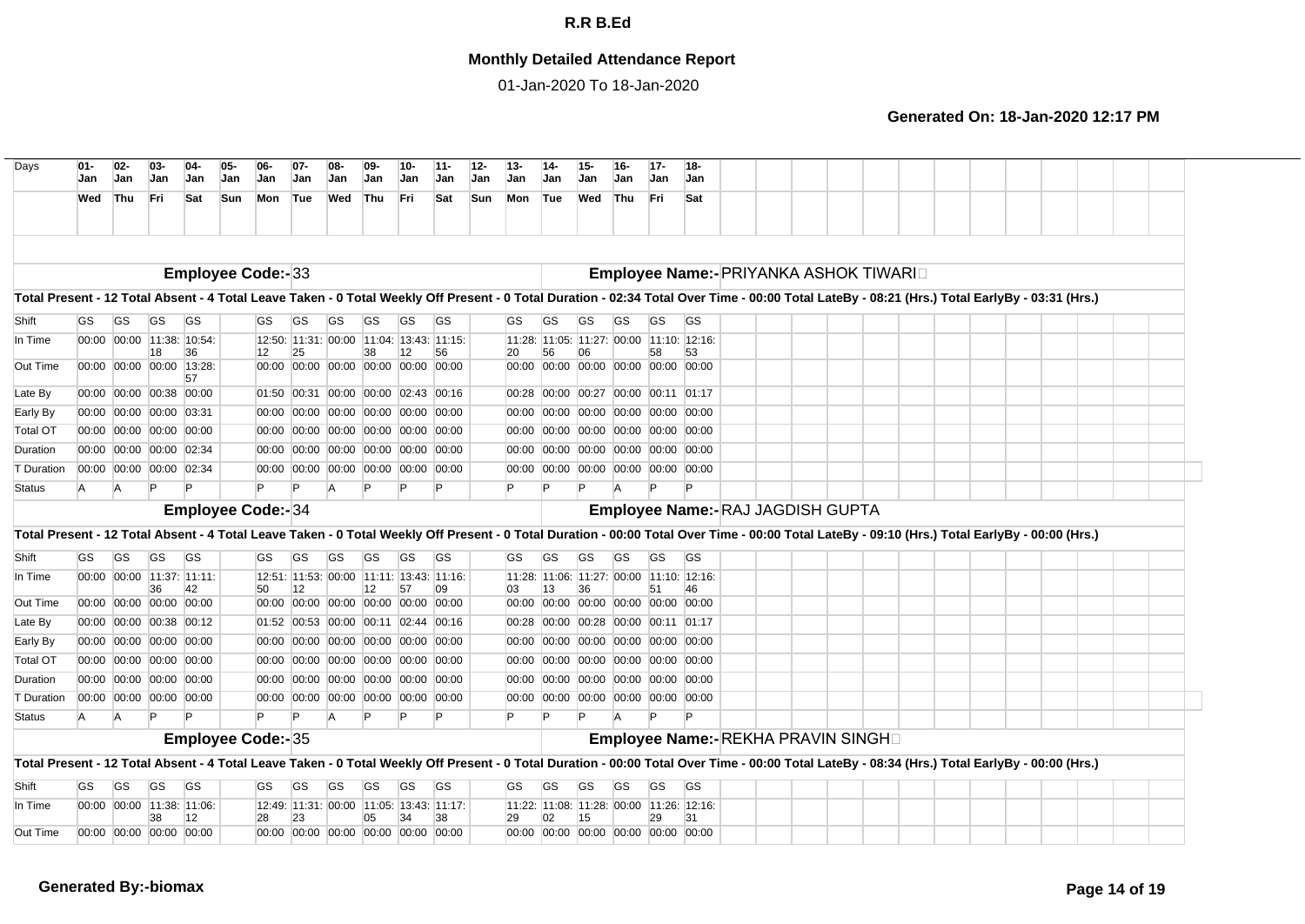## **Monthly Detailed Attendance Report**

01-Jan-2020 To 18-Jan-2020

| Days                                                                                                                                                                                           | $01 -$<br>Jan | $02-$<br>Jan              | $03 -$<br>Jan | $04-$<br>Jan              | $05-$<br>Jan | 06<br>Jan                | $07-$<br>Jan | $08 -$<br>Jan                       | $09 -$<br>Jan | 10-<br>Jan | $11 -$<br>Jan                                  | $12-$<br>Jan | $13 -$<br>Jan | $14 -$<br>Jan | 15-<br>Jan | $16-$<br><b>Jan</b>                 | $17-$<br><b>Jan</b> | 18-<br>Jan                                                     |  |  |  |  |  |  |  |
|------------------------------------------------------------------------------------------------------------------------------------------------------------------------------------------------|---------------|---------------------------|---------------|---------------------------|--------------|--------------------------|--------------|-------------------------------------|---------------|------------|------------------------------------------------|--------------|---------------|---------------|------------|-------------------------------------|---------------------|----------------------------------------------------------------|--|--|--|--|--|--|--|
|                                                                                                                                                                                                | Wed Thu       |                           | Fri           | Sat                       | Sun          | Mon Tue                  |              | Wed                                 | Thu           | Fri        | Sat                                            | <b>Sun</b>   | Mon           | Tue           | Wed        | Thu                                 | Fri                 | Sat                                                            |  |  |  |  |  |  |  |
|                                                                                                                                                                                                |               |                           |               |                           |              |                          |              |                                     |               |            |                                                |              |               |               |            |                                     |                     |                                                                |  |  |  |  |  |  |  |
|                                                                                                                                                                                                |               |                           |               |                           |              | <b>Employee Code:-33</b> |              |                                     |               |            |                                                |              |               |               |            |                                     |                     | Employee Name:- PRIYANKA ASHOK TIWARID                         |  |  |  |  |  |  |  |
| Total Present - 12 Total Absent - 4 Total Leave Taken - 0 Total Weekly Off Present - 0 Total Duration - 02:34 Total Over Time - 00:00 Total LateBy - 08:21 (Hrs.) Total EarlyBy - 03:31 (Hrs.) |               |                           |               |                           |              |                          |              |                                     |               |            |                                                |              |               |               |            |                                     |                     |                                                                |  |  |  |  |  |  |  |
| Shift                                                                                                                                                                                          | GS            | GS                        | GS            | <b>GS</b>                 |              | <b>GS</b>                | GS           | <b>GS</b>                           | GS            | <b>GS</b>  | <b>GS</b>                                      |              | GS            | <b>GS</b>     | <b>GS</b>  | <b>GS</b>                           | GS                  | GS                                                             |  |  |  |  |  |  |  |
| In Time                                                                                                                                                                                        |               |                           |               | 00:00 00:00 11:38: 10:54: |              |                          |              |                                     |               |            | 12:50: 11:31: 00:00 11:04: 13:43: 11:15:       |              |               |               |            |                                     |                     | 11:28: 11:05: 11:27: 00:00 11:10: 12:16:                       |  |  |  |  |  |  |  |
| Out Time                                                                                                                                                                                       |               | 00:00 00:00 00:00 13:28:  | 18            | 36                        |              | 12                       | 25           | 00:00 00:00 00:00 00:00 00:00 00:00 | 38            | 12         | 56                                             |              | 20            | 56            | 06         |                                     | 58                  | 53<br>00:00 00:00 00:00 00:00 00:00 00:00                      |  |  |  |  |  |  |  |
|                                                                                                                                                                                                |               |                           |               | 57                        |              |                          |              |                                     |               |            |                                                |              |               |               |            |                                     |                     |                                                                |  |  |  |  |  |  |  |
| Late By                                                                                                                                                                                        |               | 00:00 00:00 00:38 00:00   |               |                           |              |                          |              | 01:50 00:31 00:00 00:00 02:43 00:16 |               |            |                                                |              | 00:28         |               |            | 00:00 00:27 00:00 00:11 01:17       |                     |                                                                |  |  |  |  |  |  |  |
| Early By                                                                                                                                                                                       |               | 00:00 00:00 00:00 03:31   |               |                           |              |                          |              | 00:00 00:00 00:00 00:00 00:00 00:00 |               |            |                                                |              |               |               |            |                                     |                     | 00:00 00:00 00:00 00:00 00:00 00:00                            |  |  |  |  |  |  |  |
| <b>Total OT</b>                                                                                                                                                                                |               | 00:00 00:00 00:00 00:00   |               |                           |              |                          |              | 00:00 00:00 00:00 00:00 00:00 00:00 |               |            |                                                |              |               |               |            |                                     |                     | 00:00 00:00 00:00 00:00 00:00 00:00                            |  |  |  |  |  |  |  |
| Duration                                                                                                                                                                                       |               | 00:00 00:00 00:00 02:34   |               |                           |              |                          |              | 00:00 00:00 00:00 00:00 00:00 00:00 |               |            |                                                |              |               |               |            |                                     |                     | 00:00 00:00 00:00 00:00 00:00 00:00                            |  |  |  |  |  |  |  |
| T Duration                                                                                                                                                                                     |               | 00:00 00:00 00:00 02:34   |               |                           |              |                          |              | 00:00 00:00 00:00 00:00 00:00 00:00 |               |            |                                                |              |               |               |            | 00:00 00:00 00:00 00:00 00:00 00:00 |                     |                                                                |  |  |  |  |  |  |  |
| Status                                                                                                                                                                                         | A             | A                         |               |                           |              |                          |              | A                                   |               |            |                                                |              |               |               |            |                                     |                     |                                                                |  |  |  |  |  |  |  |
|                                                                                                                                                                                                |               |                           |               |                           |              | <b>Employee Code:-34</b> |              |                                     |               |            |                                                |              |               |               |            |                                     |                     | Employee Name:- RAJ JAGDISH GUPTA                              |  |  |  |  |  |  |  |
| Total Present - 12 Total Absent - 4 Total Leave Taken - 0 Total Weekly Off Present - 0 Total Duration - 00:00 Total Over Time - 00:00 Total LateBy - 09:10 (Hrs.) Total EarlyBy - 00:00 (Hrs.) |               |                           |               |                           |              |                          |              |                                     |               |            |                                                |              |               |               |            |                                     |                     |                                                                |  |  |  |  |  |  |  |
| Shift                                                                                                                                                                                          | <b>GS</b>     | <b>GS</b>                 | <b>GS</b>     | <b>GS</b>                 |              | <b>GS</b>                | GS           | GS                                  | GS            | <b>GS</b>  | <b>GS</b>                                      |              | GS            | GS            | GS         | <b>GS</b>                           | GS                  | <b>GS</b>                                                      |  |  |  |  |  |  |  |
| In Time                                                                                                                                                                                        |               |                           |               | 00:00 00:00 11:37: 11:11: |              |                          |              |                                     |               |            | 12:51: 11:53: 00:00 11:11: 13:43: 11:16:       |              |               |               |            |                                     |                     | 11:28: 11:06: 11:27: 00:00 11:10: 12:16:                       |  |  |  |  |  |  |  |
| Out Time                                                                                                                                                                                       |               | 00:00 00:00 00:00 00:00   | 36            | 42                        |              | 50                       | 12           | 00:00 00:00 00:00 00:00 00:00 00:00 | 12            | 57         | 09                                             |              | 03            | 13            | 36         |                                     | 51                  | 46<br>00:00 00:00 00:00 00:00 00:00 00:00                      |  |  |  |  |  |  |  |
|                                                                                                                                                                                                |               | 00:00 00:00 00:38 00:12   |               |                           |              |                          |              | 01:52 00:53 00:00 00:11 02:44 00:16 |               |            |                                                |              |               |               |            | 00:28 00:00 00:28 00:00 00:11 01:17 |                     |                                                                |  |  |  |  |  |  |  |
| Late By                                                                                                                                                                                        |               | 00:00 00:00 00:00 00:00   |               |                           |              |                          |              | 00:00 00:00 00:00 00:00 00:00 00:00 |               |            |                                                |              | 00:00         |               |            |                                     |                     |                                                                |  |  |  |  |  |  |  |
| Early By<br><b>Total OT</b>                                                                                                                                                                    |               | 00:00 00:00 00:00 00:00   |               |                           |              |                          |              | 00:00 00:00 00:00 00:00 00:00 00:00 |               |            |                                                |              | 00:00         |               |            |                                     |                     | 00:00 00:00 00:00 00:00 00:00<br>00:00 00:00 00:00 00:00 00:00 |  |  |  |  |  |  |  |
| Duration                                                                                                                                                                                       |               | 00:00 00:00 00:00 00:00   |               |                           |              |                          |              | 00:00 00:00 00:00 00:00 00:00 00:00 |               |            |                                                |              | 00:00         |               |            |                                     |                     | 00:00 00:00 00:00 00:00 00:00                                  |  |  |  |  |  |  |  |
|                                                                                                                                                                                                |               | 00:00 00:00 00:00 00:00   |               |                           |              |                          |              | 00:00 00:00 00:00 00:00 00:00 00:00 |               |            |                                                |              |               |               |            |                                     |                     | 00:00 00:00 00:00 00:00 00:00 00:00                            |  |  |  |  |  |  |  |
| T Duration<br><b>Status</b>                                                                                                                                                                    | A             | A                         | P             |                           |              |                          |              | A                                   |               |            |                                                |              | P             |               |            | A                                   |                     | P                                                              |  |  |  |  |  |  |  |
|                                                                                                                                                                                                |               |                           |               |                           |              |                          |              |                                     |               |            |                                                |              |               |               |            |                                     |                     |                                                                |  |  |  |  |  |  |  |
|                                                                                                                                                                                                |               |                           |               |                           |              | <b>Employee Code:-35</b> |              |                                     |               |            |                                                |              |               |               |            |                                     |                     | Employee Name:- REKHA PRAVIN SINGHD                            |  |  |  |  |  |  |  |
| Total Present - 12 Total Absent - 4 Total Leave Taken - 0 Total Weekly Off Present - 0 Total Duration - 00:00 Total Over Time - 00:00 Total LateBy - 08:34 (Hrs.) Total EarlyBy - 00:00 (Hrs.) |               |                           |               |                           |              |                          |              |                                     |               |            |                                                |              |               |               |            |                                     |                     |                                                                |  |  |  |  |  |  |  |
| Shift                                                                                                                                                                                          | GS            | GS                        | GS            | <b>GS</b>                 |              | GS                       | GS           | GS                                  | GS            | <b>GS</b>  | GS                                             |              | GS            | GS            | <b>GS</b>  | <b>GS</b>                           | <b>GS</b>           | <b>GS</b>                                                      |  |  |  |  |  |  |  |
| In Time                                                                                                                                                                                        |               | 00:00 00:00 11:38: 11:06: | 38            | 12                        |              | 28                       | 23           |                                     | 05            | 34         | 12:49: 11:31: 00:00 11:05: 13:43: 11:17:<br>38 |              | 29            | 02            | 15         |                                     | 29                  | 11:22: 11:08: 11:28: 00:00 11:26: 12:16:<br>31                 |  |  |  |  |  |  |  |
| Out Time                                                                                                                                                                                       |               | 00:00 00:00 00:00 00:00   |               |                           |              |                          |              | 00:00 00:00 00:00 00:00 00:00 00:00 |               |            |                                                |              |               |               |            |                                     |                     | 00:00 00:00 00:00 00:00 00:00 00:00                            |  |  |  |  |  |  |  |
|                                                                                                                                                                                                |               |                           |               |                           |              |                          |              |                                     |               |            |                                                |              |               |               |            |                                     |                     |                                                                |  |  |  |  |  |  |  |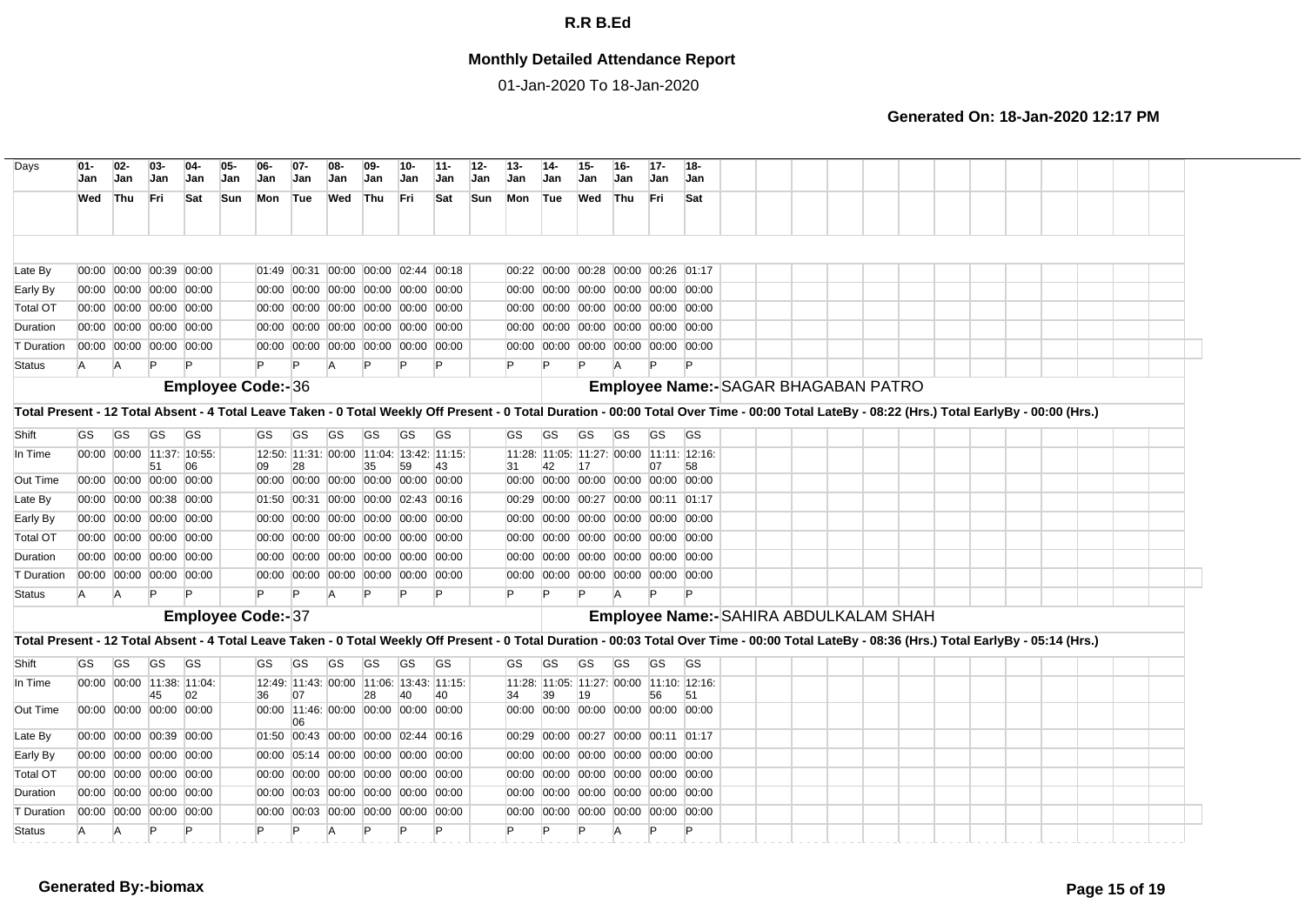## **Monthly Detailed Attendance Report**

01-Jan-2020 To 18-Jan-2020

| Days                                                                                                                                                                                           | $01 -$<br>Jan | $02-$<br>Jan | $03-$<br>Jan                                       | $04-$<br>Jan              | 05-<br>Jan | $06-$<br><b>Jan</b>      | $07 -$<br>Jan | $08-$<br>Jan   | $09 -$<br>Jan                                                              | 10-<br>Jan | $11 -$<br>Jan | $12-$<br>Jan | $13-$<br>Jan                        | $14-$<br>Jan | $15 -$<br>Jan | $16 -$<br>Jan                                                              | $17 -$<br><b>Jan</b> | $18 -$<br>Jan                            |  |  |  |  |  |  |  |
|------------------------------------------------------------------------------------------------------------------------------------------------------------------------------------------------|---------------|--------------|----------------------------------------------------|---------------------------|------------|--------------------------|---------------|----------------|----------------------------------------------------------------------------|------------|---------------|--------------|-------------------------------------|--------------|---------------|----------------------------------------------------------------------------|----------------------|------------------------------------------|--|--|--|--|--|--|--|
|                                                                                                                                                                                                | Wed           | Thu          | Fri                                                | Sat                       | Sun        | Mon Tue                  |               | Wed            | Thu                                                                        | Fri.       | Sat           | Sun          | Mon                                 | Tue          | Wed           | Thu                                                                        | l Fri                | Sat                                      |  |  |  |  |  |  |  |
|                                                                                                                                                                                                |               |              |                                                    |                           |            |                          |               |                |                                                                            |            |               |              |                                     |              |               |                                                                            |                      |                                          |  |  |  |  |  |  |  |
| Late By                                                                                                                                                                                        |               |              | 00:00 00:00 00:39 00:00                            |                           |            |                          |               |                | 01:49 00:31 00:00 00:00 02:44 00:18                                        |            |               |              | 00:22                               |              |               | 00:00 00:28 00:00 00:26 01:17                                              |                      |                                          |  |  |  |  |  |  |  |
| Early By                                                                                                                                                                                       |               |              | 00:00 00:00 00:00 00:00                            |                           |            |                          |               |                | 00:00 00:00 00:00 00:00 00:00 00:00                                        |            |               |              |                                     |              |               | 00:00 00:00 00:00 00:00 00:00 00:00                                        |                      |                                          |  |  |  |  |  |  |  |
| <b>Total OT</b>                                                                                                                                                                                |               |              | 00:00 00:00 00:00 00:00                            |                           |            |                          |               |                | 00:00 00:00 00:00 00:00 00:00 00:00                                        |            |               |              |                                     |              |               | 00:00 00:00 00:00 00:00 00:00 00:00                                        |                      |                                          |  |  |  |  |  |  |  |
| Duration                                                                                                                                                                                       |               |              | 00:00 00:00 00:00 00:00                            |                           |            |                          |               |                | 00:00 00:00 00:00 00:00 00:00 00:00                                        |            |               |              |                                     |              |               | 00:00 00:00 00:00 00:00 00:00 00:00                                        |                      |                                          |  |  |  |  |  |  |  |
| T Duration                                                                                                                                                                                     |               |              | 00:00 00:00 00:00 00:00                            |                           |            |                          |               |                | 00:00 00:00 00:00 00:00 00:00 00:00                                        |            |               |              |                                     |              |               | 00:00 00:00 00:00 00:00 00:00 00:00                                        |                      |                                          |  |  |  |  |  |  |  |
| <b>Status</b>                                                                                                                                                                                  | A             | A            | P                                                  |                           |            |                          | P             | $\overline{A}$ |                                                                            |            |               |              |                                     |              |               | A                                                                          |                      |                                          |  |  |  |  |  |  |  |
|                                                                                                                                                                                                |               |              |                                                    |                           |            | <b>Employee Code:-36</b> |               |                |                                                                            |            |               |              |                                     |              |               |                                                                            |                      | Employee Name:- SAGAR BHAGABAN PATRO     |  |  |  |  |  |  |  |
| Total Present - 12 Total Absent - 4 Total Leave Taken - 0 Total Weekly Off Present - 0 Total Duration - 00:00 Total Over Time - 00:00 Total LateBy - 08:22 (Hrs.) Total EarlyBy - 00:00 (Hrs.) |               |              |                                                    |                           |            |                          |               |                |                                                                            |            |               |              |                                     |              |               |                                                                            |                      |                                          |  |  |  |  |  |  |  |
| Shift                                                                                                                                                                                          | GS            | <b>GS</b>    | <b>GS</b>                                          | <b>GS</b>                 |            | GS                       | GS            | GS             | GS                                                                         | GS         | <b>GS</b>     |              | GS                                  | GS           | GS            | GS                                                                         | <b>GS</b>            | GS                                       |  |  |  |  |  |  |  |
| In Time                                                                                                                                                                                        |               |              |                                                    | 00:00 00:00 11:37: 10:55: |            |                          |               |                | 12:50: 11:31: 00:00 11:04: 13:42: 11:15:                                   |            |               |              |                                     |              |               |                                                                            |                      | 11:28: 11:05: 11:27: 00:00 11:11: 12:16: |  |  |  |  |  |  |  |
| Out Time                                                                                                                                                                                       |               |              | 51<br>00:00 00:00 00:00 00:00                      | 06                        |            | 09                       | 28            |                | 35<br>00:00 00:00 00:00 00:00 00:00 00:00                                  | 59         | 43            |              | 31                                  | 42           | 17            | 00:00 00:00 00:00 00:00 00:00 00:00                                        | 07                   | 58                                       |  |  |  |  |  |  |  |
| Late By                                                                                                                                                                                        |               |              | 00:00 00:00 00:38 00:00                            |                           |            |                          |               |                | 01:50 00:31 00:00 00:00 02:43 00:16                                        |            |               |              | 00:29 00:00 00:27 00:00 00:11 01:17 |              |               |                                                                            |                      |                                          |  |  |  |  |  |  |  |
| Early By                                                                                                                                                                                       |               |              | 00:00 00:00 00:00 00:00                            |                           |            |                          |               |                | 00:00 00:00 00:00 00:00 00:00 00:00                                        |            |               |              |                                     |              |               | 00:00 00:00 00:00 00:00 00:00 00:00                                        |                      |                                          |  |  |  |  |  |  |  |
| <b>Total OT</b>                                                                                                                                                                                |               |              | 00:00 00:00 00:00 00:00                            |                           |            |                          |               |                | 00:00 00:00 00:00 00:00 00:00 00:00                                        |            |               |              |                                     |              |               | 00:00 00:00 00:00 00:00 00:00 00:00                                        |                      |                                          |  |  |  |  |  |  |  |
| Duration                                                                                                                                                                                       |               |              | 00:00 00:00 00:00 00:00                            |                           |            |                          |               |                | 00:00 00:00 00:00 00:00 00:00 00:00                                        |            |               |              |                                     |              |               | 00:00 00:00 00:00 00:00 00:00 00:00                                        |                      |                                          |  |  |  |  |  |  |  |
| <b>T</b> Duration                                                                                                                                                                              |               |              | 00:00 00:00 00:00 00:00                            |                           |            |                          |               |                | 00:00 00:00 00:00 00:00 00:00 00:00                                        |            |               |              |                                     |              |               | 00:00 00:00 00:00 00:00 00:00 00:00                                        |                      |                                          |  |  |  |  |  |  |  |
| <b>Status</b>                                                                                                                                                                                  | A             | A            | P                                                  |                           |            |                          |               | A              |                                                                            | P          | P             |              | P                                   |              |               |                                                                            |                      |                                          |  |  |  |  |  |  |  |
|                                                                                                                                                                                                |               |              |                                                    |                           |            | <b>Employee Code:-37</b> |               |                |                                                                            |            |               |              |                                     |              |               |                                                                            |                      | Employee Name:- SAHIRA ABDULKALAM SHAH   |  |  |  |  |  |  |  |
| Total Present - 12 Total Absent - 4 Total Leave Taken - 0 Total Weekly Off Present - 0 Total Duration - 00:03 Total Over Time - 00:00 Total LateBy - 08:36 (Hrs.) Total EarlyBy - 05:14 (Hrs.) |               |              |                                                    |                           |            |                          |               |                |                                                                            |            |               |              |                                     |              |               |                                                                            |                      |                                          |  |  |  |  |  |  |  |
| Shift                                                                                                                                                                                          | GS            | <b>GS</b>    | <b>GS</b>                                          | <b>GS</b>                 |            | GS                       | <b>GS</b>     | GS             | GS                                                                         | <b>GS</b>  | GS            |              | GS                                  | GS           | GS            | GS                                                                         | GS                   | GS                                       |  |  |  |  |  |  |  |
| In Time                                                                                                                                                                                        |               |              |                                                    | 00:00 00:00 11:38: 11:04: |            |                          |               |                | 12:49: 11:43: 00:00 11:06: 13:43: 11:15:                                   |            |               |              |                                     |              |               |                                                                            |                      | 11:28: 11:05: 11:27: 00:00 11:10: 12:16: |  |  |  |  |  |  |  |
| Out Time                                                                                                                                                                                       |               |              | 45<br>00:00 00:00 00:00 00:00                      | 02                        |            | 36                       | 07            |                | 28<br>00:00 11:46: 00:00 00:00 00:00 00:00                                 | 40         | 40            |              | 34                                  | 39           | 19            | 00:00 00:00 00:00 00:00 00:00 00:00                                        | 56                   | 51                                       |  |  |  |  |  |  |  |
|                                                                                                                                                                                                |               |              |                                                    |                           |            |                          | 06            |                |                                                                            |            |               |              |                                     |              |               |                                                                            |                      |                                          |  |  |  |  |  |  |  |
| Late By                                                                                                                                                                                        |               |              | 00:00 00:00 00:39 00:00<br>00:00 00:00 00:00 00:00 |                           |            |                          |               |                | 01:50 00:43 00:00 00:00 02:44 00:16                                        |            |               |              |                                     |              |               | 00:29 00:00 00:27 00:00 00:11 01:17                                        |                      |                                          |  |  |  |  |  |  |  |
| Early By<br><b>Total OT</b>                                                                                                                                                                    |               |              | 00:00 00:00 00:00 00:00                            |                           |            |                          |               |                | 00:00 05:14 00:00 00:00 00:00 00:00<br>00:00 00:00 00:00 00:00 00:00 00:00 |            |               |              |                                     |              |               | 00:00 00:00 00:00 00:00 00:00 00:00<br>00:00 00:00 00:00 00:00 00:00 00:00 |                      |                                          |  |  |  |  |  |  |  |
| Duration                                                                                                                                                                                       |               |              | 00:00 00:00 00:00 00:00                            |                           |            |                          |               |                | 00:00 00:03 00:00 00:00 00:00 00:00                                        |            |               |              |                                     |              |               | 00:00 00:00 00:00 00:00 00:00 00:00                                        |                      |                                          |  |  |  |  |  |  |  |
| <b>T</b> Duration                                                                                                                                                                              |               |              | 00:00 00:00 00:00 00:00                            |                           |            |                          |               |                | 00:00 00:03 00:00 00:00 00:00 00:00                                        |            |               |              |                                     |              |               | 00:00 00:00 00:00 00:00 00:00 00:00                                        |                      |                                          |  |  |  |  |  |  |  |
|                                                                                                                                                                                                |               |              |                                                    |                           |            |                          |               |                |                                                                            |            |               |              |                                     |              |               |                                                                            |                      |                                          |  |  |  |  |  |  |  |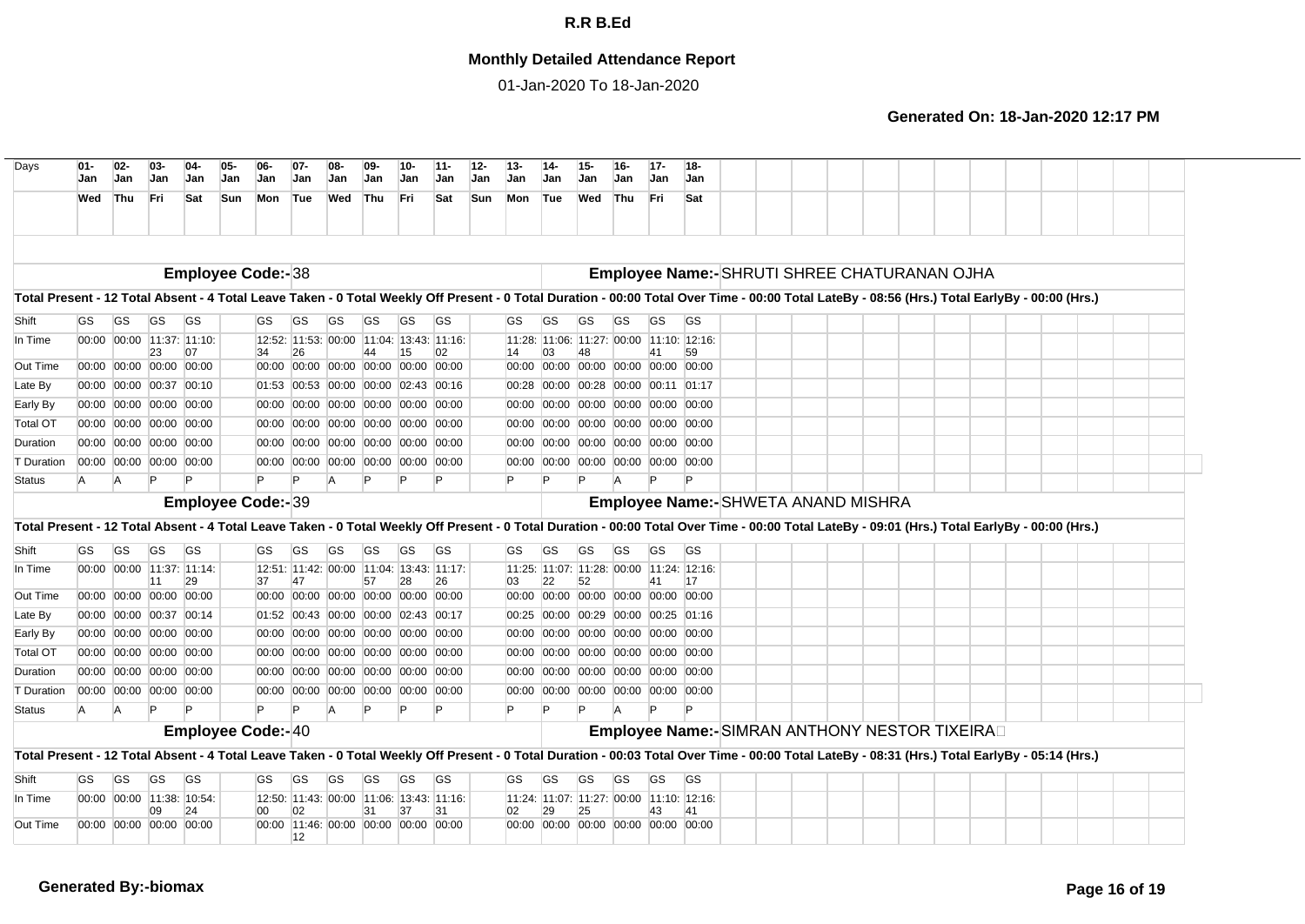## **Monthly Detailed Attendance Report**

01-Jan-2020 To 18-Jan-2020

| $01 -$<br>Jan | $02-$<br>Jan             | $03 -$<br>Jan                 | $04-$<br><b>Jan</b> | 05.<br>Jan                                                                                                                                                                                                                                                                                                                                                                       | 06-<br><b>Jan</b>                                                    | $07 -$<br><b>Jan</b> | <b>Jan</b>                                                              | 09-<br>Jan | 10-<br>Jan | $11 -$<br>Jan   | $12 -$<br>Jan                                                                                                                                                                                                                                                                                                                                                                                                                                                                                                                                                                                                                     | $13 -$<br>Jan | Jan      | 15-<br>Jan      | $16 -$<br><b>Jan</b> | $17-$<br><b>Jan</b> | 18-<br><b>Jan</b>                         |                                                                                                                                                                                                                                                                                                                                                                                                                                                                                                                                                                                                                                   |  |  |                                     |  |                                                                                               |  |                                                                                                                                                                                                                                                                                                                                                                                                                                                                                                                                                                                                    |
|---------------|--------------------------|-------------------------------|---------------------|----------------------------------------------------------------------------------------------------------------------------------------------------------------------------------------------------------------------------------------------------------------------------------------------------------------------------------------------------------------------------------|----------------------------------------------------------------------|----------------------|-------------------------------------------------------------------------|------------|------------|-----------------|-----------------------------------------------------------------------------------------------------------------------------------------------------------------------------------------------------------------------------------------------------------------------------------------------------------------------------------------------------------------------------------------------------------------------------------------------------------------------------------------------------------------------------------------------------------------------------------------------------------------------------------|---------------|----------|-----------------|----------------------|---------------------|-------------------------------------------|-----------------------------------------------------------------------------------------------------------------------------------------------------------------------------------------------------------------------------------------------------------------------------------------------------------------------------------------------------------------------------------------------------------------------------------------------------------------------------------------------------------------------------------------------------------------------------------------------------------------------------------|--|--|-------------------------------------|--|-----------------------------------------------------------------------------------------------|--|----------------------------------------------------------------------------------------------------------------------------------------------------------------------------------------------------------------------------------------------------------------------------------------------------------------------------------------------------------------------------------------------------------------------------------------------------------------------------------------------------------------------------------------------------------------------------------------------------|
| Wed           |                          | Fri                           | Sat                 |                                                                                                                                                                                                                                                                                                                                                                                  |                                                                      |                      | Wed                                                                     |            | <b>Fri</b> | Sat             |                                                                                                                                                                                                                                                                                                                                                                                                                                                                                                                                                                                                                                   | Mon           |          | Wed             |                      |                     | Sat                                       |                                                                                                                                                                                                                                                                                                                                                                                                                                                                                                                                                                                                                                   |  |  |                                     |  |                                                                                               |  |                                                                                                                                                                                                                                                                                                                                                                                                                                                                                                                                                                                                    |
|               |                          |                               |                     |                                                                                                                                                                                                                                                                                                                                                                                  |                                                                      |                      |                                                                         |            |            |                 |                                                                                                                                                                                                                                                                                                                                                                                                                                                                                                                                                                                                                                   |               |          |                 |                      |                     |                                           |                                                                                                                                                                                                                                                                                                                                                                                                                                                                                                                                                                                                                                   |  |  |                                     |  |                                                                                               |  |                                                                                                                                                                                                                                                                                                                                                                                                                                                                                                                                                                                                    |
|               |                          |                               |                     |                                                                                                                                                                                                                                                                                                                                                                                  |                                                                      |                      |                                                                         |            |            |                 |                                                                                                                                                                                                                                                                                                                                                                                                                                                                                                                                                                                                                                   |               |          |                 |                      |                     |                                           |                                                                                                                                                                                                                                                                                                                                                                                                                                                                                                                                                                                                                                   |  |  |                                     |  |                                                                                               |  |                                                                                                                                                                                                                                                                                                                                                                                                                                                                                                                                                                                                    |
|               |                          |                               |                     |                                                                                                                                                                                                                                                                                                                                                                                  |                                                                      |                      |                                                                         |            |            |                 |                                                                                                                                                                                                                                                                                                                                                                                                                                                                                                                                                                                                                                   |               |          |                 |                      |                     |                                           |                                                                                                                                                                                                                                                                                                                                                                                                                                                                                                                                                                                                                                   |  |  |                                     |  |                                                                                               |  |                                                                                                                                                                                                                                                                                                                                                                                                                                                                                                                                                                                                    |
|               |                          |                               |                     |                                                                                                                                                                                                                                                                                                                                                                                  |                                                                      |                      |                                                                         |            |            |                 |                                                                                                                                                                                                                                                                                                                                                                                                                                                                                                                                                                                                                                   |               |          |                 |                      |                     |                                           |                                                                                                                                                                                                                                                                                                                                                                                                                                                                                                                                                                                                                                   |  |  |                                     |  |                                                                                               |  |                                                                                                                                                                                                                                                                                                                                                                                                                                                                                                                                                                                                    |
| GS            | GS                       | <b>GS</b>                     | <b>GS</b>           |                                                                                                                                                                                                                                                                                                                                                                                  | GS                                                                   | GS                   | GS                                                                      | GS         | GS         | GS              |                                                                                                                                                                                                                                                                                                                                                                                                                                                                                                                                                                                                                                   | GS            | GS       | GS              | GS                   | GS                  | GS                                        |                                                                                                                                                                                                                                                                                                                                                                                                                                                                                                                                                                                                                                   |  |  |                                     |  |                                                                                               |  |                                                                                                                                                                                                                                                                                                                                                                                                                                                                                                                                                                                                    |
|               |                          |                               |                     |                                                                                                                                                                                                                                                                                                                                                                                  |                                                                      |                      |                                                                         |            |            |                 |                                                                                                                                                                                                                                                                                                                                                                                                                                                                                                                                                                                                                                   |               |          |                 |                      |                     |                                           |                                                                                                                                                                                                                                                                                                                                                                                                                                                                                                                                                                                                                                   |  |  |                                     |  |                                                                                               |  |                                                                                                                                                                                                                                                                                                                                                                                                                                                                                                                                                                                                    |
|               |                          |                               |                     |                                                                                                                                                                                                                                                                                                                                                                                  |                                                                      |                      |                                                                         |            |            |                 |                                                                                                                                                                                                                                                                                                                                                                                                                                                                                                                                                                                                                                   |               |          |                 |                      |                     |                                           |                                                                                                                                                                                                                                                                                                                                                                                                                                                                                                                                                                                                                                   |  |  |                                     |  |                                                                                               |  |                                                                                                                                                                                                                                                                                                                                                                                                                                                                                                                                                                                                    |
|               |                          |                               |                     |                                                                                                                                                                                                                                                                                                                                                                                  |                                                                      |                      |                                                                         |            |            |                 |                                                                                                                                                                                                                                                                                                                                                                                                                                                                                                                                                                                                                                   | 00:28         |          |                 |                      |                     |                                           |                                                                                                                                                                                                                                                                                                                                                                                                                                                                                                                                                                                                                                   |  |  |                                     |  |                                                                                               |  |                                                                                                                                                                                                                                                                                                                                                                                                                                                                                                                                                                                                    |
|               |                          |                               |                     |                                                                                                                                                                                                                                                                                                                                                                                  |                                                                      |                      |                                                                         |            |            |                 |                                                                                                                                                                                                                                                                                                                                                                                                                                                                                                                                                                                                                                   |               |          |                 |                      |                     |                                           |                                                                                                                                                                                                                                                                                                                                                                                                                                                                                                                                                                                                                                   |  |  |                                     |  |                                                                                               |  |                                                                                                                                                                                                                                                                                                                                                                                                                                                                                                                                                                                                    |
|               |                          |                               |                     |                                                                                                                                                                                                                                                                                                                                                                                  |                                                                      |                      |                                                                         |            |            |                 |                                                                                                                                                                                                                                                                                                                                                                                                                                                                                                                                                                                                                                   |               |          |                 |                      |                     |                                           |                                                                                                                                                                                                                                                                                                                                                                                                                                                                                                                                                                                                                                   |  |  |                                     |  |                                                                                               |  |                                                                                                                                                                                                                                                                                                                                                                                                                                                                                                                                                                                                    |
|               |                          |                               |                     |                                                                                                                                                                                                                                                                                                                                                                                  |                                                                      |                      |                                                                         |            |            |                 |                                                                                                                                                                                                                                                                                                                                                                                                                                                                                                                                                                                                                                   |               |          |                 |                      |                     |                                           |                                                                                                                                                                                                                                                                                                                                                                                                                                                                                                                                                                                                                                   |  |  |                                     |  |                                                                                               |  |                                                                                                                                                                                                                                                                                                                                                                                                                                                                                                                                                                                                    |
|               |                          |                               |                     |                                                                                                                                                                                                                                                                                                                                                                                  |                                                                      |                      |                                                                         |            |            |                 |                                                                                                                                                                                                                                                                                                                                                                                                                                                                                                                                                                                                                                   |               |          |                 |                      |                     |                                           |                                                                                                                                                                                                                                                                                                                                                                                                                                                                                                                                                                                                                                   |  |  |                                     |  |                                                                                               |  |                                                                                                                                                                                                                                                                                                                                                                                                                                                                                                                                                                                                    |
| A             | IA.                      |                               |                     |                                                                                                                                                                                                                                                                                                                                                                                  | IP.                                                                  | Þ                    | $\overline{A}$                                                          |            |            |                 |                                                                                                                                                                                                                                                                                                                                                                                                                                                                                                                                                                                                                                   | P             |          |                 |                      |                     |                                           |                                                                                                                                                                                                                                                                                                                                                                                                                                                                                                                                                                                                                                   |  |  |                                     |  |                                                                                               |  |                                                                                                                                                                                                                                                                                                                                                                                                                                                                                                                                                                                                    |
|               |                          |                               |                     |                                                                                                                                                                                                                                                                                                                                                                                  |                                                                      |                      |                                                                         |            |            |                 |                                                                                                                                                                                                                                                                                                                                                                                                                                                                                                                                                                                                                                   |               |          |                 |                      |                     |                                           |                                                                                                                                                                                                                                                                                                                                                                                                                                                                                                                                                                                                                                   |  |  |                                     |  |                                                                                               |  |                                                                                                                                                                                                                                                                                                                                                                                                                                                                                                                                                                                                    |
|               | <b>Employee Code:-39</b> |                               |                     |                                                                                                                                                                                                                                                                                                                                                                                  |                                                                      |                      |                                                                         |            |            |                 |                                                                                                                                                                                                                                                                                                                                                                                                                                                                                                                                                                                                                                   |               |          |                 |                      |                     |                                           |                                                                                                                                                                                                                                                                                                                                                                                                                                                                                                                                                                                                                                   |  |  |                                     |  |                                                                                               |  |                                                                                                                                                                                                                                                                                                                                                                                                                                                                                                                                                                                                    |
| <b>GS</b>     | <b>GS</b>                | <b>GS</b>                     | <b>GS</b>           |                                                                                                                                                                                                                                                                                                                                                                                  | GS                                                                   | GS                   | GS                                                                      | GS         | <b>GS</b>  | <b>GS</b>       |                                                                                                                                                                                                                                                                                                                                                                                                                                                                                                                                                                                                                                   | GS            | GS       | GS              | GS                   | <b>GS</b>           | <b>GS</b>                                 |                                                                                                                                                                                                                                                                                                                                                                                                                                                                                                                                                                                                                                   |  |  |                                     |  |                                                                                               |  |                                                                                                                                                                                                                                                                                                                                                                                                                                                                                                                                                                                                    |
|               |                          |                               |                     |                                                                                                                                                                                                                                                                                                                                                                                  |                                                                      |                      |                                                                         |            |            |                 |                                                                                                                                                                                                                                                                                                                                                                                                                                                                                                                                                                                                                                   |               |          |                 |                      |                     |                                           |                                                                                                                                                                                                                                                                                                                                                                                                                                                                                                                                                                                                                                   |  |  |                                     |  |                                                                                               |  |                                                                                                                                                                                                                                                                                                                                                                                                                                                                                                                                                                                                    |
|               |                          | 11                            | 29                  |                                                                                                                                                                                                                                                                                                                                                                                  | 37                                                                   | 47                   |                                                                         | 57         | 28         | 26              |                                                                                                                                                                                                                                                                                                                                                                                                                                                                                                                                                                                                                                   | 03            | 22       | 52              |                      | 41                  | 17                                        |                                                                                                                                                                                                                                                                                                                                                                                                                                                                                                                                                                                                                                   |  |  |                                     |  |                                                                                               |  |                                                                                                                                                                                                                                                                                                                                                                                                                                                                                                                                                                                                    |
|               |                          |                               |                     |                                                                                                                                                                                                                                                                                                                                                                                  |                                                                      |                      |                                                                         |            |            |                 |                                                                                                                                                                                                                                                                                                                                                                                                                                                                                                                                                                                                                                   |               |          |                 |                      |                     |                                           |                                                                                                                                                                                                                                                                                                                                                                                                                                                                                                                                                                                                                                   |  |  |                                     |  |                                                                                               |  |                                                                                                                                                                                                                                                                                                                                                                                                                                                                                                                                                                                                    |
|               |                          |                               |                     |                                                                                                                                                                                                                                                                                                                                                                                  |                                                                      |                      |                                                                         |            |            |                 |                                                                                                                                                                                                                                                                                                                                                                                                                                                                                                                                                                                                                                   |               |          |                 |                      |                     |                                           |                                                                                                                                                                                                                                                                                                                                                                                                                                                                                                                                                                                                                                   |  |  |                                     |  |                                                                                               |  |                                                                                                                                                                                                                                                                                                                                                                                                                                                                                                                                                                                                    |
|               |                          |                               |                     |                                                                                                                                                                                                                                                                                                                                                                                  |                                                                      |                      |                                                                         |            |            |                 |                                                                                                                                                                                                                                                                                                                                                                                                                                                                                                                                                                                                                                   |               |          |                 |                      |                     |                                           |                                                                                                                                                                                                                                                                                                                                                                                                                                                                                                                                                                                                                                   |  |  |                                     |  |                                                                                               |  |                                                                                                                                                                                                                                                                                                                                                                                                                                                                                                                                                                                                    |
|               |                          |                               |                     |                                                                                                                                                                                                                                                                                                                                                                                  |                                                                      |                      |                                                                         |            |            |                 |                                                                                                                                                                                                                                                                                                                                                                                                                                                                                                                                                                                                                                   |               |          |                 |                      |                     |                                           |                                                                                                                                                                                                                                                                                                                                                                                                                                                                                                                                                                                                                                   |  |  |                                     |  |                                                                                               |  |                                                                                                                                                                                                                                                                                                                                                                                                                                                                                                                                                                                                    |
|               |                          |                               |                     |                                                                                                                                                                                                                                                                                                                                                                                  | 00:00                                                                |                      |                                                                         |            |            |                 |                                                                                                                                                                                                                                                                                                                                                                                                                                                                                                                                                                                                                                   |               |          |                 |                      |                     |                                           |                                                                                                                                                                                                                                                                                                                                                                                                                                                                                                                                                                                                                                   |  |  |                                     |  |                                                                                               |  |                                                                                                                                                                                                                                                                                                                                                                                                                                                                                                                                                                                                    |
| A             | A                        |                               |                     |                                                                                                                                                                                                                                                                                                                                                                                  | Þ                                                                    | Þ                    | A                                                                       |            |            |                 |                                                                                                                                                                                                                                                                                                                                                                                                                                                                                                                                                                                                                                   |               |          |                 |                      |                     |                                           |                                                                                                                                                                                                                                                                                                                                                                                                                                                                                                                                                                                                                                   |  |  |                                     |  |                                                                                               |  |                                                                                                                                                                                                                                                                                                                                                                                                                                                                                                                                                                                                    |
|               |                          |                               |                     |                                                                                                                                                                                                                                                                                                                                                                                  |                                                                      |                      |                                                                         |            |            |                 |                                                                                                                                                                                                                                                                                                                                                                                                                                                                                                                                                                                                                                   |               |          |                 |                      |                     |                                           |                                                                                                                                                                                                                                                                                                                                                                                                                                                                                                                                                                                                                                   |  |  |                                     |  |                                                                                               |  |                                                                                                                                                                                                                                                                                                                                                                                                                                                                                                                                                                                                    |
|               |                          |                               |                     |                                                                                                                                                                                                                                                                                                                                                                                  |                                                                      |                      |                                                                         |            |            |                 |                                                                                                                                                                                                                                                                                                                                                                                                                                                                                                                                                                                                                                   |               |          |                 |                      |                     |                                           |                                                                                                                                                                                                                                                                                                                                                                                                                                                                                                                                                                                                                                   |  |  |                                     |  |                                                                                               |  |                                                                                                                                                                                                                                                                                                                                                                                                                                                                                                                                                                                                    |
|               |                          |                               |                     |                                                                                                                                                                                                                                                                                                                                                                                  |                                                                      |                      |                                                                         |            |            |                 |                                                                                                                                                                                                                                                                                                                                                                                                                                                                                                                                                                                                                                   |               |          |                 |                      |                     |                                           |                                                                                                                                                                                                                                                                                                                                                                                                                                                                                                                                                                                                                                   |  |  |                                     |  |                                                                                               |  |                                                                                                                                                                                                                                                                                                                                                                                                                                                                                                                                                                                                    |
|               |                          |                               |                     |                                                                                                                                                                                                                                                                                                                                                                                  |                                                                      |                      |                                                                         |            |            |                 |                                                                                                                                                                                                                                                                                                                                                                                                                                                                                                                                                                                                                                   |               |          |                 |                      |                     |                                           |                                                                                                                                                                                                                                                                                                                                                                                                                                                                                                                                                                                                                                   |  |  |                                     |  |                                                                                               |  |                                                                                                                                                                                                                                                                                                                                                                                                                                                                                                                                                                                                    |
|               |                          |                               |                     |                                                                                                                                                                                                                                                                                                                                                                                  |                                                                      |                      |                                                                         |            |            |                 |                                                                                                                                                                                                                                                                                                                                                                                                                                                                                                                                                                                                                                   |               |          |                 |                      |                     |                                           |                                                                                                                                                                                                                                                                                                                                                                                                                                                                                                                                                                                                                                   |  |  |                                     |  |                                                                                               |  |                                                                                                                                                                                                                                                                                                                                                                                                                                                                                                                                                                                                    |
|               |                          | 09<br>00:00 00:00 00:00 00:00 | 24                  |                                                                                                                                                                                                                                                                                                                                                                                  | 00                                                                   | 02                   | 00:00 11:46: 00:00 00:00 00:00 00:00                                    | 31         | 37         | 31              |                                                                                                                                                                                                                                                                                                                                                                                                                                                                                                                                                                                                                                   | 02            | 29       | 25              |                      | 43                  | 41<br>00:00 00:00 00:00 00:00 00:00 00:00 |                                                                                                                                                                                                                                                                                                                                                                                                                                                                                                                                                                                                                                   |  |  |                                     |  |                                                                                               |  |                                                                                                                                                                                                                                                                                                                                                                                                                                                                                                                                                                                                    |
|               | GS                       | Thu<br><b>GS</b>              | 23<br>GS            | 07<br>00:00 00:00 00:00 00:00<br>00:00 00:00 00:37 00:10<br>00:00 00:00 00:00 00:00<br>00:00 00:00 00:00 00:00<br>00:00 00:00 00:00 00:00<br>00:00 00:00 00:00 00:00<br>00:00 00:00 11:37: 11:14:<br>00:00 00:00 00:00 00:00<br>00:00 00:00 00:37 00:14<br>00:00 00:00 00:00 00:00<br>00:00 00:00 00:00 00:00<br>00:00 00:00 00:00 00:00<br>00:00 00:00 00:00 00:00<br><b>GS</b> | <b>Sun</b><br>00:00 00:00 11:37: 11:10:<br>00:00 00:00 11:38: 10:54: | Mon<br><b>GS</b>     | Tue<br><b>Employee Code:-38</b><br>26<br><b>Employee Code:-40</b><br>GS | GS         | Thu<br>GS  | 15<br><b>GS</b> | 12:52: 11:53: 00:00 11:04: 13:43: 11:16:<br>02<br>00:00 00:00 00:00 00:00 00:00 00:00<br>01:53 00:53 00:00 00:00 02:43 00:16<br>00:00 00:00 00:00 00:00 00:00 00:00<br>00:00 00:00 00:00 00:00 00:00 00:00<br>00:00 00:00 00:00 00:00 00:00 00:00<br>00:00 00:00 00:00 00:00 00:00 00:00<br>12:51: 11:42: 00:00 11:04: 13:43: 11:17:<br>00:00 00:00 00:00 00:00 00:00 00:00<br>01:52 00:43 00:00 00:00 02:43 00:17<br>00:00 00:00 00:00 00:00 00:00 00:00<br>00:00 00:00 00:00 00:00 00:00 00:00<br>00:00 00:00 00:00 00:00 00:00 00:00<br>00:00 00:00 00:00 00:00 00:00<br><b>GS</b><br>12:50: 11:43: 00:00 11:06: 13:43: 11:16: | <b>Sun</b>    | 14<br>GS | Tue<br>03<br>GS | <b>GS</b>            | Thu<br><b>GS</b>    | Fri<br>GS                                 | 11:28: 11:06: 11:27: 00:00 11:10: 12:16:<br>59<br>00:00 00:00 00:00 00:00 00:00 00:00<br>00:00 00:28 00:00 00:11 01:17<br>00:00 00:00 00:00 00:00 00:00 00:00<br>00:00 00:00 00:00 00:00 00:00 00:00<br>00:00 00:00 00:00 00:00 00:00 00:00<br>00:00 00:00 00:00 00:00 00:00 00:00<br>11:25: 11:07: 11:28: 00:00 11:24: 12:16:<br>00:00 00:00 00:00 00:00 00:00 00:00<br>00:25 00:00 00:29 00:00 00:25 01:16<br>00:00 00:00 00:00 00:00 00:00 00:00<br>00:00 00:00 00:00 00:00 00:00 00:00<br>00:00 00:00 00:00 00:00 00:00 00:00<br>00:00 00:00 00:00 00:00 00:00 00:00<br><b>GS</b><br>11:24: 11:07: 11:27: 00:00 11:10: 12:16: |  |  | Employee Name:- SHWETA ANAND MISHRA |  | Employee Name:-SHRUTI SHREE CHATURANAN OJHA<br>Employee Name:- SIMRAN ANTHONY NESTOR TIXEIRAD |  | Total Present - 12 Total Absent - 4 Total Leave Taken - 0 Total Weekly Off Present - 0 Total Duration - 00:00 Total Over Time - 00:00 Total LateBy - 08:56 (Hrs.) Total EarlyBy - 00:00 (Hrs.)<br>Total Present - 12 Total Absent - 4 Total Leave Taken - 0 Total Weekly Off Present - 0 Total Duration - 00:00 Total Over Time - 00:00 Total LateBy - 09:01 (Hrs.) Total EarlyBy - 00:00 (Hrs.)<br>Total Present - 12 Total Absent - 4 Total Leave Taken - 0 Total Weekly Off Present - 0 Total Duration - 00:03 Total Over Time - 00:00 Total LateBy - 08:31 (Hrs.) Total EarlyBy - 05:14 (Hrs.) |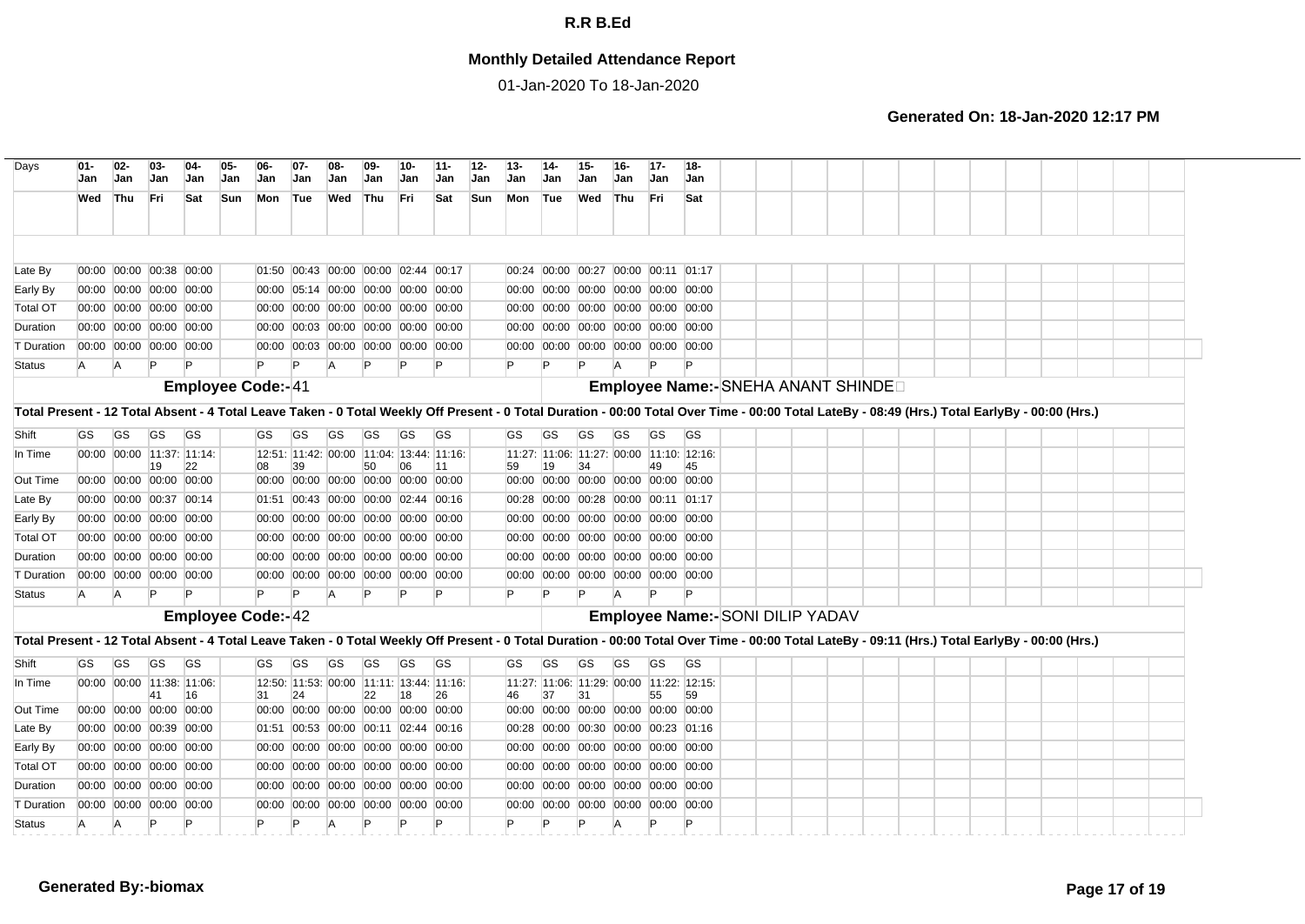## **Monthly Detailed Attendance Report**

01-Jan-2020 To 18-Jan-2020

| Days                                                                                                                                                                                           | $01 -$<br>Jan | $02-$<br>Jan | $03-$<br>Jan                                       | $04-$<br>Jan | 05-<br>Jan | $06-$<br>Jan             | $07 -$<br>Jan | Jan            | $09 -$<br>Jan                                                              | 10-<br>Jan | $11 -$<br>Jan | $12 -$<br>Jan | $13 -$<br>Jan | 14-<br>Jan | 15-<br>Jan | $16-$<br>Jan                                                         | $17-$<br>Jan | $18 -$<br>Jan                            |                                     |  |  |  |  |  |  |
|------------------------------------------------------------------------------------------------------------------------------------------------------------------------------------------------|---------------|--------------|----------------------------------------------------|--------------|------------|--------------------------|---------------|----------------|----------------------------------------------------------------------------|------------|---------------|---------------|---------------|------------|------------|----------------------------------------------------------------------|--------------|------------------------------------------|-------------------------------------|--|--|--|--|--|--|
|                                                                                                                                                                                                | Wed           | Thu          | Fri                                                | Sat          | Sun        | Mon Tue                  |               | Wed            | Thu                                                                        | <b>Fri</b> | Sat           | Sun           | Mon           | Tue        | Wed        | Thu                                                                  | l Fri        | Sat                                      |                                     |  |  |  |  |  |  |
|                                                                                                                                                                                                |               |              |                                                    |              |            |                          |               |                |                                                                            |            |               |               |               |            |            |                                                                      |              |                                          |                                     |  |  |  |  |  |  |
| Late By                                                                                                                                                                                        |               |              | 00:00 00:00 00:38 00:00                            |              |            |                          |               |                | 01:50 00:43 00:00 00:00 02:44 00:17                                        |            |               |               |               |            |            | 00:24 00:00 00:27 00:00 00:11 01:17                                  |              |                                          |                                     |  |  |  |  |  |  |
| Early By                                                                                                                                                                                       |               |              | 00:00 00:00 00:00 00:00                            |              |            |                          |               |                | 00:00 05:14 00:00 00:00 00:00 00:00                                        |            |               |               |               |            |            | 00:00 00:00 00:00 00:00 00:00 00:00                                  |              |                                          |                                     |  |  |  |  |  |  |
| <b>Total OT</b>                                                                                                                                                                                |               |              | 00:00 00:00 00:00 00:00                            |              |            |                          |               |                | 00:00 00:00 00:00 00:00 00:00 00:00                                        |            |               |               |               |            |            | 00:00 00:00 00:00 00:00 00:00 00:00                                  |              |                                          |                                     |  |  |  |  |  |  |
| Duration                                                                                                                                                                                       |               |              | 00:00 00:00 00:00 00:00                            |              |            |                          |               |                | 00:00 00:03 00:00 00:00 00:00 00:00                                        |            |               |               |               |            |            | 00:00 00:00 00:00 00:00 00:00 00:00                                  |              |                                          |                                     |  |  |  |  |  |  |
| T Duration                                                                                                                                                                                     |               |              | 00:00 00:00 00:00 00:00                            |              |            |                          |               |                | 00:00 00:03 00:00 00:00 00:00 00:00                                        |            |               |               |               |            |            | 00:00 00:00 00:00 00:00 00:00 00:00                                  |              |                                          |                                     |  |  |  |  |  |  |
| <b>Status</b>                                                                                                                                                                                  | A             | A            | P                                                  |              |            |                          | P             | A              |                                                                            |            |               |               | P             |            |            |                                                                      |              |                                          |                                     |  |  |  |  |  |  |
|                                                                                                                                                                                                |               |              |                                                    |              |            | <b>Employee Code:-41</b> |               |                |                                                                            |            |               |               |               |            |            |                                                                      |              |                                          | Employee Name:- SNEHA ANANT SHINDED |  |  |  |  |  |  |
| Total Present - 12 Total Absent - 4 Total Leave Taken - 0 Total Weekly Off Present - 0 Total Duration - 00:00 Total Over Time - 00:00 Total LateBy - 08:49 (Hrs.) Total EarlyBy - 00:00 (Hrs.) |               |              |                                                    |              |            |                          |               |                |                                                                            |            |               |               |               |            |            |                                                                      |              |                                          |                                     |  |  |  |  |  |  |
| Shift                                                                                                                                                                                          | GS            | <b>GS</b>    | <b>GS</b>                                          | <b>GS</b>    |            | GS                       | GS            | GS             | GS                                                                         | GS         | <b>GS</b>     |               | GS            | GS         | <b>GS</b>  | GS                                                                   | GS           | <b>GS</b>                                |                                     |  |  |  |  |  |  |
| In Time                                                                                                                                                                                        |               |              | 00:00 00:00 11:37: 11:14:                          |              |            |                          |               |                | 12:51: 11:42: 00:00 11:04: 13:44: 11:16:                                   |            |               |               |               |            |            |                                                                      |              | 11:27: 11:06: 11:27: 00:00 11:10: 12:16: |                                     |  |  |  |  |  |  |
| Out Time                                                                                                                                                                                       |               |              | 19<br>00:00 00:00 00:00 00:00                      | 22           |            | 08                       | 39            |                | 50<br>00:00 00:00 00:00 00:00 00:00 00:00                                  | 06         | 111           |               | 59            | 19         | 34         | 00:00 00:00 00:00 00:00 00:00 00:00                                  | 49           | 45                                       |                                     |  |  |  |  |  |  |
| Late By                                                                                                                                                                                        |               |              | 00:00 00:00 00:37 00:14                            |              |            |                          |               |                | 01:51 00:43 00:00 00:00 02:44 00:16                                        |            |               |               |               |            |            | 00:28 00:00 00:28 00:00 00:11 01:17                                  |              |                                          |                                     |  |  |  |  |  |  |
| Early By                                                                                                                                                                                       |               |              | 00:00 00:00 00:00 00:00                            |              |            |                          |               |                | 00:00 00:00 00:00 00:00 00:00 00:00                                        |            |               |               |               |            |            | 00:00 00:00 00:00 00:00 00:00 00:00                                  |              |                                          |                                     |  |  |  |  |  |  |
| <b>Total OT</b>                                                                                                                                                                                |               |              | 00:00 00:00 00:00 00:00                            |              |            |                          |               |                | 00:00 00:00 00:00 00:00 00:00 00:00                                        |            |               |               |               |            |            | 00:00 00:00 00:00 00:00 00:00 00:00                                  |              |                                          |                                     |  |  |  |  |  |  |
| Duration                                                                                                                                                                                       |               |              | 00:00 00:00 00:00 00:00                            |              |            |                          |               |                | 00:00 00:00 00:00 00:00 00:00 00:00                                        |            |               |               |               |            |            | 00:00 00:00 00:00 00:00 00:00 00:00                                  |              |                                          |                                     |  |  |  |  |  |  |
| <b>T</b> Duration                                                                                                                                                                              |               |              | 00:00 00:00 00:00 00:00                            |              |            |                          |               |                | 00:00 00:00 00:00 00:00 00:00 00:00                                        |            |               |               |               |            |            | 00:00 00:00 00:00 00:00 00:00 00:00                                  |              |                                          |                                     |  |  |  |  |  |  |
| <b>Status</b>                                                                                                                                                                                  | A             | A            |                                                    |              |            |                          | P             | $\overline{A}$ |                                                                            | P          | P             |               | $\mathsf{P}$  |            |            |                                                                      |              | P                                        |                                     |  |  |  |  |  |  |
|                                                                                                                                                                                                |               |              |                                                    |              |            | <b>Employee Code:-42</b> |               |                |                                                                            |            |               |               |               |            |            |                                                                      |              |                                          | Employee Name:-SONI DILIP YADAV     |  |  |  |  |  |  |
| Total Present - 12 Total Absent - 4 Total Leave Taken - 0 Total Weekly Off Present - 0 Total Duration - 00:00 Total Over Time - 00:00 Total LateBy - 09:11 (Hrs.) Total EarlyBy - 00:00 (Hrs.) |               |              |                                                    |              |            |                          |               |                |                                                                            |            |               |               |               |            |            |                                                                      |              |                                          |                                     |  |  |  |  |  |  |
| Shift                                                                                                                                                                                          | GS            | <b>GS</b>    | GS                                                 | <b>GS</b>    |            | GS                       | GS            | GS             | GS                                                                         | GS         | <b>GS</b>     |               | GS            | GS         | <b>GS</b>  | GS                                                                   | <b>GS</b>    | <b>GS</b>                                |                                     |  |  |  |  |  |  |
| In Time                                                                                                                                                                                        |               |              | 00:00 00:00 11:38: 11:06:                          |              |            |                          |               |                | 12:50: 11:53: 00:00 11:11: 13:44: 11:16:                                   |            |               |               |               |            |            |                                                                      |              | 11:27: 11:06: 11:29: 00:00 11:22: 12:15: |                                     |  |  |  |  |  |  |
|                                                                                                                                                                                                |               |              | 41                                                 | 16           |            | 31                       | 24            |                | 22                                                                         | 18         | 26            |               | 46            | 37         | 31         |                                                                      | 55           | 59                                       |                                     |  |  |  |  |  |  |
| Out Time                                                                                                                                                                                       |               |              | 00:00 00:00 00:00 00:00                            |              |            |                          |               |                | 00:00 00:00 00:00 00:00 00:00 00:00                                        |            |               |               |               |            |            | 00:00 00:00 00:00 00:00 00:00 00:00                                  |              |                                          |                                     |  |  |  |  |  |  |
| Late By                                                                                                                                                                                        |               |              | 00:00 00:00 00:39 00:00<br>00:00 00:00 00:00 00:00 |              |            |                          |               |                | 01:51 00:53 00:00 00:11 02:44 00:16                                        |            |               |               |               |            |            | 00:28 00:00 00:30 00:00 00:23 01:16                                  |              |                                          |                                     |  |  |  |  |  |  |
| Early By<br><b>Total OT</b>                                                                                                                                                                    |               |              | 00:00 00:00 00:00 00:00                            |              |            |                          |               |                | 00:00 00:00 00:00 00:00 00:00 00:00<br>00:00 00:00 00:00 00:00 00:00 00:00 |            |               |               | 00:00         |            |            | 00:00 00:00 00:00 00:00 00:00<br>00:00 00:00 00:00 00:00 00:00 00:00 |              |                                          |                                     |  |  |  |  |  |  |
| Duration                                                                                                                                                                                       |               |              | 00:00 00:00 00:00 00:00                            |              |            |                          |               |                | 00:00 00:00 00:00 00:00 00:00 00:00                                        |            |               |               |               |            |            | 00:00 00:00 00:00 00:00 00:00 00:00                                  |              |                                          |                                     |  |  |  |  |  |  |
| <b>T</b> Duration                                                                                                                                                                              |               |              | 00:00 00:00 00:00 00:00                            |              |            |                          |               |                | 00:00 00:00 00:00 00:00 00:00 00:00                                        |            |               |               |               |            |            | 00:00 00:00 00:00 00:00 00:00 00:00                                  |              |                                          |                                     |  |  |  |  |  |  |
| <b>Status</b>                                                                                                                                                                                  | A             | A            |                                                    |              |            |                          | P             |                |                                                                            |            | P             |               | P             |            |            | A                                                                    |              | P                                        |                                     |  |  |  |  |  |  |
|                                                                                                                                                                                                |               |              |                                                    |              |            |                          |               |                |                                                                            |            |               |               |               |            |            |                                                                      |              |                                          |                                     |  |  |  |  |  |  |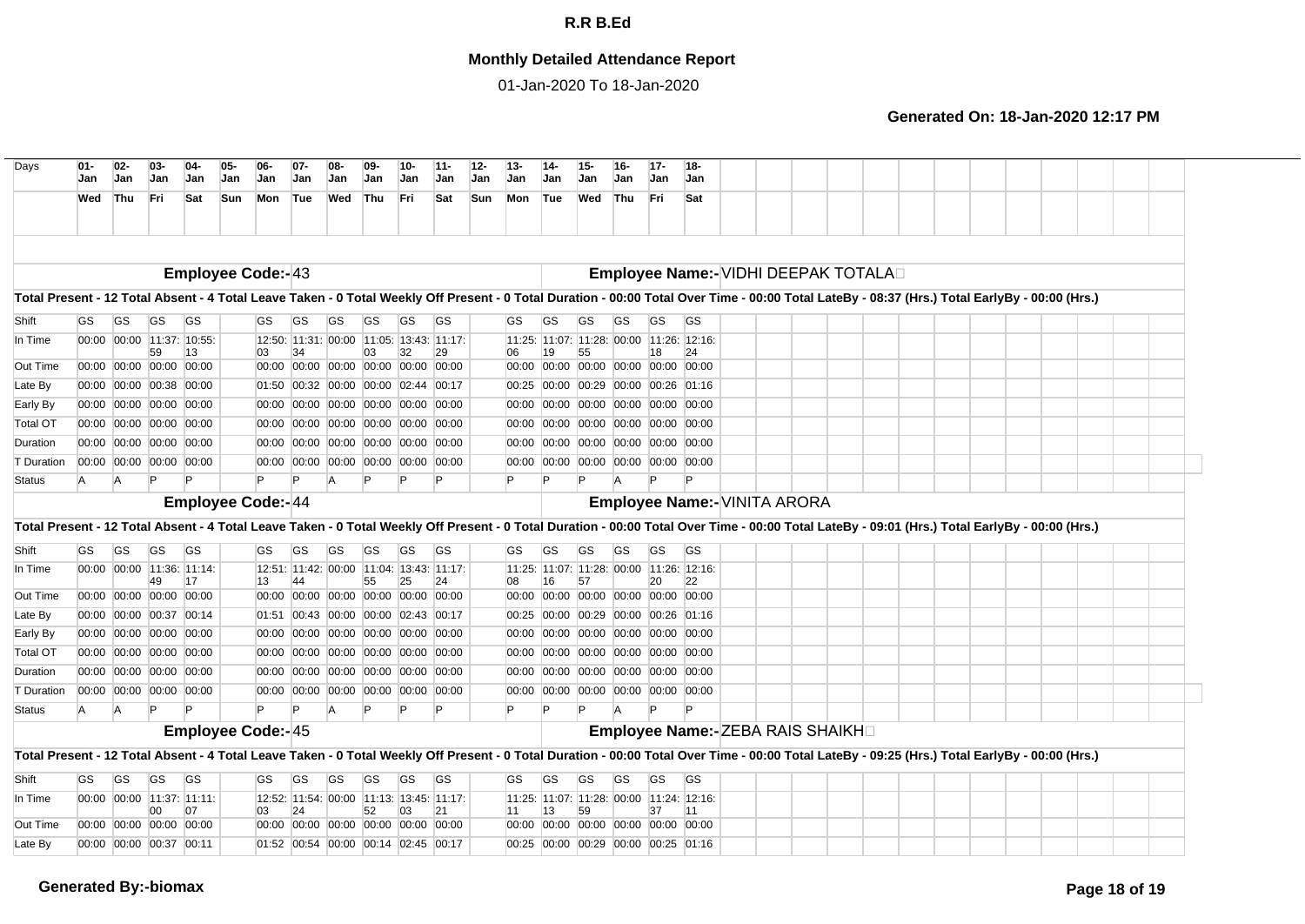## **Monthly Detailed Attendance Report**

01-Jan-2020 To 18-Jan-2020

| Days              | $01 -$<br>Jan                                                                                                                                                                                                                                                                                                                                                                                                                                                                                                                                                                                                                                                                                                                                                                                                                                                                                                                                                                                                                                                                                                                                                                                                                                                                                                                                                                                                                                                                                                                                                                                                                                                                                                                                                                                                                                                                                                                                                                                                                                                                                                                                                                                                                                                                                                                                                                                                                                                                                                                                                                                                                                                                                                                                                                                                                                                                                                                                                                                                                                                                                                                                                                                                                                                                                                                                                                                     | $02-$<br>Jan | $03 -$<br>Jan | $04-$<br>Jan | 05-<br>Jan | $06-$<br><b>Jan</b> | $07 -$<br>Jan | $08-$<br>Jan   | 09-<br>Jan | 10-<br>Jan | 11-<br>Jan | $12 -$<br>Jan | 14-<br>Jan | 15-<br>Jan | $16-$<br>Jan | $17 -$<br><b>Jan</b> | $18 -$<br><b>Jan</b> |  |  |  |  |  |  |
|-------------------|---------------------------------------------------------------------------------------------------------------------------------------------------------------------------------------------------------------------------------------------------------------------------------------------------------------------------------------------------------------------------------------------------------------------------------------------------------------------------------------------------------------------------------------------------------------------------------------------------------------------------------------------------------------------------------------------------------------------------------------------------------------------------------------------------------------------------------------------------------------------------------------------------------------------------------------------------------------------------------------------------------------------------------------------------------------------------------------------------------------------------------------------------------------------------------------------------------------------------------------------------------------------------------------------------------------------------------------------------------------------------------------------------------------------------------------------------------------------------------------------------------------------------------------------------------------------------------------------------------------------------------------------------------------------------------------------------------------------------------------------------------------------------------------------------------------------------------------------------------------------------------------------------------------------------------------------------------------------------------------------------------------------------------------------------------------------------------------------------------------------------------------------------------------------------------------------------------------------------------------------------------------------------------------------------------------------------------------------------------------------------------------------------------------------------------------------------------------------------------------------------------------------------------------------------------------------------------------------------------------------------------------------------------------------------------------------------------------------------------------------------------------------------------------------------------------------------------------------------------------------------------------------------------------------------------------------------------------------------------------------------------------------------------------------------------------------------------------------------------------------------------------------------------------------------------------------------------------------------------------------------------------------------------------------------------------------------------------------------------------------------------------------------|--------------|---------------|--------------|------------|---------------------|---------------|----------------|------------|------------|------------|---------------|------------|------------|--------------|----------------------|----------------------|--|--|--|--|--|--|
|                   | Wed                                                                                                                                                                                                                                                                                                                                                                                                                                                                                                                                                                                                                                                                                                                                                                                                                                                                                                                                                                                                                                                                                                                                                                                                                                                                                                                                                                                                                                                                                                                                                                                                                                                                                                                                                                                                                                                                                                                                                                                                                                                                                                                                                                                                                                                                                                                                                                                                                                                                                                                                                                                                                                                                                                                                                                                                                                                                                                                                                                                                                                                                                                                                                                                                                                                                                                                                                                                               |              | Fri           | Sat          | Sun        | Mon                 |               | Wed            | Thu        |            | Sat        |               |            | Wed        | Thu          | Fri                  | Sat                  |  |  |  |  |  |  |
|                   |                                                                                                                                                                                                                                                                                                                                                                                                                                                                                                                                                                                                                                                                                                                                                                                                                                                                                                                                                                                                                                                                                                                                                                                                                                                                                                                                                                                                                                                                                                                                                                                                                                                                                                                                                                                                                                                                                                                                                                                                                                                                                                                                                                                                                                                                                                                                                                                                                                                                                                                                                                                                                                                                                                                                                                                                                                                                                                                                                                                                                                                                                                                                                                                                                                                                                                                                                                                                   |              |               |              |            |                     |               |                |            |            |            |               |            |            |              |                      |                      |  |  |  |  |  |  |
|                   |                                                                                                                                                                                                                                                                                                                                                                                                                                                                                                                                                                                                                                                                                                                                                                                                                                                                                                                                                                                                                                                                                                                                                                                                                                                                                                                                                                                                                                                                                                                                                                                                                                                                                                                                                                                                                                                                                                                                                                                                                                                                                                                                                                                                                                                                                                                                                                                                                                                                                                                                                                                                                                                                                                                                                                                                                                                                                                                                                                                                                                                                                                                                                                                                                                                                                                                                                                                                   |              |               |              |            |                     |               |                |            |            |            |               |            |            |              |                      |                      |  |  |  |  |  |  |
|                   |                                                                                                                                                                                                                                                                                                                                                                                                                                                                                                                                                                                                                                                                                                                                                                                                                                                                                                                                                                                                                                                                                                                                                                                                                                                                                                                                                                                                                                                                                                                                                                                                                                                                                                                                                                                                                                                                                                                                                                                                                                                                                                                                                                                                                                                                                                                                                                                                                                                                                                                                                                                                                                                                                                                                                                                                                                                                                                                                                                                                                                                                                                                                                                                                                                                                                                                                                                                                   |              |               |              |            |                     |               |                |            |            |            |               |            |            |              |                      |                      |  |  |  |  |  |  |
| Shift             | GS                                                                                                                                                                                                                                                                                                                                                                                                                                                                                                                                                                                                                                                                                                                                                                                                                                                                                                                                                                                                                                                                                                                                                                                                                                                                                                                                                                                                                                                                                                                                                                                                                                                                                                                                                                                                                                                                                                                                                                                                                                                                                                                                                                                                                                                                                                                                                                                                                                                                                                                                                                                                                                                                                                                                                                                                                                                                                                                                                                                                                                                                                                                                                                                                                                                                                                                                                                                                | <b>GS</b>    | GS            | <b>GS</b>    |            | GS                  | GS            | GS             | GS         | GS         | <b>GS</b>  |               | GS         | GS         | GS           | GS                   | <b>GS</b>            |  |  |  |  |  |  |
| In Time           |                                                                                                                                                                                                                                                                                                                                                                                                                                                                                                                                                                                                                                                                                                                                                                                                                                                                                                                                                                                                                                                                                                                                                                                                                                                                                                                                                                                                                                                                                                                                                                                                                                                                                                                                                                                                                                                                                                                                                                                                                                                                                                                                                                                                                                                                                                                                                                                                                                                                                                                                                                                                                                                                                                                                                                                                                                                                                                                                                                                                                                                                                                                                                                                                                                                                                                                                                                                                   |              |               |              |            |                     |               |                |            |            |            |               |            |            |              |                      |                      |  |  |  |  |  |  |
| Out Time          |                                                                                                                                                                                                                                                                                                                                                                                                                                                                                                                                                                                                                                                                                                                                                                                                                                                                                                                                                                                                                                                                                                                                                                                                                                                                                                                                                                                                                                                                                                                                                                                                                                                                                                                                                                                                                                                                                                                                                                                                                                                                                                                                                                                                                                                                                                                                                                                                                                                                                                                                                                                                                                                                                                                                                                                                                                                                                                                                                                                                                                                                                                                                                                                                                                                                                                                                                                                                   |              |               |              |            |                     |               |                |            |            |            |               |            |            |              |                      |                      |  |  |  |  |  |  |
| Late By           |                                                                                                                                                                                                                                                                                                                                                                                                                                                                                                                                                                                                                                                                                                                                                                                                                                                                                                                                                                                                                                                                                                                                                                                                                                                                                                                                                                                                                                                                                                                                                                                                                                                                                                                                                                                                                                                                                                                                                                                                                                                                                                                                                                                                                                                                                                                                                                                                                                                                                                                                                                                                                                                                                                                                                                                                                                                                                                                                                                                                                                                                                                                                                                                                                                                                                                                                                                                                   |              |               |              |            |                     |               |                |            |            |            |               |            |            |              |                      |                      |  |  |  |  |  |  |
| Early By          |                                                                                                                                                                                                                                                                                                                                                                                                                                                                                                                                                                                                                                                                                                                                                                                                                                                                                                                                                                                                                                                                                                                                                                                                                                                                                                                                                                                                                                                                                                                                                                                                                                                                                                                                                                                                                                                                                                                                                                                                                                                                                                                                                                                                                                                                                                                                                                                                                                                                                                                                                                                                                                                                                                                                                                                                                                                                                                                                                                                                                                                                                                                                                                                                                                                                                                                                                                                                   |              |               |              |            |                     |               |                |            |            |            |               |            |            |              |                      |                      |  |  |  |  |  |  |
| <b>Total OT</b>   |                                                                                                                                                                                                                                                                                                                                                                                                                                                                                                                                                                                                                                                                                                                                                                                                                                                                                                                                                                                                                                                                                                                                                                                                                                                                                                                                                                                                                                                                                                                                                                                                                                                                                                                                                                                                                                                                                                                                                                                                                                                                                                                                                                                                                                                                                                                                                                                                                                                                                                                                                                                                                                                                                                                                                                                                                                                                                                                                                                                                                                                                                                                                                                                                                                                                                                                                                                                                   |              |               |              |            |                     |               |                |            |            |            |               |            |            |              |                      |                      |  |  |  |  |  |  |
| Duration          |                                                                                                                                                                                                                                                                                                                                                                                                                                                                                                                                                                                                                                                                                                                                                                                                                                                                                                                                                                                                                                                                                                                                                                                                                                                                                                                                                                                                                                                                                                                                                                                                                                                                                                                                                                                                                                                                                                                                                                                                                                                                                                                                                                                                                                                                                                                                                                                                                                                                                                                                                                                                                                                                                                                                                                                                                                                                                                                                                                                                                                                                                                                                                                                                                                                                                                                                                                                                   |              |               |              |            |                     |               |                |            |            |            |               |            |            |              |                      |                      |  |  |  |  |  |  |
| <b>T</b> Duration |                                                                                                                                                                                                                                                                                                                                                                                                                                                                                                                                                                                                                                                                                                                                                                                                                                                                                                                                                                                                                                                                                                                                                                                                                                                                                                                                                                                                                                                                                                                                                                                                                                                                                                                                                                                                                                                                                                                                                                                                                                                                                                                                                                                                                                                                                                                                                                                                                                                                                                                                                                                                                                                                                                                                                                                                                                                                                                                                                                                                                                                                                                                                                                                                                                                                                                                                                                                                   |              |               |              |            |                     |               |                |            |            |            |               |            |            |              |                      |                      |  |  |  |  |  |  |
| <b>Status</b>     | A                                                                                                                                                                                                                                                                                                                                                                                                                                                                                                                                                                                                                                                                                                                                                                                                                                                                                                                                                                                                                                                                                                                                                                                                                                                                                                                                                                                                                                                                                                                                                                                                                                                                                                                                                                                                                                                                                                                                                                                                                                                                                                                                                                                                                                                                                                                                                                                                                                                                                                                                                                                                                                                                                                                                                                                                                                                                                                                                                                                                                                                                                                                                                                                                                                                                                                                                                                                                 | A            | P             |              |            | P                   | Þ             | $\overline{A}$ |            | Þ          | Þ          |               |            | P          | A            |                      | P                    |  |  |  |  |  |  |
|                   | $13 -$<br>Jan<br>Mon<br>Thu<br>Tue<br>- Fri<br>Sun<br>Tue<br><b>Employee Code:-43</b><br>Employee Name:- VIDHI DEEPAK TOTALAD<br>Total Present - 12 Total Absent - 4 Total Leave Taken - 0 Total Weekly Off Present - 0 Total Duration - 00:00 Total Over Time - 00:00 Total LateBy - 08:37 (Hrs.) Total EarlyBy - 00:00 (Hrs.)<br>GS<br>00:00 00:00 11:37: 10:55:<br>11:25: 11:07: 11:28: 00:00 11:26: 12:16:<br>12:50: 11:31: 00:00 11:05: 13:43: 11:17:<br>59<br>13<br>34<br>03<br>32<br>29<br>19<br>55<br>18<br>24<br>03<br>06<br>00:00 00:00 00:00 00:00<br>00:00 00:00 00:00 00:00 00:00 00:00<br>00:00 00:00 00:00 00:00 00:00<br>00:00<br>00:00 00:00 00:38 00:00<br>01:50 00:32 00:00 00:00 02:44 00:17<br>00:00 00:29 00:00 00:26 01:16<br>00:25<br>00:00 00:00 00:00 00:00<br>00:00 00:00 00:00 00:00 00:00 00:00<br>00:00 00:00 00:00 00:00 00:00<br>00:00<br>00:00 00:00 00:00 00:00<br>00:00 00:00 00:00 00:00 00:00 00:00<br>00:00<br>00:00 00:00 00:00 00:00 00:00<br>00:00 00:00 00:00 00:00<br>00:00 00:00 00:00 00:00 00:00 00:00<br>00:00 00:00 00:00 00:00 00:00<br>00:00<br>00:00 00:00 00:00 00:00<br>00:00 00:00 00:00 00:00 00:00<br>00:00 00:00 00:00 00:00 00:00 00:00<br>00:00<br>P<br><b>Employee Code:-44</b><br>Employee Name:- VINITA ARORA<br>Total Present - 12 Total Absent - 4 Total Leave Taken - 0 Total Weekly Off Present - 0 Total Duration - 00:00 Total Over Time - 00:00 Total LateBy - 09:01 (Hrs.) Total EarlyBy - 00:00 (Hrs.)<br>GS<br><b>GS</b><br><b>GS</b><br>GS<br><b>GS</b><br>GS<br><b>GS</b><br>GS<br>GS<br>GS<br>GS<br>GS<br>GS<br>GS<br>GS<br>GS<br>00:00 00:00 11:36: 11:14:<br>12:51: 11:42: 00:00 11:04: 13:43: 11:17:<br>11:07: 11:28: 00:00 11:26: 12:16:<br>11:25:<br>49<br>17<br>55<br>25<br>57<br>20<br>13<br>24<br>08<br>16<br>22<br>00:00 00:00 00:00 00:00<br>00:00 00:00 00:00 00:00 00:00 00:00<br>00:00 00:00 00:00 00:00<br>00:00<br>00:00<br>00:00 00:00 00:37 00:14<br>01:51 00:43 00:00 00:00 02:43 00:17<br> 00:00 00:29 00:00 00:26 01:16<br>00:25<br>00:00 00:00 00:00 00:00<br>00:00 00:00 00:00 00:00 00:00 00:00<br>00:00<br> 00:00 00:00 00:00 00:00 00:00<br>00:00 00:00 00:00 00:00<br>00:00 00:00 00:00 00:00 00:00 00:00<br>00:00 00:00 00:00 00:00 00:00<br>00:00<br>00:00 00:00 00:00 00:00<br>00:00 00:00 00:00 00:00 00:00 00:00<br> 00:00 00:00 00:00 00:00 00:00<br>00:00<br>00:00 00:00 00:00 00:00<br>00:00 00:00 00:00 00:00 00:00 00:00<br>00:00 00:00 00:00 00:00 00:00 00:00<br>$\mathsf{P}$<br>P<br>A<br>A<br><b>A</b><br><b>Employee Code:-45</b><br>Employee Name:- ZEBA RAIS SHAIKH<br>Total Present - 12 Total Absent - 4 Total Leave Taken - 0 Total Weekly Off Present - 0 Total Duration - 00:00 Total Over Time - 00:00 Total LateBy - 09:25 (Hrs.) Total EarlyBy - 00:00 (Hrs.)<br><b>GS</b><br><b>GS</b><br><b>GS</b><br><b>GS</b><br><b>GS</b><br>GS<br>GS<br><b>GS</b><br><b>GS</b><br>GS<br><b>GS</b><br><b>GS</b><br>GS<br><b>GS</b><br><b>GS</b><br>GS<br>00:00 00:00 11:37: 11:11:<br>12:52: 11:54: 00:00 11:13: 13:45: 11:17:<br> 11:25:  11:07:  11:28:  00:00  11:24:  12:16:<br>00<br>07<br>03<br>24<br>52<br>03<br>21<br>13<br>59<br>37<br>11<br> 11<br>00:00 00:00 00:00 00:00<br>00:00 00:00 00:00 00:00 00:00 00:00<br>00:00<br>00:00 00:00 00:00 00:00 00:00<br>00:00 00:00 00:37 00:11<br>01:52 00:54 00:00 00:14 02:45 00:17<br>00:25 00:00 00:29 00:00 00:25 01:16 |              |               |              |            |                     |               |                |            |            |            |               |            |            |              |                      |                      |  |  |  |  |  |  |
|                   |                                                                                                                                                                                                                                                                                                                                                                                                                                                                                                                                                                                                                                                                                                                                                                                                                                                                                                                                                                                                                                                                                                                                                                                                                                                                                                                                                                                                                                                                                                                                                                                                                                                                                                                                                                                                                                                                                                                                                                                                                                                                                                                                                                                                                                                                                                                                                                                                                                                                                                                                                                                                                                                                                                                                                                                                                                                                                                                                                                                                                                                                                                                                                                                                                                                                                                                                                                                                   |              |               |              |            |                     |               |                |            |            |            |               |            |            |              |                      |                      |  |  |  |  |  |  |
| Shift             |                                                                                                                                                                                                                                                                                                                                                                                                                                                                                                                                                                                                                                                                                                                                                                                                                                                                                                                                                                                                                                                                                                                                                                                                                                                                                                                                                                                                                                                                                                                                                                                                                                                                                                                                                                                                                                                                                                                                                                                                                                                                                                                                                                                                                                                                                                                                                                                                                                                                                                                                                                                                                                                                                                                                                                                                                                                                                                                                                                                                                                                                                                                                                                                                                                                                                                                                                                                                   |              |               |              |            |                     |               |                |            |            |            |               |            |            |              |                      |                      |  |  |  |  |  |  |
| In Time           |                                                                                                                                                                                                                                                                                                                                                                                                                                                                                                                                                                                                                                                                                                                                                                                                                                                                                                                                                                                                                                                                                                                                                                                                                                                                                                                                                                                                                                                                                                                                                                                                                                                                                                                                                                                                                                                                                                                                                                                                                                                                                                                                                                                                                                                                                                                                                                                                                                                                                                                                                                                                                                                                                                                                                                                                                                                                                                                                                                                                                                                                                                                                                                                                                                                                                                                                                                                                   |              |               |              |            |                     |               |                |            |            |            |               |            |            |              |                      |                      |  |  |  |  |  |  |
|                   |                                                                                                                                                                                                                                                                                                                                                                                                                                                                                                                                                                                                                                                                                                                                                                                                                                                                                                                                                                                                                                                                                                                                                                                                                                                                                                                                                                                                                                                                                                                                                                                                                                                                                                                                                                                                                                                                                                                                                                                                                                                                                                                                                                                                                                                                                                                                                                                                                                                                                                                                                                                                                                                                                                                                                                                                                                                                                                                                                                                                                                                                                                                                                                                                                                                                                                                                                                                                   |              |               |              |            |                     |               |                |            |            |            |               |            |            |              |                      |                      |  |  |  |  |  |  |
| Out Time          |                                                                                                                                                                                                                                                                                                                                                                                                                                                                                                                                                                                                                                                                                                                                                                                                                                                                                                                                                                                                                                                                                                                                                                                                                                                                                                                                                                                                                                                                                                                                                                                                                                                                                                                                                                                                                                                                                                                                                                                                                                                                                                                                                                                                                                                                                                                                                                                                                                                                                                                                                                                                                                                                                                                                                                                                                                                                                                                                                                                                                                                                                                                                                                                                                                                                                                                                                                                                   |              |               |              |            |                     |               |                |            |            |            |               |            |            |              |                      |                      |  |  |  |  |  |  |
| Late By           |                                                                                                                                                                                                                                                                                                                                                                                                                                                                                                                                                                                                                                                                                                                                                                                                                                                                                                                                                                                                                                                                                                                                                                                                                                                                                                                                                                                                                                                                                                                                                                                                                                                                                                                                                                                                                                                                                                                                                                                                                                                                                                                                                                                                                                                                                                                                                                                                                                                                                                                                                                                                                                                                                                                                                                                                                                                                                                                                                                                                                                                                                                                                                                                                                                                                                                                                                                                                   |              |               |              |            |                     |               |                |            |            |            |               |            |            |              |                      |                      |  |  |  |  |  |  |
| Early By          |                                                                                                                                                                                                                                                                                                                                                                                                                                                                                                                                                                                                                                                                                                                                                                                                                                                                                                                                                                                                                                                                                                                                                                                                                                                                                                                                                                                                                                                                                                                                                                                                                                                                                                                                                                                                                                                                                                                                                                                                                                                                                                                                                                                                                                                                                                                                                                                                                                                                                                                                                                                                                                                                                                                                                                                                                                                                                                                                                                                                                                                                                                                                                                                                                                                                                                                                                                                                   |              |               |              |            |                     |               |                |            |            |            |               |            |            |              |                      |                      |  |  |  |  |  |  |
| <b>Total OT</b>   |                                                                                                                                                                                                                                                                                                                                                                                                                                                                                                                                                                                                                                                                                                                                                                                                                                                                                                                                                                                                                                                                                                                                                                                                                                                                                                                                                                                                                                                                                                                                                                                                                                                                                                                                                                                                                                                                                                                                                                                                                                                                                                                                                                                                                                                                                                                                                                                                                                                                                                                                                                                                                                                                                                                                                                                                                                                                                                                                                                                                                                                                                                                                                                                                                                                                                                                                                                                                   |              |               |              |            |                     |               |                |            |            |            |               |            |            |              |                      |                      |  |  |  |  |  |  |
| Duration          |                                                                                                                                                                                                                                                                                                                                                                                                                                                                                                                                                                                                                                                                                                                                                                                                                                                                                                                                                                                                                                                                                                                                                                                                                                                                                                                                                                                                                                                                                                                                                                                                                                                                                                                                                                                                                                                                                                                                                                                                                                                                                                                                                                                                                                                                                                                                                                                                                                                                                                                                                                                                                                                                                                                                                                                                                                                                                                                                                                                                                                                                                                                                                                                                                                                                                                                                                                                                   |              |               |              |            |                     |               |                |            |            |            |               |            |            |              |                      |                      |  |  |  |  |  |  |
| <b>T</b> Duration |                                                                                                                                                                                                                                                                                                                                                                                                                                                                                                                                                                                                                                                                                                                                                                                                                                                                                                                                                                                                                                                                                                                                                                                                                                                                                                                                                                                                                                                                                                                                                                                                                                                                                                                                                                                                                                                                                                                                                                                                                                                                                                                                                                                                                                                                                                                                                                                                                                                                                                                                                                                                                                                                                                                                                                                                                                                                                                                                                                                                                                                                                                                                                                                                                                                                                                                                                                                                   |              |               |              |            |                     |               |                |            |            |            |               |            |            |              |                      |                      |  |  |  |  |  |  |
| <b>Status</b>     |                                                                                                                                                                                                                                                                                                                                                                                                                                                                                                                                                                                                                                                                                                                                                                                                                                                                                                                                                                                                                                                                                                                                                                                                                                                                                                                                                                                                                                                                                                                                                                                                                                                                                                                                                                                                                                                                                                                                                                                                                                                                                                                                                                                                                                                                                                                                                                                                                                                                                                                                                                                                                                                                                                                                                                                                                                                                                                                                                                                                                                                                                                                                                                                                                                                                                                                                                                                                   |              |               |              |            |                     |               |                |            |            |            |               |            |            |              |                      |                      |  |  |  |  |  |  |
|                   |                                                                                                                                                                                                                                                                                                                                                                                                                                                                                                                                                                                                                                                                                                                                                                                                                                                                                                                                                                                                                                                                                                                                                                                                                                                                                                                                                                                                                                                                                                                                                                                                                                                                                                                                                                                                                                                                                                                                                                                                                                                                                                                                                                                                                                                                                                                                                                                                                                                                                                                                                                                                                                                                                                                                                                                                                                                                                                                                                                                                                                                                                                                                                                                                                                                                                                                                                                                                   |              |               |              |            |                     |               |                |            |            |            |               |            |            |              |                      |                      |  |  |  |  |  |  |
|                   |                                                                                                                                                                                                                                                                                                                                                                                                                                                                                                                                                                                                                                                                                                                                                                                                                                                                                                                                                                                                                                                                                                                                                                                                                                                                                                                                                                                                                                                                                                                                                                                                                                                                                                                                                                                                                                                                                                                                                                                                                                                                                                                                                                                                                                                                                                                                                                                                                                                                                                                                                                                                                                                                                                                                                                                                                                                                                                                                                                                                                                                                                                                                                                                                                                                                                                                                                                                                   |              |               |              |            |                     |               |                |            |            |            |               |            |            |              |                      |                      |  |  |  |  |  |  |
| Shift             |                                                                                                                                                                                                                                                                                                                                                                                                                                                                                                                                                                                                                                                                                                                                                                                                                                                                                                                                                                                                                                                                                                                                                                                                                                                                                                                                                                                                                                                                                                                                                                                                                                                                                                                                                                                                                                                                                                                                                                                                                                                                                                                                                                                                                                                                                                                                                                                                                                                                                                                                                                                                                                                                                                                                                                                                                                                                                                                                                                                                                                                                                                                                                                                                                                                                                                                                                                                                   |              |               |              |            |                     |               |                |            |            |            |               |            |            |              |                      |                      |  |  |  |  |  |  |
| In Time           |                                                                                                                                                                                                                                                                                                                                                                                                                                                                                                                                                                                                                                                                                                                                                                                                                                                                                                                                                                                                                                                                                                                                                                                                                                                                                                                                                                                                                                                                                                                                                                                                                                                                                                                                                                                                                                                                                                                                                                                                                                                                                                                                                                                                                                                                                                                                                                                                                                                                                                                                                                                                                                                                                                                                                                                                                                                                                                                                                                                                                                                                                                                                                                                                                                                                                                                                                                                                   |              |               |              |            |                     |               |                |            |            |            |               |            |            |              |                      |                      |  |  |  |  |  |  |
| Out Time          |                                                                                                                                                                                                                                                                                                                                                                                                                                                                                                                                                                                                                                                                                                                                                                                                                                                                                                                                                                                                                                                                                                                                                                                                                                                                                                                                                                                                                                                                                                                                                                                                                                                                                                                                                                                                                                                                                                                                                                                                                                                                                                                                                                                                                                                                                                                                                                                                                                                                                                                                                                                                                                                                                                                                                                                                                                                                                                                                                                                                                                                                                                                                                                                                                                                                                                                                                                                                   |              |               |              |            |                     |               |                |            |            |            |               |            |            |              |                      |                      |  |  |  |  |  |  |
| Late By           |                                                                                                                                                                                                                                                                                                                                                                                                                                                                                                                                                                                                                                                                                                                                                                                                                                                                                                                                                                                                                                                                                                                                                                                                                                                                                                                                                                                                                                                                                                                                                                                                                                                                                                                                                                                                                                                                                                                                                                                                                                                                                                                                                                                                                                                                                                                                                                                                                                                                                                                                                                                                                                                                                                                                                                                                                                                                                                                                                                                                                                                                                                                                                                                                                                                                                                                                                                                                   |              |               |              |            |                     |               |                |            |            |            |               |            |            |              |                      |                      |  |  |  |  |  |  |
|                   |                                                                                                                                                                                                                                                                                                                                                                                                                                                                                                                                                                                                                                                                                                                                                                                                                                                                                                                                                                                                                                                                                                                                                                                                                                                                                                                                                                                                                                                                                                                                                                                                                                                                                                                                                                                                                                                                                                                                                                                                                                                                                                                                                                                                                                                                                                                                                                                                                                                                                                                                                                                                                                                                                                                                                                                                                                                                                                                                                                                                                                                                                                                                                                                                                                                                                                                                                                                                   |              |               |              |            |                     |               |                |            |            |            |               |            |            |              |                      |                      |  |  |  |  |  |  |